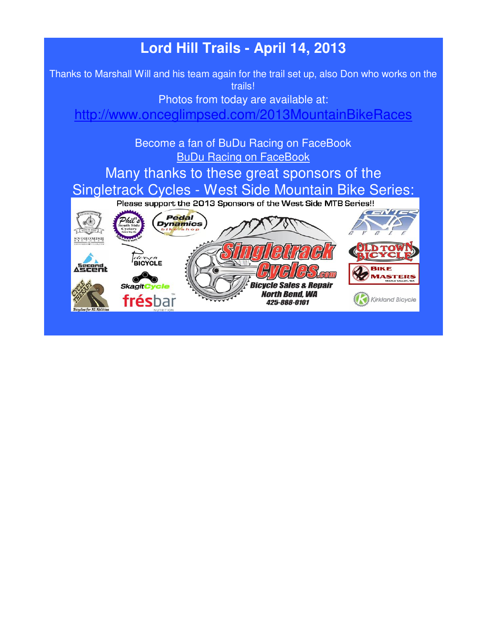# **Lord Hill Trails - April 14, 2013**

Thanks to Marshall Will and his team again for the trail set up, also Don who works on the trails!

Photos from today are available at:

http://www.onceglimpsed.com/2013MountainBikeRaces

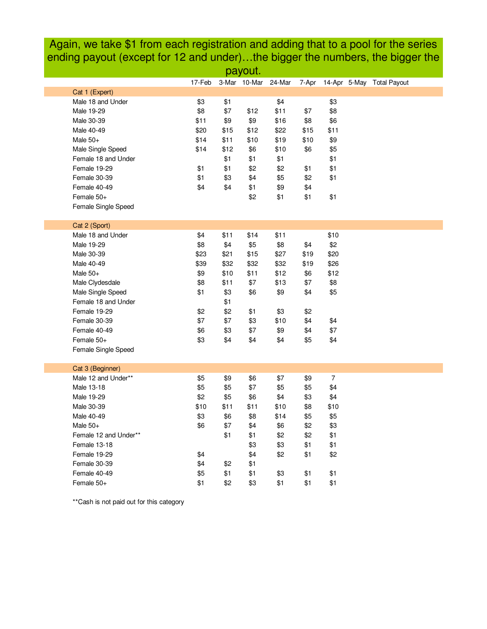Again, we take \$1 from each registration and adding that to a pool for the series ending payout (except for 12 and under)…the bigger the numbers, the bigger the

| payout.<br>17-Feb<br>3-Mar 10-Mar<br>24-Mar<br>14-Apr 5-May Total Payout<br>7-Apr<br>Cat 1 (Expert)<br>Male 18 and Under<br>\$3<br>\$1<br>\$4<br>\$3<br>\$11<br>\$8<br>Male 19-29<br>\$8<br>\$7<br>\$12<br>\$7<br>\$9<br>\$16<br>\$6<br>Male 30-39<br>\$11<br>\$9<br>\$8<br>\$20<br>\$22<br>Male 40-49<br>\$15<br>\$12<br>\$15<br>\$11<br>\$14<br>\$19<br>\$9<br>Male $50+$<br>\$11<br>\$10<br>\$10<br>Male Single Speed<br>\$14<br>\$12<br>\$6<br>\$10<br>\$6<br>\$5<br>\$1<br>Female 18 and Under<br>\$1<br>\$1<br>\$1<br>\$1<br>Female 19-29<br>\$1<br>\$1<br>\$2<br>\$2<br>\$1<br>\$1<br>Female 30-39<br>\$1<br>\$3<br>\$4<br>\$5<br>\$2<br>\$4<br>\$1<br>Female 40-49<br>\$4<br>\$9<br>\$4<br>\$2<br>\$1<br>\$1<br>\$1<br>Female 50+<br>Female Single Speed<br>Cat 2 (Sport)<br>\$10<br>Male 18 and Under<br>\$4<br>\$11<br>\$14<br>\$11<br>\$5<br>\$2<br>Male 19-29<br>\$8<br>\$4<br>\$8<br>\$4<br>\$23<br>\$27<br>\$20<br>Male 30-39<br>\$21<br>\$15<br>\$19<br>\$32<br>Male 40-49<br>\$39<br>\$32<br>\$32<br>\$19<br>\$26<br>\$12<br>\$12<br>Male 50+<br>\$9<br>\$10<br>\$11<br>\$6<br>\$13<br>\$8<br>Male Clydesdale<br>\$8<br>\$11<br>\$7<br>\$7<br>\$1<br>\$9<br>\$5<br>Male Single Speed<br>\$3<br>\$6<br>\$4<br>Female 18 and Under<br>\$1<br>Female 19-29<br>\$2<br>\$2<br>\$1<br>\$3<br>\$2<br>\$7<br>Female 30-39<br>\$7<br>\$3<br>\$10<br>\$4<br>\$4<br>\$7<br>Female 40-49<br>\$6<br>\$3<br>\$7<br>\$9<br>\$4<br>\$3<br>\$5<br>\$4<br>Female 50+<br>\$4<br>\$4<br>\$4<br>Female Single Speed<br>Cat 3 (Beginner)<br>Male 12 and Under**<br>\$9<br>\$7<br>$\overline{7}$<br>\$5<br>\$6<br>\$9<br>\$4<br>Male 13-18<br>\$5<br>\$5<br>\$7<br>\$5<br>\$5<br>Male 19-29<br>\$2<br>\$5<br>\$6<br>\$4<br>\$3<br>\$4 |      |      |      |      |     |      |  |  |  |  |  |  |  |  |
|--------------------------------------------------------------------------------------------------------------------------------------------------------------------------------------------------------------------------------------------------------------------------------------------------------------------------------------------------------------------------------------------------------------------------------------------------------------------------------------------------------------------------------------------------------------------------------------------------------------------------------------------------------------------------------------------------------------------------------------------------------------------------------------------------------------------------------------------------------------------------------------------------------------------------------------------------------------------------------------------------------------------------------------------------------------------------------------------------------------------------------------------------------------------------------------------------------------------------------------------------------------------------------------------------------------------------------------------------------------------------------------------------------------------------------------------------------------------------------------------------------------------------------------------------------------------------------------------------------------------------------------------------------------------------------------------------------------------------------|------|------|------|------|-----|------|--|--|--|--|--|--|--|--|
|                                                                                                                                                                                                                                                                                                                                                                                                                                                                                                                                                                                                                                                                                                                                                                                                                                                                                                                                                                                                                                                                                                                                                                                                                                                                                                                                                                                                                                                                                                                                                                                                                                                                                                                                |      |      |      |      |     |      |  |  |  |  |  |  |  |  |
|                                                                                                                                                                                                                                                                                                                                                                                                                                                                                                                                                                                                                                                                                                                                                                                                                                                                                                                                                                                                                                                                                                                                                                                                                                                                                                                                                                                                                                                                                                                                                                                                                                                                                                                                |      |      |      |      |     |      |  |  |  |  |  |  |  |  |
|                                                                                                                                                                                                                                                                                                                                                                                                                                                                                                                                                                                                                                                                                                                                                                                                                                                                                                                                                                                                                                                                                                                                                                                                                                                                                                                                                                                                                                                                                                                                                                                                                                                                                                                                |      |      |      |      |     |      |  |  |  |  |  |  |  |  |
|                                                                                                                                                                                                                                                                                                                                                                                                                                                                                                                                                                                                                                                                                                                                                                                                                                                                                                                                                                                                                                                                                                                                                                                                                                                                                                                                                                                                                                                                                                                                                                                                                                                                                                                                |      |      |      |      |     |      |  |  |  |  |  |  |  |  |
|                                                                                                                                                                                                                                                                                                                                                                                                                                                                                                                                                                                                                                                                                                                                                                                                                                                                                                                                                                                                                                                                                                                                                                                                                                                                                                                                                                                                                                                                                                                                                                                                                                                                                                                                |      |      |      |      |     |      |  |  |  |  |  |  |  |  |
|                                                                                                                                                                                                                                                                                                                                                                                                                                                                                                                                                                                                                                                                                                                                                                                                                                                                                                                                                                                                                                                                                                                                                                                                                                                                                                                                                                                                                                                                                                                                                                                                                                                                                                                                |      |      |      |      |     |      |  |  |  |  |  |  |  |  |
|                                                                                                                                                                                                                                                                                                                                                                                                                                                                                                                                                                                                                                                                                                                                                                                                                                                                                                                                                                                                                                                                                                                                                                                                                                                                                                                                                                                                                                                                                                                                                                                                                                                                                                                                |      |      |      |      |     |      |  |  |  |  |  |  |  |  |
|                                                                                                                                                                                                                                                                                                                                                                                                                                                                                                                                                                                                                                                                                                                                                                                                                                                                                                                                                                                                                                                                                                                                                                                                                                                                                                                                                                                                                                                                                                                                                                                                                                                                                                                                |      |      |      |      |     |      |  |  |  |  |  |  |  |  |
|                                                                                                                                                                                                                                                                                                                                                                                                                                                                                                                                                                                                                                                                                                                                                                                                                                                                                                                                                                                                                                                                                                                                                                                                                                                                                                                                                                                                                                                                                                                                                                                                                                                                                                                                |      |      |      |      |     |      |  |  |  |  |  |  |  |  |
|                                                                                                                                                                                                                                                                                                                                                                                                                                                                                                                                                                                                                                                                                                                                                                                                                                                                                                                                                                                                                                                                                                                                                                                                                                                                                                                                                                                                                                                                                                                                                                                                                                                                                                                                |      |      |      |      |     |      |  |  |  |  |  |  |  |  |
|                                                                                                                                                                                                                                                                                                                                                                                                                                                                                                                                                                                                                                                                                                                                                                                                                                                                                                                                                                                                                                                                                                                                                                                                                                                                                                                                                                                                                                                                                                                                                                                                                                                                                                                                |      |      |      |      |     |      |  |  |  |  |  |  |  |  |
|                                                                                                                                                                                                                                                                                                                                                                                                                                                                                                                                                                                                                                                                                                                                                                                                                                                                                                                                                                                                                                                                                                                                                                                                                                                                                                                                                                                                                                                                                                                                                                                                                                                                                                                                |      |      |      |      |     |      |  |  |  |  |  |  |  |  |
|                                                                                                                                                                                                                                                                                                                                                                                                                                                                                                                                                                                                                                                                                                                                                                                                                                                                                                                                                                                                                                                                                                                                                                                                                                                                                                                                                                                                                                                                                                                                                                                                                                                                                                                                |      |      |      |      |     |      |  |  |  |  |  |  |  |  |
|                                                                                                                                                                                                                                                                                                                                                                                                                                                                                                                                                                                                                                                                                                                                                                                                                                                                                                                                                                                                                                                                                                                                                                                                                                                                                                                                                                                                                                                                                                                                                                                                                                                                                                                                |      |      |      |      |     |      |  |  |  |  |  |  |  |  |
|                                                                                                                                                                                                                                                                                                                                                                                                                                                                                                                                                                                                                                                                                                                                                                                                                                                                                                                                                                                                                                                                                                                                                                                                                                                                                                                                                                                                                                                                                                                                                                                                                                                                                                                                |      |      |      |      |     |      |  |  |  |  |  |  |  |  |
|                                                                                                                                                                                                                                                                                                                                                                                                                                                                                                                                                                                                                                                                                                                                                                                                                                                                                                                                                                                                                                                                                                                                                                                                                                                                                                                                                                                                                                                                                                                                                                                                                                                                                                                                |      |      |      |      |     |      |  |  |  |  |  |  |  |  |
|                                                                                                                                                                                                                                                                                                                                                                                                                                                                                                                                                                                                                                                                                                                                                                                                                                                                                                                                                                                                                                                                                                                                                                                                                                                                                                                                                                                                                                                                                                                                                                                                                                                                                                                                |      |      |      |      |     |      |  |  |  |  |  |  |  |  |
|                                                                                                                                                                                                                                                                                                                                                                                                                                                                                                                                                                                                                                                                                                                                                                                                                                                                                                                                                                                                                                                                                                                                                                                                                                                                                                                                                                                                                                                                                                                                                                                                                                                                                                                                |      |      |      |      |     |      |  |  |  |  |  |  |  |  |
|                                                                                                                                                                                                                                                                                                                                                                                                                                                                                                                                                                                                                                                                                                                                                                                                                                                                                                                                                                                                                                                                                                                                                                                                                                                                                                                                                                                                                                                                                                                                                                                                                                                                                                                                |      |      |      |      |     |      |  |  |  |  |  |  |  |  |
|                                                                                                                                                                                                                                                                                                                                                                                                                                                                                                                                                                                                                                                                                                                                                                                                                                                                                                                                                                                                                                                                                                                                                                                                                                                                                                                                                                                                                                                                                                                                                                                                                                                                                                                                |      |      |      |      |     |      |  |  |  |  |  |  |  |  |
|                                                                                                                                                                                                                                                                                                                                                                                                                                                                                                                                                                                                                                                                                                                                                                                                                                                                                                                                                                                                                                                                                                                                                                                                                                                                                                                                                                                                                                                                                                                                                                                                                                                                                                                                |      |      |      |      |     |      |  |  |  |  |  |  |  |  |
|                                                                                                                                                                                                                                                                                                                                                                                                                                                                                                                                                                                                                                                                                                                                                                                                                                                                                                                                                                                                                                                                                                                                                                                                                                                                                                                                                                                                                                                                                                                                                                                                                                                                                                                                |      |      |      |      |     |      |  |  |  |  |  |  |  |  |
|                                                                                                                                                                                                                                                                                                                                                                                                                                                                                                                                                                                                                                                                                                                                                                                                                                                                                                                                                                                                                                                                                                                                                                                                                                                                                                                                                                                                                                                                                                                                                                                                                                                                                                                                |      |      |      |      |     |      |  |  |  |  |  |  |  |  |
|                                                                                                                                                                                                                                                                                                                                                                                                                                                                                                                                                                                                                                                                                                                                                                                                                                                                                                                                                                                                                                                                                                                                                                                                                                                                                                                                                                                                                                                                                                                                                                                                                                                                                                                                |      |      |      |      |     |      |  |  |  |  |  |  |  |  |
|                                                                                                                                                                                                                                                                                                                                                                                                                                                                                                                                                                                                                                                                                                                                                                                                                                                                                                                                                                                                                                                                                                                                                                                                                                                                                                                                                                                                                                                                                                                                                                                                                                                                                                                                |      |      |      |      |     |      |  |  |  |  |  |  |  |  |
|                                                                                                                                                                                                                                                                                                                                                                                                                                                                                                                                                                                                                                                                                                                                                                                                                                                                                                                                                                                                                                                                                                                                                                                                                                                                                                                                                                                                                                                                                                                                                                                                                                                                                                                                |      |      |      |      |     |      |  |  |  |  |  |  |  |  |
|                                                                                                                                                                                                                                                                                                                                                                                                                                                                                                                                                                                                                                                                                                                                                                                                                                                                                                                                                                                                                                                                                                                                                                                                                                                                                                                                                                                                                                                                                                                                                                                                                                                                                                                                |      |      |      |      |     |      |  |  |  |  |  |  |  |  |
|                                                                                                                                                                                                                                                                                                                                                                                                                                                                                                                                                                                                                                                                                                                                                                                                                                                                                                                                                                                                                                                                                                                                                                                                                                                                                                                                                                                                                                                                                                                                                                                                                                                                                                                                |      |      |      |      |     |      |  |  |  |  |  |  |  |  |
|                                                                                                                                                                                                                                                                                                                                                                                                                                                                                                                                                                                                                                                                                                                                                                                                                                                                                                                                                                                                                                                                                                                                                                                                                                                                                                                                                                                                                                                                                                                                                                                                                                                                                                                                |      |      |      |      |     |      |  |  |  |  |  |  |  |  |
|                                                                                                                                                                                                                                                                                                                                                                                                                                                                                                                                                                                                                                                                                                                                                                                                                                                                                                                                                                                                                                                                                                                                                                                                                                                                                                                                                                                                                                                                                                                                                                                                                                                                                                                                |      |      |      |      |     |      |  |  |  |  |  |  |  |  |
|                                                                                                                                                                                                                                                                                                                                                                                                                                                                                                                                                                                                                                                                                                                                                                                                                                                                                                                                                                                                                                                                                                                                                                                                                                                                                                                                                                                                                                                                                                                                                                                                                                                                                                                                |      |      |      |      |     |      |  |  |  |  |  |  |  |  |
|                                                                                                                                                                                                                                                                                                                                                                                                                                                                                                                                                                                                                                                                                                                                                                                                                                                                                                                                                                                                                                                                                                                                                                                                                                                                                                                                                                                                                                                                                                                                                                                                                                                                                                                                |      |      |      |      |     |      |  |  |  |  |  |  |  |  |
|                                                                                                                                                                                                                                                                                                                                                                                                                                                                                                                                                                                                                                                                                                                                                                                                                                                                                                                                                                                                                                                                                                                                                                                                                                                                                                                                                                                                                                                                                                                                                                                                                                                                                                                                |      |      |      |      |     |      |  |  |  |  |  |  |  |  |
|                                                                                                                                                                                                                                                                                                                                                                                                                                                                                                                                                                                                                                                                                                                                                                                                                                                                                                                                                                                                                                                                                                                                                                                                                                                                                                                                                                                                                                                                                                                                                                                                                                                                                                                                |      |      |      |      |     |      |  |  |  |  |  |  |  |  |
| Male 30-39                                                                                                                                                                                                                                                                                                                                                                                                                                                                                                                                                                                                                                                                                                                                                                                                                                                                                                                                                                                                                                                                                                                                                                                                                                                                                                                                                                                                                                                                                                                                                                                                                                                                                                                     | \$10 | \$11 | \$11 | \$10 | \$8 | \$10 |  |  |  |  |  |  |  |  |
| Male 40-49                                                                                                                                                                                                                                                                                                                                                                                                                                                                                                                                                                                                                                                                                                                                                                                                                                                                                                                                                                                                                                                                                                                                                                                                                                                                                                                                                                                                                                                                                                                                                                                                                                                                                                                     | \$3  | \$6  | \$8  | \$14 | \$5 | \$5  |  |  |  |  |  |  |  |  |
| Male $50+$                                                                                                                                                                                                                                                                                                                                                                                                                                                                                                                                                                                                                                                                                                                                                                                                                                                                                                                                                                                                                                                                                                                                                                                                                                                                                                                                                                                                                                                                                                                                                                                                                                                                                                                     | \$6  | \$7  | \$4  | \$6  | \$2 | \$3  |  |  |  |  |  |  |  |  |
| Female 12 and Under**                                                                                                                                                                                                                                                                                                                                                                                                                                                                                                                                                                                                                                                                                                                                                                                                                                                                                                                                                                                                                                                                                                                                                                                                                                                                                                                                                                                                                                                                                                                                                                                                                                                                                                          |      | \$1  | \$1  | \$2  | \$2 | \$1  |  |  |  |  |  |  |  |  |
| Female 13-18                                                                                                                                                                                                                                                                                                                                                                                                                                                                                                                                                                                                                                                                                                                                                                                                                                                                                                                                                                                                                                                                                                                                                                                                                                                                                                                                                                                                                                                                                                                                                                                                                                                                                                                   |      |      | \$3  | \$3  | \$1 | \$1  |  |  |  |  |  |  |  |  |
| Female 19-29                                                                                                                                                                                                                                                                                                                                                                                                                                                                                                                                                                                                                                                                                                                                                                                                                                                                                                                                                                                                                                                                                                                                                                                                                                                                                                                                                                                                                                                                                                                                                                                                                                                                                                                   | \$4  |      | \$4  | \$2  | \$1 | \$2  |  |  |  |  |  |  |  |  |
| Female 30-39                                                                                                                                                                                                                                                                                                                                                                                                                                                                                                                                                                                                                                                                                                                                                                                                                                                                                                                                                                                                                                                                                                                                                                                                                                                                                                                                                                                                                                                                                                                                                                                                                                                                                                                   | \$4  | \$2  | \$1  |      |     |      |  |  |  |  |  |  |  |  |
| Female 40-49                                                                                                                                                                                                                                                                                                                                                                                                                                                                                                                                                                                                                                                                                                                                                                                                                                                                                                                                                                                                                                                                                                                                                                                                                                                                                                                                                                                                                                                                                                                                                                                                                                                                                                                   | \$5  | \$1  | \$1  | \$3  | \$1 | \$1  |  |  |  |  |  |  |  |  |
| Female 50+                                                                                                                                                                                                                                                                                                                                                                                                                                                                                                                                                                                                                                                                                                                                                                                                                                                                                                                                                                                                                                                                                                                                                                                                                                                                                                                                                                                                                                                                                                                                                                                                                                                                                                                     | \$1  | \$2  | \$3  | \$1  | \$1 | \$1  |  |  |  |  |  |  |  |  |

\*\*Cash is not paid out for this category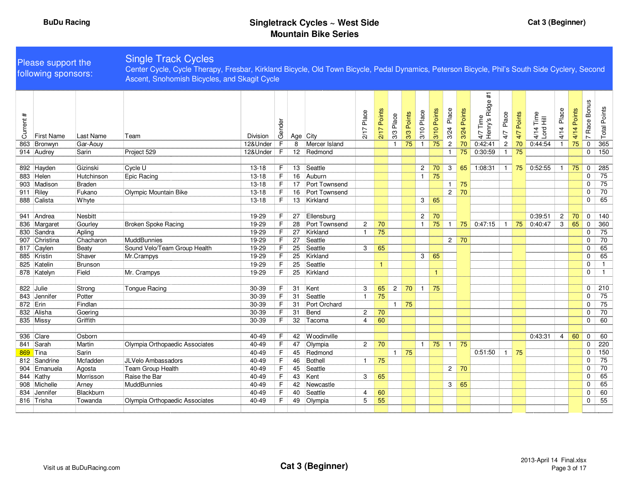# Please support the following sponsors:

Single Track Cycles Center Cycle, Cycle Therapy, Fresbar, Kirkland Bicycle, Old Town Bicycle, Pedal Dynamics, Peterson Bicycle, Phil's South Side Cyclery, Second Ascent, Snohomish Bicycles, and Skagit Cycle

| $\ddot{}$<br>Current<br>863 | <b>First Name</b><br>Bronwyn | Last Name<br>Gar-Aouy | Team                           | Division<br>12&Under | Gender<br>E    | 8  | Age City<br>Mercer Island | Place<br>2171           | Points<br>217 | Place<br>3/3<br>$\mathbf{1}$ | Points<br>3/3<br>75 | Place<br>3/101<br>$\mathbf{1}$ | Points<br>3/10<br>75 | Place<br>3/24<br>$\overline{c}$ | Points<br>3/24<br>70 | 4/7 Time<br>Henry's Ridge #1<br>Time<br>0:42:41 | Place<br>4/7<br>$\overline{2}$ | Points<br>4/7<br>70 | 4/14 Time<br>Lord Hill<br>0:44:54 | Place<br>4/14  | Points<br>$\overline{4}$<br>$\frac{1}{4}$<br>75 | Race Bonus<br>$\sim$<br>$\Omega$ | <b>Total Points</b><br>365 |
|-----------------------------|------------------------------|-----------------------|--------------------------------|----------------------|----------------|----|---------------------------|-------------------------|---------------|------------------------------|---------------------|--------------------------------|----------------------|---------------------------------|----------------------|-------------------------------------------------|--------------------------------|---------------------|-----------------------------------|----------------|-------------------------------------------------|----------------------------------|----------------------------|
|                             | 914 Audrey                   | Sarin                 | Project 529                    | 12&Under             | F              |    | 12 Redmond                |                         |               |                              |                     |                                |                      | $\mathbf{1}$                    | 75                   | 0:30:59                                         | $\overline{1}$                 | 75                  |                                   |                |                                                 | $\mathbf 0$                      | 150                        |
|                             |                              |                       |                                |                      |                |    |                           |                         |               |                              |                     |                                |                      |                                 |                      |                                                 |                                |                     |                                   |                |                                                 |                                  |                            |
|                             | 892 Hayden                   | Gizinski              | Cycle U                        | $13 - 18$            | F              | 13 | Seattle                   |                         |               |                              |                     | $\overline{2}$                 | 70                   | 3                               | 65                   | 1:08:31                                         | $\mathbf{1}$                   | 75                  | 0:52:55                           |                | 75                                              | $\mathbf 0$                      | 285                        |
|                             | 883 Helen                    | Hutchinson            | Epic Racing                    | $13 - 18$            | $\overline{F}$ | 16 | Auburn                    |                         |               |                              |                     | $\overline{1}$                 | 75                   |                                 |                      |                                                 |                                |                     |                                   |                |                                                 | $\mathbf 0$                      | 75                         |
|                             | 903 Madison                  | Braden                |                                | $13 - 18$            | F.             | 17 | Port Townsend             |                         |               |                              |                     |                                |                      | $\mathbf{1}$                    | 75                   |                                                 |                                |                     |                                   |                |                                                 | $\mathbf 0$                      | 75                         |
|                             | 911 Riley                    | Fukano                | Olympic Mountain Bike          | $13 - 18$            | F              | 16 | Port Townsend             |                         |               |                              |                     |                                |                      | $\overline{2}$                  | 70                   |                                                 |                                |                     |                                   |                |                                                 | $\mathbf 0$                      | 70                         |
|                             | 888 Calista                  | Whyte                 |                                | $13 - 18$            | F.             | 13 | Kirkland                  |                         |               |                              |                     | 3                              | 65                   |                                 |                      |                                                 |                                |                     |                                   |                |                                                 | $\Omega$                         | 65                         |
|                             |                              |                       |                                |                      |                |    |                           |                         |               |                              |                     |                                |                      |                                 |                      |                                                 |                                |                     |                                   |                |                                                 |                                  |                            |
|                             | 941 Andrea                   | <b>Nesbitt</b>        |                                | 19-29                | F.             | 27 | Ellensburg                |                         |               |                              |                     | $\overline{2}$                 | 70                   |                                 |                      |                                                 |                                |                     | 0:39:51                           | $\overline{c}$ | 70                                              | 0                                | 140                        |
|                             | 836 Margaret                 | Gourley               | <b>Broken Spoke Racing</b>     | 19-29                | F              | 28 | Port Townsend             | $\overline{2}$          | 70            |                              |                     | $\overline{1}$                 | 75                   | $\mathbf{1}$                    | 75                   | 0:47:15                                         | $\overline{1}$                 | 75                  | 0:40:47                           | 3              | 65                                              | $\mathbf 0$                      | 360                        |
|                             | 830 Sandra                   | Apling                |                                | 19-29                | $\overline{F}$ | 27 | Kirkland                  | $\overline{\mathbf{1}}$ | 75            |                              |                     |                                |                      |                                 |                      |                                                 |                                |                     |                                   |                |                                                 | $\mathbf 0$                      | 75                         |
|                             | 907 Christina                | Chacharon             | MuddBunnies                    | 19-29                | F              | 27 | Seattle                   |                         |               |                              |                     |                                |                      | 2                               | 70                   |                                                 |                                |                     |                                   |                |                                                 | $\mathbf 0$                      | 70                         |
| 817                         | Caylen                       | Beaty                 | Sound Velo/Team Group Health   | 19-29                | F              | 25 | Seattle                   | 3                       | 65            |                              |                     |                                |                      |                                 |                      |                                                 |                                |                     |                                   |                |                                                 | 0                                | 65                         |
|                             | 885 Kristin                  | Shaver                | Mr.Crampys                     | 19-29                | F              | 25 | Kirkland                  |                         |               |                              |                     | 3                              | 65                   |                                 |                      |                                                 |                                |                     |                                   |                |                                                 | $\mathbf 0$                      | 65                         |
|                             | 825 Katelin                  | Brunson               |                                | 19-29                | $\overline{F}$ | 25 | Seattle                   |                         | $\mathbf{1}$  |                              |                     |                                |                      |                                 |                      |                                                 |                                |                     |                                   |                |                                                 | $\mathbf 0$                      |                            |
|                             | 878 Katelyn                  | Field                 | Mr. Crampys                    | 19-29                | F.             | 25 | Kirkland                  |                         |               |                              |                     |                                | $\mathbf{1}$         |                                 |                      |                                                 |                                |                     |                                   |                |                                                 | 0                                | $\mathbf{1}$               |
|                             |                              |                       |                                |                      |                |    |                           |                         |               |                              |                     |                                |                      |                                 |                      |                                                 |                                |                     |                                   |                |                                                 |                                  |                            |
|                             | 822 Julie                    | Strong                | <b>Tongue Racing</b>           | 30-39                | F.             | 31 | Kent                      | 3                       | 65            | $\overline{2}$               | 70                  | $\mathbf{1}$                   | 75                   |                                 |                      |                                                 |                                |                     |                                   |                |                                                 | $\mathbf 0$                      | 210                        |
|                             | 843 Jennifer                 | Potter                |                                | 30-39                | $\overline{F}$ | 31 | Seattle                   | $\overline{1}$          | 75            |                              |                     |                                |                      |                                 |                      |                                                 |                                |                     |                                   |                |                                                 | $\mathbf 0$                      | $\overline{75}$            |
| 872 Erin                    |                              | Findlan               |                                | 30-39                | $\overline{F}$ | 31 | Port Orchard              |                         |               | $\overline{1}$               | 75                  |                                |                      |                                 |                      |                                                 |                                |                     |                                   |                |                                                 | $\mathbf 0$                      | 75                         |
|                             | 832 Alisha                   | Goering               |                                | 30-39                | F              | 31 | Bend                      | $\overline{c}$          | 70            |                              |                     |                                |                      |                                 |                      |                                                 |                                |                     |                                   |                |                                                 | $\mathbf 0$                      | 70                         |
|                             | 835 Missy                    | Griffith              |                                | 30-39                | F.             | 32 | Tacoma                    | $\overline{4}$          | 60            |                              |                     |                                |                      |                                 |                      |                                                 |                                |                     |                                   |                |                                                 | $\mathbf 0$                      | 60                         |
|                             |                              |                       |                                |                      |                |    |                           |                         |               |                              |                     |                                |                      |                                 |                      |                                                 |                                |                     |                                   |                |                                                 |                                  |                            |
|                             | 936 Clare                    | Osborn                |                                | 40-49                | F.             | 42 | Woodinville               |                         |               |                              |                     |                                |                      |                                 |                      |                                                 |                                |                     | 0:43:31                           | $\overline{4}$ | 60                                              | $\mathbf 0$                      | 60                         |
|                             | 841 Sarah                    | Martin                | Olympia Orthopaedic Associates | $40 - 49$            | F              | 47 | Olympia                   | $\overline{2}$          | 70            |                              |                     | $\mathbf{1}$                   | 75                   | $\overline{1}$                  | 75                   |                                                 |                                |                     |                                   |                |                                                 | $\mathbf 0$                      | 220                        |
|                             | 869 Tina                     | Sarin                 |                                | 40-49                | F.             | 45 | Redmond                   |                         |               | $\overline{1}$               | 75                  |                                |                      |                                 |                      | 0:51:50                                         | $\overline{1}$                 | 75                  |                                   |                |                                                 | $\Omega$                         | $\overline{150}$           |
|                             | 812 Sandrine                 | Mcfadden              | <b>JLVelo Ambassadors</b>      | 40-49                | F.             | 46 | Bothell                   | $\overline{1}$          | 75            |                              |                     |                                |                      |                                 |                      |                                                 |                                |                     |                                   |                |                                                 | $\Omega$                         | 75                         |
|                             | 904 Emanuela                 | Agosta                | Team Group Health              | 40-49                | F              | 45 | Seattle                   |                         |               |                              |                     |                                |                      | $\overline{2}$                  | 70                   |                                                 |                                |                     |                                   |                |                                                 | $\mathbf 0$                      | 70                         |
|                             | 844 Kathy                    | Morrisson             | Raise the Bar                  | 40-49                | F              | 43 | Kent                      | 3                       | 65            |                              |                     |                                |                      |                                 |                      |                                                 |                                |                     |                                   |                |                                                 | $\mathbf 0$                      | 65                         |
| 908                         | Michelle                     | Arney                 | <b>MuddBunnies</b>             | 40-49                | F              | 42 | Newcastle                 |                         |               |                              |                     |                                |                      | 3                               | 65                   |                                                 |                                |                     |                                   |                |                                                 | $\mathbf 0$                      | 65                         |
| 834                         | Jennifer                     | Blackburn             |                                | 40-49                | F              | 40 | Seattle                   | $\overline{4}$          | 60            |                              |                     |                                |                      |                                 |                      |                                                 |                                |                     |                                   |                |                                                 | $\mathbf 0$                      | 60                         |
|                             | 816 Trisha                   | Towanda               | Olympia Orthopaedic Associates | $40 - 49$            | F.             | 49 | Olympia                   | 5                       | 55            |                              |                     |                                |                      |                                 |                      |                                                 |                                |                     |                                   |                |                                                 | $\mathbf 0$                      | $\overline{55}$            |
|                             |                              |                       |                                |                      |                |    |                           |                         |               |                              |                     |                                |                      |                                 |                      |                                                 |                                |                     |                                   |                |                                                 |                                  |                            |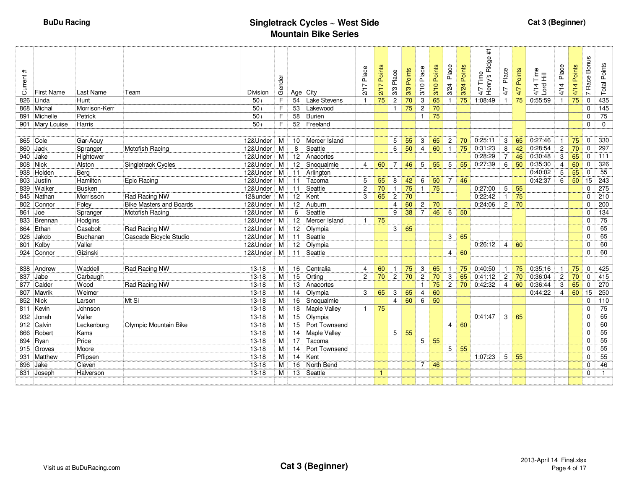| $\ddot{}$<br>Current: | <b>First Name</b> | Last Name     | Team                           | Division  | Gender |                 | Age City            | Place<br>2/17            | Points<br>2/17  | Place<br>3/3   | 3/3 Points | 3/10 Place              | Points<br>3/10 | Place<br>3/24  | Points<br>3/24 | Ridge #1<br>Time<br>4/7 Time<br>Henry's | Place<br>4/7    | Points<br>4/7 | $\begin{array}{c}\n\stackrel{\text{me}}{11}\\ \stackrel{\text{Hil}}{11}\n\end{array}$<br>$4/14$<br>Lord I | Place<br>4/14  | Points<br>4/14 | Race Bonus<br>$\overline{ }$ | <b>Total Points</b> |
|-----------------------|-------------------|---------------|--------------------------------|-----------|--------|-----------------|---------------------|--------------------------|-----------------|----------------|------------|-------------------------|----------------|----------------|----------------|-----------------------------------------|-----------------|---------------|-----------------------------------------------------------------------------------------------------------|----------------|----------------|------------------------------|---------------------|
| 826                   | Linda             | Hunt          |                                | $50+$     | F      | 54              | <b>Lake Stevens</b> | -1                       | 75              | $\overline{c}$ | 70         | 3                       | 65             |                | 75             | 1:08:49                                 | $\mathbf{1}$    | 75            | 0:55:59                                                                                                   | $\mathbf{1}$   | 75             | $\mathbf 0$                  | 435                 |
|                       | 868 Michal        | Morrison-Kerr |                                | $50+$     | F      | 53              | Lakewood            |                          |                 | $\mathbf{1}$   | 75         | $\overline{c}$          | 70             |                |                |                                         |                 |               |                                                                                                           |                |                | $\Omega$                     | 145                 |
|                       | 891 Michelle      | Petrick       |                                | $50+$     | F      | 58              | <b>Burien</b>       |                          |                 |                |            | $\mathbf{1}$            | 75             |                |                |                                         |                 |               |                                                                                                           |                |                | $\Omega$                     | $\overline{75}$     |
|                       | 901 Mary Louise   | Harris        |                                | $50+$     | F      | 52              | Freeland            |                          |                 |                |            |                         |                |                |                |                                         |                 |               |                                                                                                           |                |                | $\mathbf 0$                  | $\mathbf 0$         |
|                       |                   |               |                                |           |        |                 |                     |                          |                 |                |            |                         |                |                |                |                                         |                 |               |                                                                                                           |                |                |                              |                     |
|                       | 865 Cole          | Gar-Aouy      |                                | 12&Under  | M      | 10 <sup>°</sup> | Mercer Island       |                          |                 | 5              | 55         | 3                       | 65             | $\overline{2}$ | 70             | 0:25:11                                 | 3               | 65            | 0:27:46                                                                                                   | $\overline{1}$ | 75             | 0                            | 330                 |
|                       | 860 Jack          | Spranger      | Motofish Racing                | 12&Under  | M      | 8               | Seattle             |                          |                 | 6              | 50         | $\overline{4}$          | 60             | $\overline{1}$ | 75             | 0:31:23                                 | 8               | 42            | 0:28:54                                                                                                   | $\overline{2}$ | 70             | $\mathbf 0$                  | 297                 |
|                       | 940 Jake          | Hightower     |                                | 12&Under  | M      |                 | 12 Anacortes        |                          |                 |                |            |                         |                |                |                | 0:28:29                                 | $\overline{7}$  | 46            | 0:30:48                                                                                                   | 3              | 65             | 0                            | 111                 |
|                       | 808 Nick          | Alston        | Singletrack Cycles             | 12&Under  | M      |                 | 12 Snoqualmie       | $\overline{\mathcal{A}}$ | 60              | $\overline{7}$ | 46         | 5                       | 55             | 5              | 55             | 0:27:39                                 | 6               | 50            | 0:35:30                                                                                                   | $\overline{4}$ | 60             | $\Omega$                     | 326                 |
|                       | 938 Holden        | Berg          |                                | 12&Under  | M      | 11              | Arlington           |                          |                 |                |            |                         |                |                |                |                                         |                 |               | 0:40:02                                                                                                   | 5              | 55             | $\mathbf 0$                  | 55                  |
|                       | 803 Justin        | Hamilton      | Epic Racing                    | 12&Under  | M      |                 | 11 Tacoma           | 5                        | 55              | 8              | 42         | 6                       | 50             | $\overline{7}$ | 46             |                                         |                 |               | 0:42:37                                                                                                   | 6              | 50             | 15                           | 243                 |
|                       | 839 Walker        | Busken        |                                | 12&Under  | M      | 11              | Seattle             | $\overline{2}$           | $\overline{70}$ | $\overline{1}$ | 75         | $\mathbf{1}$            | 75             |                |                | 0:27:00                                 | $5\phantom{.0}$ | 55            |                                                                                                           |                |                | $\Omega$                     | 275                 |
|                       | 845 Nathan        | Morrisson     | Rad Racing NW                  | 12&under  | M      | 12 <sup>2</sup> | Kent                | 3                        | 65              | $\overline{c}$ | 70         |                         |                |                |                | 0:22:42                                 | $\overline{1}$  | 75            |                                                                                                           |                |                | $\Omega$                     | 210                 |
|                       | 802 Connor        | Foley         | <b>Bike Masters and Boards</b> | 12&Under  | M      | 12 <sup>2</sup> | Auburn              |                          |                 | $\overline{4}$ | 60         | $\overline{2}$          | 70             |                |                | 0:24:06                                 | $\overline{2}$  | 70            |                                                                                                           |                |                | $\Omega$                     | 200                 |
| 861                   | Joe               | Spranger      | Motofish Racing                | 12&Under  | M      | 6               | Seattle             |                          |                 | 9              | 38         | $\overline{7}$          | 46             | 6              | 50             |                                         |                 |               |                                                                                                           |                |                | $\Omega$                     | 134                 |
|                       | 833 Brennan       | Hodgins       |                                | 12&Under  | M      |                 | 12 Mercer Island    | $\overline{1}$           | 75              |                |            |                         |                |                |                |                                         |                 |               |                                                                                                           |                |                | 0                            | 75                  |
|                       | 864 Ethan         | Casebolt      | Rad Racing NW                  | 12&Under  | M      | 12 <sup>7</sup> | Olympia             |                          |                 | 3              | 65         |                         |                |                |                |                                         |                 |               |                                                                                                           |                |                | $\Omega$                     | 65                  |
| 926                   | Jakob             | Buchanan      | Cascade Bicycle Studio         | 12&Under  | M      | 11              | Seattle             |                          |                 |                |            |                         |                | 3              | 65             |                                         |                 |               |                                                                                                           |                |                | 0                            | 65                  |
|                       | 801 Kolby         | Valler        |                                | 12&Under  | M      | 12 <sup>2</sup> | Olympia             |                          |                 |                |            |                         |                |                |                | 0:26:12                                 | $\overline{4}$  | 60            |                                                                                                           |                |                | $\Omega$                     | 60                  |
|                       | 924 Connor        | Gizinski      |                                | 12&Under  | M      | 11              | Seattle             |                          |                 |                |            |                         |                | 4              | 60             |                                         |                 |               |                                                                                                           |                |                | $\mathbf 0$                  | 60                  |
|                       |                   |               |                                |           |        |                 |                     |                          |                 |                |            |                         |                |                |                |                                         |                 |               |                                                                                                           |                |                |                              |                     |
|                       | 838 Andrew        | Waddell       | Rad Racing NW                  | $13 - 18$ | м      |                 | 16 Centralia        | 4                        | 60              | $\overline{1}$ | 75         | 3                       | 65             | $\mathbf 1$    | 75             | 0:40:50                                 | $\mathbf{1}$    | 75            | 0:35:16                                                                                                   | $\mathbf{1}$   | 75             | $\Omega$                     | 425                 |
| 837                   | Jabe              | Carbaugh      |                                | $13 - 18$ | M      | 15              | Orting              | $\overline{c}$           | 70              | $\overline{c}$ | 70         | $\overline{2}$          | 70             | 3              | 65             | 0:41:12                                 | $\overline{2}$  | 70            | 0:36:04                                                                                                   | $\overline{c}$ | 70             | $\mathbf 0$                  | 415                 |
|                       | 877 Calder        | <b>Wood</b>   | Rad Racing NW                  | $13 - 18$ | M      | 13              | Anacortes           |                          |                 |                |            | -1                      | 75             | $\overline{2}$ | 70             | 0:42:32                                 | $\overline{4}$  | 60            | 0:36:44                                                                                                   | 3              | 65             | 0                            | 270                 |
|                       | 807 Mavrik        | Weimer        |                                | $13 - 18$ | M      | 14              | Olympia             | 3                        | 65              | 3              | 65         | $\overline{\mathbf{4}}$ | 60             |                |                |                                         |                 |               | 0:44:22                                                                                                   | 4              | 60             | 15                           | 250                 |
|                       | 852 Nick          | Larson        | Mt Si                          | $13 - 18$ | M      | 16              | Snoqualmie          |                          |                 | $\overline{4}$ | 60         | 6                       | 50             |                |                |                                         |                 |               |                                                                                                           |                |                | $\Omega$                     | 110                 |
|                       | 811 Kevin         | Johnson       |                                | $13 - 18$ | M      | 18              | Maple Valley        | -1                       | 75              |                |            |                         |                |                |                |                                         |                 |               |                                                                                                           |                |                | 0                            | 75                  |
| 932                   | Jonah             | Valler        |                                | $13 - 18$ | M      | 15              | Olympia             |                          |                 |                |            |                         |                |                |                | 0:41:47                                 | 3               | 65            |                                                                                                           |                |                | $\Omega$                     | 65                  |
|                       | 912 Calvin        | Leckenburg    | Olympic Mountain Bike          | $13 - 18$ | M      |                 | 15 Port Townsend    |                          |                 |                |            |                         |                | 4              | 60             |                                         |                 |               |                                                                                                           |                |                | $\Omega$                     | 60                  |
|                       | 866 Robert        | Kams          |                                | $13 - 18$ | M      | 14              | Maple Valley        |                          |                 | 5              | 55         |                         |                |                |                |                                         |                 |               |                                                                                                           |                |                | $\Omega$                     | $\overline{55}$     |
|                       | 894 Ryan          | Price         |                                | $13 - 18$ | M      |                 | 17 Tacoma           |                          |                 |                |            | 5 <sub>5</sub>          | 55             |                |                |                                         |                 |               |                                                                                                           |                |                | $\Omega$                     | $\overline{55}$     |
|                       | 915 Groves        | Moore         |                                | $13 - 18$ | M      |                 | 14 Port Townsend    |                          |                 |                |            |                         |                | 5              | 55             |                                         |                 |               |                                                                                                           |                |                | $\mathbf 0$                  | $\overline{55}$     |
|                       | 931 Matthew       | Pflipsen      |                                | $13 - 18$ | M      | 14              | Kent                |                          |                 |                |            |                         |                |                |                | 1:07:23                                 | 5               | 55            |                                                                                                           |                |                | $\Omega$                     | $\overline{55}$     |
| 896                   | Jake              | Cleven        |                                | $13 - 18$ | M      | 16              | North Bend          |                          |                 |                |            | $\overline{7}$          | 46             |                |                |                                         |                 |               |                                                                                                           |                |                | 0                            | 46                  |
|                       | 831 Joseph        | Halverson     |                                | $13 - 18$ | M      | 13              | Seattle             |                          | 1               |                |            |                         |                |                |                |                                         |                 |               |                                                                                                           |                |                | 0                            | $\mathbf{1}$        |
|                       |                   |               |                                |           |        |                 |                     |                          |                 |                |            |                         |                |                |                |                                         |                 |               |                                                                                                           |                |                |                              |                     |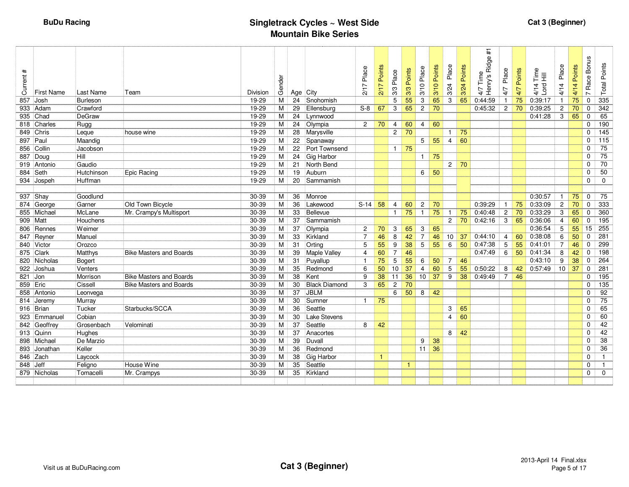| $\ddot{}$<br>Current | First Name   | Last Name     | Team                           | Division  | Gender | Age City |                      | Place<br>N<br>$\overline{21}$ | Points<br>$\overline{21}$ | Place<br>3/3   | Points<br>3/3 | Place<br>3/10   | Points<br>3/10 | Place<br>3/24  | Points<br>3/24 | $\pm$<br>4/7 Time<br>Henry's Ridge ; | Place<br>4/7   | Points<br>4/7 | $\frac{e}{1}$ $\equiv$<br>$4/14$<br>Lord | Place<br>4/14  | oints<br>Δ.<br>4/14 | <b>Bonus</b><br>Race<br>$\sim$ | <b>Total Points</b> |
|----------------------|--------------|---------------|--------------------------------|-----------|--------|----------|----------------------|-------------------------------|---------------------------|----------------|---------------|-----------------|----------------|----------------|----------------|--------------------------------------|----------------|---------------|------------------------------------------|----------------|---------------------|--------------------------------|---------------------|
|                      | 857 Josh     | Burleson      |                                | 19-29     | M      |          | 24 Snohomish         |                               |                           | 5              | 55            | 3               | 65             | 3              | 65             | 0:44:59                              | $\overline{1}$ | 75            | 0:39:17                                  | $\mathbf{1}$   | 75                  | $\mathbf 0$                    | 335                 |
|                      | 933 Adam     | Crawford      |                                | 19-29     | м      |          | 29 Ellensburg        | $S-8$                         | 67                        | 3              | 65            | $\overline{2}$  | 70             |                |                | 0:45:32                              | $\overline{2}$ | 70            | 0:39:25                                  | $\overline{c}$ | 70                  | 0                              | 342                 |
|                      | 935 Chad     | DeGraw        |                                | 19-29     | М      |          | 24 Lynnwood          |                               |                           |                |               |                 |                |                |                |                                      |                |               | 0:41:28                                  | 3              | 65                  | 0                              | 65                  |
|                      | 818 Charles  | Rugg          |                                | 19-29     | M      |          | 24 Olympia           | $\overline{c}$                | 70                        | 4              | 60            | 4               | 60             |                |                |                                      |                |               |                                          |                |                     | 0                              | 190                 |
|                      | 849 Chris    | Leque         | house wine                     | 19-29     | M      |          | 28 Marysville        |                               |                           | $\overline{2}$ | 70            |                 |                | $\overline{1}$ | 75             |                                      |                |               |                                          |                |                     | $\Omega$                       | 145                 |
|                      | 897 Paul     | Maandig       |                                | 19-29     | M      |          | 22 Spanaway          |                               |                           |                |               | 5 <sup>1</sup>  | 55             | $\overline{4}$ | 60             |                                      |                |               |                                          |                |                     | $\Omega$                       | 115                 |
|                      | 856 Collin   | Jacobson      |                                | 19-29     | м      |          | 22 Port Townsend     |                               |                           | $\mathbf{1}$   | 75            |                 |                |                |                |                                      |                |               |                                          |                |                     | 0                              | 75                  |
|                      | 887 Doug     | Hill          |                                | 19-29     | М      |          | 24 Gig Harbor        |                               |                           |                |               | $\mathbf{1}$    | 75             |                |                |                                      |                |               |                                          |                |                     | 0                              | $\overline{75}$     |
|                      | 919 Antonio  | Gaudio        |                                | 19-29     | М      | 21       | North Bend           |                               |                           |                |               |                 |                | $\mathbf{2}$   | 70             |                                      |                |               |                                          |                |                     | 0                              | $\overline{70}$     |
|                      | 884 Seth     | Hutchinson    | Epic Racing                    | 19-29     | M      | 19       | Auburn               |                               |                           |                |               | 6               | 50             |                |                |                                      |                |               |                                          |                |                     | 0                              | 50                  |
|                      | 934 Jospeh   | Huffman       |                                | 19-29     | м      |          | 20 Sammamish         |                               |                           |                |               |                 |                |                |                |                                      |                |               |                                          |                |                     | 0                              | 0                   |
|                      |              |               |                                |           |        |          |                      |                               |                           |                |               |                 |                |                |                |                                      |                |               |                                          |                |                     |                                |                     |
|                      | 937 Shay     | Goodlund      |                                | 30-39     | M      | 36       | Monroe               |                               |                           |                |               |                 |                |                |                |                                      |                |               | 0:30:57                                  | $\mathbf{1}$   | 75                  | $\mathbf 0$                    | 75                  |
|                      | 874 George   | Garner        | Old Town Bicycle               | 30-39     | м      | 36       | Lakewood             | $S-14$ 58                     |                           | 4              | 60            | $\overline{2}$  | 70             |                |                | 0:39:29                              | $\overline{1}$ | 75            | 0:33:09                                  | $\overline{c}$ | 70                  | 0                              | 333                 |
|                      | 855 Michael  | McLane        | Mr. Crampy's Multisport        | 30-39     | м      | 33       | Bellevue             |                               |                           | $\mathbf{1}$   | 75            | $\mathbf{1}$    | 75             | $\mathbf{1}$   | 75             | 0:40:48                              | $\overline{c}$ | 70            | 0:33:29                                  | 3              | 65                  | $\mathbf 0$                    | 360                 |
|                      | 909   Matt   | Houchens      |                                | 30-39     | M      | 37       | Sammamish            |                               |                           |                |               |                 |                | $\mathbf{2}$   | 70             | 0:42:16                              | 3              | 65            | 0:36:06                                  | $\overline{4}$ | 60                  | 0                              | 195                 |
|                      | 806 Rennes   | <b>Weimer</b> |                                | 30-39     | M      | 37       | Olympia              | 2                             | 70                        | 3              | 65            | 3               | 65             |                |                |                                      |                |               | 0:36:54                                  | 5              | 55                  | 15                             | 255                 |
|                      | 847 Reyner   | Manuel        |                                | 30-39     | M      | 33       | Kirkland             | $\overline{7}$                | 46                        | 8              | 42            | $\overline{7}$  | 46             | 10             | 37             | 0:44:10                              | 4              | 60            | 0:38:08                                  | 6              | 50                  | $\mathbf 0$                    | 281                 |
|                      | 840 Victor   | Orozco        |                                | 30-39     | М      | 31       | Orting               | 5                             | 55                        | 9              | 38            | $5\phantom{.0}$ | 55             | 6              | 50             | 0:47:38                              | 5              | 55            | 0:41:01                                  | 7              | 46                  | 0                              | 299                 |
|                      | 875 Clark    | Matthys       | <b>Bike Masters and Boards</b> | 30-39     | м      | 39       | Maple Valley         | $\overline{4}$                | 60                        | $\overline{7}$ | 46            |                 |                |                |                | 0:47:49                              | 6              | 50            | 0:41:34                                  | 8              | 42                  | $\mathbf 0$                    | 198                 |
|                      | 820 Nicholas | Bogert        |                                | 30-39     | м      | 31       | Puyallup             | $\overline{1}$                | 75                        | 5              | 55            | 6               | 50             | 7              | 46             |                                      |                |               | 0:43:10                                  | 9              | 38                  | 0                              | 264                 |
|                      | 922 Joshua   | Venters       |                                | 30-39     | м      | 35       | Redmond              | 6                             | 50                        | 10             | 37            | 4               | 60             | 5              | 55             | 0:50:22                              | 8              | 42            | 0:57:49                                  | 10             | 37                  | 0                              | 281                 |
| 821 Jon              |              | Morrison      | <b>Bike Masters and Boards</b> | 30-39     | M      | 38       | Kent                 | 9                             | 38                        | 11             | 36            | 10              | 37             | 9              | 38             | 0:49:49                              | $\overline{7}$ | 46            |                                          |                |                     | 0                              | 195                 |
|                      | 859 Eric     | Cissell       | <b>Bike Masters and Boards</b> | 30-39     | м      | 30       | <b>Black Diamond</b> | 3                             | 65                        | $\overline{2}$ | 70            |                 |                |                |                |                                      |                |               |                                          |                |                     | $\Omega$                       | 135                 |
|                      | 858 Antonio  | Leonvega      |                                | 30-39     | M      | 37       | <b>JBLM</b>          |                               |                           | 6              | 50            | 8               | 42             |                |                |                                      |                |               |                                          |                |                     | 0                              | 92                  |
|                      | 814 Jeremy   | Murray        |                                | 30-39     | М      | 30       | Sumner               | $\mathbf{1}$                  | 75                        |                |               |                 |                |                |                |                                      |                |               |                                          |                |                     | 0                              | 75                  |
|                      | 916 Brian    | Tucker        | Starbucks/SCCA                 | 30-39     | М      | 36       | Seattle              |                               |                           |                |               |                 |                | 3              | 65             |                                      |                |               |                                          |                |                     | 0                              | 65                  |
|                      | 923 Emmanuel | Cobian        |                                | 30-39     | M      | 30       | <b>Lake Stevens</b>  |                               |                           |                |               |                 |                | $\overline{4}$ | 60             |                                      |                |               |                                          |                |                     | 0                              | 60                  |
|                      | 842 Geoffrey | Grosenbach    | Velominati                     | 30-39     | M      | 37       | Seattle              | 8                             | 42                        |                |               |                 |                |                |                |                                      |                |               |                                          |                |                     | 0                              | 42                  |
|                      | 913 Quinn    | Hughes        |                                | 30-39     | M      | 37       | Anacortes            |                               |                           |                |               |                 |                | 8              | 42             |                                      |                |               |                                          |                |                     | 0                              | 42                  |
|                      | 898 Michael  | De Marzio     |                                | 30-39     | M      | 39       | Duvall               |                               |                           |                |               | 9               | 38             |                |                |                                      |                |               |                                          |                |                     | 0                              | 38                  |
|                      | 893 Jonathan | Keller        |                                | 30-39     | М      | 36       | Redmond              |                               |                           |                |               | 11              | 36             |                |                |                                      |                |               |                                          |                |                     | 0                              | 36                  |
|                      | 846 Zach     | Laycock       |                                | 30-39     | M      | 38       | Gig Harbor           |                               | $\mathbf{1}$              |                |               |                 |                |                |                |                                      |                |               |                                          |                |                     | 0                              | $\overline{1}$      |
|                      | 848 Jeff     | Feligno       | House Wine                     | 30-39     | М      | 35       | Seattle              |                               |                           |                | -1            |                 |                |                |                |                                      |                |               |                                          |                |                     | 0                              | $\mathbf{1}$        |
|                      | 879 Nicholas | Tomacelli     | Mr. Crampys                    | $30 - 39$ | M      | 35       | Kirkland             |                               |                           |                |               |                 |                |                |                |                                      |                |               |                                          |                |                     | $\Omega$                       | $\mathbf 0$         |
|                      |              |               |                                |           |        |          |                      |                               |                           |                |               |                 |                |                |                |                                      |                |               |                                          |                |                     |                                |                     |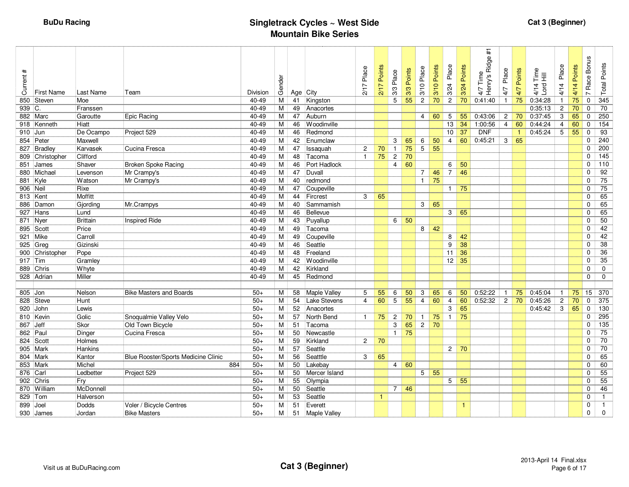| $\ddot{}$<br>Current<br>850 | <b>First Name</b><br>Steven | Last Name<br>Moe | Team                                | Division<br>40-49 | Gender<br>M | Age<br>41 | City<br>Kingston    | 2/17 Place     | Points<br>2/17 | 3/3 Place<br>5 | 3/3 Points<br>55 | Place<br>3/10<br>$\overline{2}$ | 3/10 Points<br>70 | Place<br>3/24<br>$\boldsymbol{2}$ | Points<br>3/24<br>70 | $\pm$<br>4/7 Time<br>Henry's Ridge #<br>0:41:40 | Place<br>4/7<br>$\overline{1}$ | 4/7 Points<br>75 | Time<br>4/14 Tim<br>Lord Hill<br>0:34:28 | Place<br>4/14  | Points<br>4/14<br>75 | <b>Bonus</b><br>Race<br>$\overline{ }$<br>0 | <b>Total Points</b><br>345 |
|-----------------------------|-----------------------------|------------------|-------------------------------------|-------------------|-------------|-----------|---------------------|----------------|----------------|----------------|------------------|---------------------------------|-------------------|-----------------------------------|----------------------|-------------------------------------------------|--------------------------------|------------------|------------------------------------------|----------------|----------------------|---------------------------------------------|----------------------------|
| 939 C.                      |                             | Franssen         |                                     | 40-49             | M           | 49        | Anacortes           |                |                |                |                  |                                 |                   |                                   |                      |                                                 |                                |                  | 0:35:13                                  | $\overline{2}$ | 70                   | 0                                           | 70                         |
|                             | 882 Marc                    | Garoutte         | Epic Racing                         | 40-49             | М           | 47        | Auburn              |                |                |                |                  | $\overline{4}$                  | 60                | 5                                 | 55                   | 0:43:06                                         | $\overline{2}$                 | 70               | 0:37:45                                  | 3              | 65                   | 0                                           | 250                        |
|                             | 918 Kenneth                 | Hiatt            |                                     | 40-49             | М           | 46        | <b>Woodinville</b>  |                |                |                |                  |                                 |                   | 13                                | 34                   | 1:00:56                                         | $\overline{4}$                 | 60               | 0:44:24                                  | $\overline{4}$ | 60                   | 0                                           | 154                        |
| 910 Jun                     |                             | De Ocampo        | Project 529                         | 40-49             | м           | 46        | Redmond             |                |                |                |                  |                                 |                   | 10                                | 37                   | <b>DNF</b>                                      |                                | $\mathbf{1}$     | 0:45:24                                  | 5              | 55                   | 0                                           | 93                         |
|                             | 854 Peter                   | Maxwell          |                                     | 40-49             | М           | 42        | Enumclaw            |                |                | 3              | 65               | 6                               | 50                | $\overline{4}$                    | 60                   | 0:45:21                                         | $3 \mid$                       | 65               |                                          |                |                      | 0                                           | 240                        |
|                             | 827 Bradley                 | Karvasek         | Cucina Fresca                       | 40-49             | M           | 47        | Issaquah            | $\overline{c}$ | 70             | $\mathbf{1}$   | 75               | $\overline{5}$                  | 55                |                                   |                      |                                                 |                                |                  |                                          |                |                      | 0                                           | $\overline{200}$           |
|                             | 809 Christopher             | Clifford         |                                     | 40-49             | М           | 48        | Tacoma              | $\overline{1}$ | 75             | $\overline{c}$ | $\overline{70}$  |                                 |                   |                                   |                      |                                                 |                                |                  |                                          |                |                      | 0                                           | $\frac{145}{145}$          |
| 851                         | James                       | Shaver           | <b>Broken Spoke Racing</b>          | 40-49             | M           | 46        | Port Hadlock        |                |                | 4              | 60               |                                 |                   | 6                                 | 50                   |                                                 |                                |                  |                                          |                |                      | 0                                           | $\frac{110}{110}$          |
|                             | 880 Michael                 | Levenson         | Mr Crampy's                         | 40-49             | M           | 47        | Duvall              |                |                |                |                  | $\overline{7}$                  | 46                | $\overline{7}$                    | 46                   |                                                 |                                |                  |                                          |                |                      | 0                                           | 92                         |
| 881 Kyle                    |                             | Watson           | Mr Crampy's                         | 40-49             | М           | 40        | redmond             |                |                |                |                  | $\mathbf{1}$                    | 75                |                                   |                      |                                                 |                                |                  |                                          |                |                      | 0                                           | 75                         |
| 906 Neil                    |                             | Rixe             |                                     | 40-49             | M           | 47        | Coupeville          |                |                |                |                  |                                 |                   | $\overline{1}$                    | 75                   |                                                 |                                |                  |                                          |                |                      | 0                                           | $\overline{75}$            |
| 813 Kent                    |                             | Moffitt          |                                     | 40-49             | M           | 44        | Fircrest            | 3              | 65             |                |                  |                                 |                   |                                   |                      |                                                 |                                |                  |                                          |                |                      | 0                                           | 65                         |
|                             | 886 Damon                   | Gjording         | Mr.Crampys                          | 40-49             | M           | 40        | Sammamish           |                |                |                |                  | 3 <sup>1</sup>                  | 65                |                                   |                      |                                                 |                                |                  |                                          |                |                      | 0                                           | 65                         |
|                             | $927$ Hans                  | Lund             |                                     | 40-49             | M           | 46        | Bellevue            |                |                |                |                  |                                 |                   | 3                                 | 65                   |                                                 |                                |                  |                                          |                |                      | 0                                           | 65                         |
| 871 Nyer                    |                             | Brittain         | <b>Inspired Ride</b>                | 40-49             | М           | 43        | Puyallup            |                |                | 6              | 50               |                                 |                   |                                   |                      |                                                 |                                |                  |                                          |                |                      | 0                                           | $\overline{50}$            |
|                             | 895 Scott                   | Price            |                                     | 40-49             | М           | 49        | Tacoma              |                |                |                |                  | 8                               | 42                |                                   |                      |                                                 |                                |                  |                                          |                |                      | 0                                           | 42                         |
|                             | 921 Mike                    | Carroll          |                                     | 40-49             | M           | 49        | Coupeville          |                |                |                |                  |                                 |                   | 8                                 | 42                   |                                                 |                                |                  |                                          |                |                      | 0                                           | 42                         |
|                             | 925 Greg                    | Gizinski         |                                     | 40-49             | М           | 46        | Seattle             |                |                |                |                  |                                 |                   | 9                                 | 38                   |                                                 |                                |                  |                                          |                |                      | 0                                           | 38                         |
|                             | 900 Christopher             | Pope             |                                     | 40-49             | М           | 48        | Freeland            |                |                |                |                  |                                 |                   | 11                                | 36                   |                                                 |                                |                  |                                          |                |                      | 0                                           | $\overline{36}$            |
| 917 Tim                     |                             | Gramley          |                                     | 40-49             | M           | 42        | Woodinville         |                |                |                |                  |                                 |                   | $\overline{12}$                   | 35                   |                                                 |                                |                  |                                          |                |                      | 0                                           | $\overline{35}$            |
|                             | 889 Chris                   | Whyte            |                                     | 40-49             | M           | 42        | Kirkland            |                |                |                |                  |                                 |                   |                                   |                      |                                                 |                                |                  |                                          |                |                      | 0                                           | $\mathbf 0$                |
|                             | 928 Adrian                  | Miller           |                                     | 40-49             | М           | 45        | Redmond             |                |                |                |                  |                                 |                   |                                   |                      |                                                 |                                |                  |                                          |                |                      | 0                                           | $\mathbf 0$                |
|                             |                             |                  |                                     |                   |             |           |                     |                |                |                |                  |                                 |                   |                                   |                      |                                                 |                                |                  |                                          |                |                      |                                             |                            |
| 805                         | Jon                         | Nelson           | <b>Bike Masters and Boards</b>      | $50+$             | М           | 58        | Maple Valley        | 5              | 55             | 6              | 50               | 3                               | 65                | 6                                 | 50                   | 0:52:22                                         | $\mathbf{1}$                   | 75               | 0:45:04                                  | $\mathbf{1}$   | 75                   | 15                                          | 370                        |
|                             | 828 Steve                   | Hunt             |                                     | $50+$             | M           | 54        | <b>Lake Stevens</b> | 4              | 60             | 5              | 55               | $\overline{4}$                  | 60                | $\overline{4}$                    | 60                   | 0:52:32                                         | $\overline{c}$                 | 70               | 0:45:26                                  | $\overline{c}$ | 70                   | $\mathbf 0$                                 | 375                        |
| 920                         | John                        | Lewis            |                                     | $50+$             | M           | 52        | Anacortes           |                |                |                |                  |                                 |                   | 3                                 | 65                   |                                                 |                                |                  | 0:45:42                                  | 3              | 65                   | $\mathbf 0$                                 | 130                        |
|                             | 810 Kevin                   | Golic            | Snoqualmie Valley Velo              | $50+$             | M           | 57        | North Bend          | $\mathbf{1}$   | 75             | $\overline{c}$ | 70               | $\mathbf{1}$                    | 75                | $\overline{1}$                    | 75                   |                                                 |                                |                  |                                          |                |                      | $\Omega$                                    | 295                        |
| 867 Jeff                    |                             | Skor             | Old Town Bicycle                    | $50+$             | М           | 51        | Tacoma              |                |                | 3              | 65               | $\overline{2}$                  | 70                |                                   |                      |                                                 |                                |                  |                                          |                |                      | 0                                           | 135                        |
| 862 Paul                    |                             | Dinger           | Cucina Fresca                       | $50+$             | М           | 50        | Newcastle           |                |                | $\mathbf{1}$   | 75               |                                 |                   |                                   |                      |                                                 |                                |                  |                                          |                |                      | 0                                           | $\overline{75}$            |
|                             | 824 Scott                   | Holmes           |                                     | $50+$             | М           | 59        | Kirkland            | $\overline{2}$ | 70             |                |                  |                                 |                   |                                   |                      |                                                 |                                |                  |                                          |                |                      | 0                                           | 70                         |
|                             | 905 Mark                    | Hankins          |                                     | $50+$             | М           | 57        | Seattle             |                |                |                |                  |                                 |                   |                                   | $2 \mid 70$          |                                                 |                                |                  |                                          |                |                      | 0                                           | 70                         |
|                             | 804 Mark                    | Kantor           | Blue Rooster/Sports Medicine Clinic | $50+$             | М           | 56        | Seatttle            | 3              | 65             |                |                  |                                 |                   |                                   |                      |                                                 |                                |                  |                                          |                |                      | 0                                           | 65                         |
| 853                         | Mark                        | Michel           | 884                                 | $50+$             | М           | 50        | Lakebay             |                |                | 4              | 60               |                                 |                   |                                   |                      |                                                 |                                |                  |                                          |                |                      | 0                                           | 60                         |
| 876 Carl                    |                             | Ledbetter        | Project 529                         | $50+$             | М           | 50        | Mercer Island       |                |                |                |                  | 5                               | 55                |                                   |                      |                                                 |                                |                  |                                          |                |                      | 0                                           | 55                         |
|                             | 902 Chris                   | Fry              |                                     | $50+$             | М           | 55        | Olympia             |                |                |                |                  |                                 |                   | $\overline{5}$                    | 55                   |                                                 |                                |                  |                                          |                |                      | 0                                           | 55                         |
|                             | 870 William                 | McDonnell        |                                     | $50+$             | М           | 50        | Seattle             |                |                | $\overline{7}$ | 46               |                                 |                   |                                   |                      |                                                 |                                |                  |                                          |                |                      | 0                                           | $\overline{46}$            |
| 829 Tom                     |                             | Halverson        |                                     | $50+$             | м           | 53        | Seattle             |                | $\mathbf{1}$   |                |                  |                                 |                   |                                   |                      |                                                 |                                |                  |                                          |                |                      | 0                                           | $\mathbf{1}$               |
| 899                         | Joel                        | Dodds            | Voler / Bicycle Centres             | $50+$             | М           | 51        | Everett             |                |                |                |                  |                                 |                   |                                   | $\mathbf{1}$         |                                                 |                                |                  |                                          |                |                      | 0                                           | $\mathbf{1}$               |
|                             | 930 James                   | Jordan           | <b>Bike Masters</b>                 | $50+$             | М           |           | 51 Maple Valley     |                |                |                |                  |                                 |                   |                                   |                      |                                                 |                                |                  |                                          |                |                      | 0                                           | $\mathbf 0$                |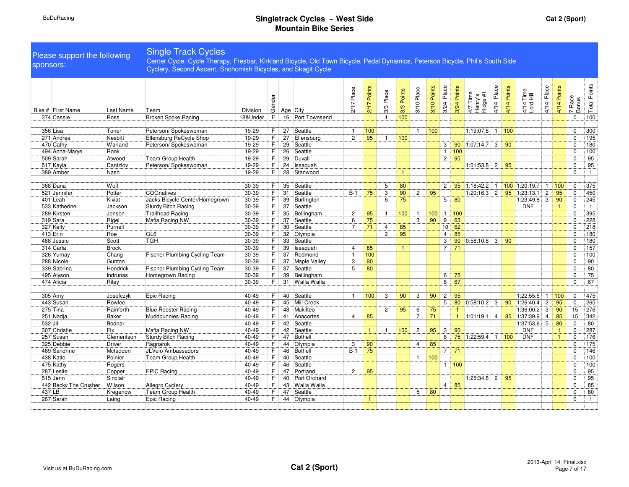| sponsors: | Please support the following |                    | <b>Single Track Cycles</b><br>Center Cycle, Cycle Therapy, Fresbar, Kirkland Bicycle, Old Town Bicycle, Pedal Dynamics, Peterson Bicycle, Phil's South Side<br>Cyclery, Second Ascent, Snohomish Bicycles, and Skagit Cycle |                |         |          |                    |                |                  |                |               |                |             |                 |                                  |                                 |               |             |                              |            |                              |                            |                 |
|-----------|------------------------------|--------------------|-----------------------------------------------------------------------------------------------------------------------------------------------------------------------------------------------------------------------------|----------------|---------|----------|--------------------|----------------|------------------|----------------|---------------|----------------|-------------|-----------------|----------------------------------|---------------------------------|---------------|-------------|------------------------------|------------|------------------------------|----------------------------|-----------------|
|           | Bike # First Name            | Last Name          | Team                                                                                                                                                                                                                        | Division       | Gender  |          | Age City           | 7 Place<br>21  | 2/17 Points      | 3/3 Place      | Points<br>3/3 | 3/10 Place     | 3/10 Points | 3/24 Place      | 3/24 Points                      | 4/7 Time<br>Henry's<br>Ridge #1 | Place<br>4/14 | 4/14 Points | 4/14 Time<br>Lord Hill       | 4/14 Place | 4/14 Points                  | 7 Race<br>Bonus            | Total Points    |
|           | 374 Cassie                   | Ross               | <b>Broken Spoke Racing</b>                                                                                                                                                                                                  | 18&Under       | F.      |          | 16 Port Townsend   |                |                  | $\overline{1}$ | 100           |                |             |                 |                                  |                                 |               |             |                              |            |                              | $\mathbf 0$                | 100             |
|           | 356 Lisa                     | Toner              | Peterson/ Spokeswoman                                                                                                                                                                                                       | 19-29          | F       | 27       | Seattle            | $\overline{1}$ | 100              |                |               | $\overline{1}$ | 100         |                 |                                  | $1:19:07.8$ 1 100               |               |             |                              |            |                              | $\mathbf 0$                | 300             |
|           | 271 Andrea                   | Nesbitt            | Ellensburg ReCycle Shop                                                                                                                                                                                                     | 19-29          | F.      | 27       | Ellensburg         | $\overline{2}$ | 95               | $\mathbf{1}$   | 100           |                |             |                 |                                  |                                 |               |             |                              |            |                              | $\mathbf 0$                | 195             |
|           | 470 Cathy                    | Warland            | Peterson/ Spokeswoman                                                                                                                                                                                                       | 19-29          | F.      | 29       | Seattle            |                |                  |                |               |                |             | 3 <sup>1</sup>  | 90                               | $1:07:14.7$ 3 90                |               |             |                              |            |                              | $\mathbf 0$                | 180             |
|           | 494 Anna-Marye               | Rook               |                                                                                                                                                                                                                             | 19-29          | F.      | 26       | Seattle            |                |                  |                |               |                |             | 1               | 100                              |                                 |               |             |                              |            |                              | 0                          | 100             |
|           | 509 Sarah                    | Atwood             | Team Group Health                                                                                                                                                                                                           | 19-29          | F.      | 29       | Duvall             |                |                  |                |               |                |             | 2               | 95                               |                                 |               |             |                              |            |                              | $\mathbf 0$                | $\overline{95}$ |
|           | 517 Kayla                    | Dantzlov           | Peterson/ Spokeswoman                                                                                                                                                                                                       | 19-29          | F       | 24       | Issaquah           |                |                  |                |               |                |             |                 |                                  | $1:01:53.8$ 2                   |               | 95          |                              |            |                              | $\mathbf 0$                | $\overline{95}$ |
|           | 389 Amber                    | Nash               |                                                                                                                                                                                                                             | 19-29          | F.      | 28       | Stanwood           |                |                  |                | $\mathbf{1}$  |                |             |                 |                                  |                                 |               |             |                              |            |                              | $\Omega$                   | $\mathbf{1}$    |
|           |                              |                    |                                                                                                                                                                                                                             |                |         |          |                    |                |                  |                |               |                |             |                 |                                  |                                 |               |             |                              |            |                              |                            |                 |
|           | 368 Dana                     | Wolf               |                                                                                                                                                                                                                             | 30-39          | F.      | 35       | Seattle            |                |                  | 5              | 80            |                |             | $\overline{2}$  |                                  | $95$   1:18:42.2                | $\mathbf{1}$  |             | $100$ 1:20:19.7 1            |            | 100                          | 0                          | 375             |
|           | 521 Jennifer                 | Potter             | <b>COGnatives</b>                                                                                                                                                                                                           | 30-39          | F.      |          | 31 Seattle         | $B-1$          | 75               | 3              | 90            | $\mathbf{2}$   | 95          |                 |                                  |                                 |               |             | $1:20:16.3$ 2 95 1:23:13.1 2 |            | 95                           | $\mathbf 0$                | 450             |
|           | 401 Leah                     | Kiviat             | Jacks Bicycle Center/Homegrown                                                                                                                                                                                              | 30-39          | F       | 39       | Burlington         |                |                  | 6              | 75            |                |             |                 | $5 \mid 80$                      |                                 |               |             | 1:23:49.8 3                  |            | 90                           | $\mathbf 0$                | 245             |
|           | 533 Katherine                | Jackson            | <b>Sturdy Bitch Racing</b>                                                                                                                                                                                                  | 30-39          | F.      | 37       | Seattle            |                |                  |                |               |                |             |                 |                                  |                                 |               |             | <b>DNF</b>                   |            | $\mathbf{1}$                 | $\mathbf 0$                | $\mathbf{1}$    |
|           | 289 Kirsten                  | Jensen             | <b>Trailhead Racing</b>                                                                                                                                                                                                     | 30-39          | F       | 35       | Bellingham         | $\overline{c}$ | 95               | $\overline{1}$ | 100           | $\overline{1}$ | 100         | $1 \cdot$       | 100                              |                                 |               |             |                              |            |                              | $\mathbf 0$                | 395             |
|           | 319 Sara                     | Rigel              | Mafia Racing NW                                                                                                                                                                                                             | 30-39          | F       | 37       | Seattle            | 6              | 75               |                |               | 3              | 90          | 9               | 63                               |                                 |               |             |                              |            |                              | $\mathbf 0$                | 228             |
|           | 327 Kelly                    | Purnell            |                                                                                                                                                                                                                             | 30-39          | F.      | 30       | Seattle            | $\overline{7}$ | 71               | $\overline{4}$ | 85            |                |             | 10 <sup>1</sup> | 62                               |                                 |               |             |                              |            |                              | $\Omega$                   | 218             |
|           | 413 Erin                     | Roe                | GL6                                                                                                                                                                                                                         | 30-39          | F       | 32       | Olympia            |                |                  | $\overline{c}$ | 95            |                |             | $\overline{4}$  | 85                               |                                 |               |             |                              |            |                              | $\mathbf 0$                | 180             |
|           | 488 Jessie                   | Scott              | <b>TGH</b>                                                                                                                                                                                                                  | 30-39          | F       | 33       | Seattle            |                |                  |                |               |                |             | 3               | 90                               | 0:58:10.8                       | 3             | 90          |                              |            |                              | $\Omega$                   | 180             |
|           | 314 Carla                    | <b>Brock</b>       |                                                                                                                                                                                                                             | 30-39          | F.      | 39       | Issaquah           | $\overline{4}$ | 85               |                | $\mathbf{1}$  |                |             | $\overline{7}$  | 71                               |                                 |               |             |                              |            |                              | $\Omega$                   | 157             |
|           | 326 Yumay                    | Chang              | <b>Fischer Plumbing Cycling Team</b>                                                                                                                                                                                        | 30-39          | F       | 37       | Redmond            | $\mathbf{1}$   | 100              |                |               |                |             |                 |                                  |                                 |               |             |                              |            |                              | $\Omega$                   | 100             |
|           | 288 Nicole                   | Gunton             |                                                                                                                                                                                                                             | 30-39          | F.      | 37       | Maple Valley       | 3              | 90               |                |               |                |             |                 |                                  |                                 |               |             |                              |            |                              | $\mathbf 0$                | 90              |
|           | 339 Sabrina                  | Hendrick           | Fischer Plumbing Cycling Team                                                                                                                                                                                               | 30-39          | F       | 37       | Seattle            | 5              | 80               |                |               |                |             |                 |                                  |                                 |               |             |                              |            |                              | $\mathbf 0$                | 80              |
|           | 495 Alyson                   | Indrunas           | Homegrown Racing                                                                                                                                                                                                            | 30-39          | F.      |          | 39 Bellingham      |                |                  |                |               |                |             | 6               | 75                               |                                 |               |             |                              |            |                              | $\mathbf 0$                | $\overline{75}$ |
|           | 474 Alicia                   | Riley              |                                                                                                                                                                                                                             | 30-39          | F.      |          | 31 Walla Walla     |                |                  |                |               |                |             | 8               | 67                               |                                 |               |             |                              |            |                              | $\Omega$                   | 67              |
|           |                              |                    |                                                                                                                                                                                                                             |                |         |          |                    |                |                  |                |               |                |             |                 |                                  |                                 |               |             |                              |            |                              |                            |                 |
|           | 305 Amy                      | Josefczyk          | Epic Racing                                                                                                                                                                                                                 | 40-49          | F.      |          | 40 Seattle         | $\mathbf{1}$   | 100 <sub>1</sub> | 3              | 90            | 3              | 90          | $\overline{2}$  | 95                               |                                 |               |             | $1:22:55.5$ 1                |            | 100                          | $\mathbf 0$                | 475             |
|           | 443 Susan                    | Rowlee             |                                                                                                                                                                                                                             | 40-49          | F       |          | 45 Mill Creek      |                |                  |                |               |                |             | 5               | 80                               | $0:58:10.2$ 3                   |               |             | $90$ 1:26:40.4 2             |            | 95                           | $\mathbf 0$                | 265             |
|           | 275 Tina                     | Rainforth          | <b>Blue Rooster Racing</b>                                                                                                                                                                                                  | 40-49          | F       |          | 48 Mukilteo        |                |                  | 2              | 95            | 6              | 75          |                 | $\mathbf{1}$                     |                                 |               |             | $1:36:00.2$ 3                |            | 90                           | 15                         | 276             |
|           | 251 Nadja                    | <b>Baker</b>       | Muddbunnies Racing                                                                                                                                                                                                          | 40-49          | F.      | 41       | Anacortes          | 4              | 85               |                |               | $\overline{7}$ | 71          |                 |                                  | $1:01:19.1$ 4                   |               | 85          | $1:37:39.9$ 4                |            | 85                           | 15                         | 342             |
| 532 Jill  |                              | Bodnar             |                                                                                                                                                                                                                             | 40-49          | F.      | 42       | Seattle            |                |                  |                |               |                |             |                 |                                  |                                 |               |             | $1:37:53.6$ 5                |            | 80                           | $\mathbf 0$                | 80              |
|           | 307 Christie                 | Fix                | Mafia Racing NW                                                                                                                                                                                                             | 40-49          | F.      | 42       | Seattle            |                | $\vert$ 1        | $\overline{1}$ | 100           | $\overline{2}$ | 95          | 3 <sup>1</sup>  | 90                               |                                 |               |             | <b>DNF</b><br><b>DNF</b>     |            | $\mathbf{1}$<br>$\mathbf{1}$ | $\mathbf 0$                | 287             |
|           | 257 Susan                    | Clementson         | <b>Sturdy Bitch Racing</b>                                                                                                                                                                                                  | 40-49<br>40-49 | F       | 47       | Bothell<br>Olympia |                |                  |                |               |                | 85          | 6               |                                  | 75 1:22:59.4                    |               | 1 100       |                              |            |                              | $\mathbf 0$<br>$\mathbf 0$ | 176<br>175      |
|           | 325 Debbie<br>469 Sandrine   | Driver<br>Mcfadden | Ragnarok<br>JLVelo Ambassadors                                                                                                                                                                                              | 40-49          | F.<br>F | 44<br>46 | Bothell            | 3<br>$B-1$     | 90<br>75         |                |               | $\overline{4}$ |             |                 | $7 \overline{\smash{\big)}\ 71}$ |                                 |               |             |                              |            |                              | $\mathbf 0$                | 146             |
|           | 438 Katie                    | Poinier            | Team Group Health                                                                                                                                                                                                           | 40-49          | F.      |          | 40 Seattle         |                |                  |                |               | $\mathbf{1}$   | 100         |                 |                                  |                                 |               |             |                              |            |                              | $\mathbf 0$                | 100             |
|           | 475 Kathy                    | Rogers             |                                                                                                                                                                                                                             | 40-49          | F.      | 46       | Seattle            |                |                  |                |               |                |             |                 | $1\vert 100 \vert$               |                                 |               |             |                              |            |                              | $\mathbf 0$                | 100             |
|           | 287 Leslie                   | Copper             | <b>EPIC Racing</b>                                                                                                                                                                                                          | 40-49          | F.      |          | 47 Portland        | $\overline{2}$ | 95               |                |               |                |             |                 |                                  |                                 |               |             |                              |            |                              | $\Omega$                   | $\overline{95}$ |
|           | 515 Jenn                     | Sinclair           |                                                                                                                                                                                                                             | 40-49          | F.      |          | 40 Port Orchard    |                |                  |                |               |                |             |                 |                                  | 1:25:34.8 2                     |               | 95          |                              |            |                              | $\mathbf 0$                | 95              |
|           | 442 Becky The Crusher        | Wilson             | <b>Allegro Cyclery</b>                                                                                                                                                                                                      | 40-49          | F       | 43       | Walla Walla        |                |                  |                |               |                |             |                 | $4 \mid 85$                      |                                 |               |             |                              |            |                              | $\Omega$                   | 85              |
| 437 LB    |                              | Kregenow           | Team Group Health                                                                                                                                                                                                           | 40-49          | F       | 47       | Seattle            |                |                  |                |               | 5              | 80          |                 |                                  |                                 |               |             |                              |            |                              | $\mathbf 0$                | 80              |
|           | 267 Sarah                    | Laing              | Epic Racing                                                                                                                                                                                                                 | 40-49          | F       |          | 44 Olympia         |                | $\mathbf{1}$     |                |               |                |             |                 |                                  |                                 |               |             |                              |            |                              | 0                          | $\overline{1}$  |
|           |                              |                    |                                                                                                                                                                                                                             |                |         |          |                    |                |                  |                |               |                |             |                 |                                  |                                 |               |             |                              |            |                              |                            |                 |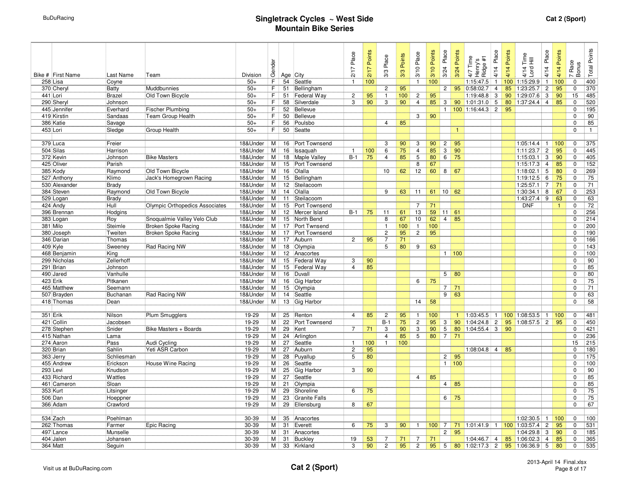| Bike # First Name      | Last Name          | Team                           | Division | Gender         |          | Age City                 | 2/17 Place     | 2/17 Points | 3/3 Place      | 3/3 Points | 3/10 Place     | 3/10 Points | 3/24 Place     | 3/24 Points               | 4/7 Time<br>Henry's<br>Ridge #1 | 4/14 Place     | 4/14 Points | 4/14 Time<br>Lord Hill | Place<br>4/14  | 4/14 Points  | Race<br>Bonus<br>$\overline{a}$ | Total Points |
|------------------------|--------------------|--------------------------------|----------|----------------|----------|--------------------------|----------------|-------------|----------------|------------|----------------|-------------|----------------|---------------------------|---------------------------------|----------------|-------------|------------------------|----------------|--------------|---------------------------------|--------------|
| 258 Lisa               | Coyne              |                                | $50+$    | F              | 54       | Seattle                  | $\overline{1}$ | 100         |                |            | $\mathbf{1}$   | 100         |                |                           | 1:15:47.5                       | $\mathbf{1}$   |             | 100 1:15:29.9          | $\mathbf{1}$   | 100          | $\mathbf 0$                     | 400          |
| 370 Cheryl             | Batty              | Muddbunnies                    | $50+$    | F              | 51       | Bellingham               |                |             | $\overline{2}$ | 95         |                |             | $\overline{2}$ | 95                        | 0:58:02.7                       | $\overline{4}$ |             | 85 1:23:25.7           | $\overline{2}$ | 95           | $\Omega$                        | 370          |
| 441 Lori               | <b>Brazel</b>      | Old Town Bicycle               | $50+$    | F              | 51       | Federal Way              | $\overline{c}$ | 95          | $\mathbf{1}$   | 100        | $\overline{2}$ | 95          |                |                           | 1:19:48.8                       | 3              |             | 90 1:29:07.6           | 3              | 90           | 15                              | 485          |
| 290 Sheryl             | Johnson            |                                | $50+$    | F              | 58       | Silverdale               | 3              | 90          | 3              | 90         | $\overline{4}$ | 85          | 3 <sup>1</sup> | 90                        | 1:01:31.0                       | 5 <sup>5</sup> |             | 80 1:37:24.4 4         |                | 85           | 0                               | 520          |
| 445 Jennifer           | Everhard           | <b>Fischer Plumbing</b>        | $50+$    | F              | 52       | Bellevue                 |                |             |                |            |                |             |                |                           | 1   100   1:16:44.3             | $\overline{2}$ | 95          |                        |                |              | 0                               | 195          |
| 419 Kirstin            | Sandaas            | Team Group Health              | $50+$    | F              | 50       | Bellevue                 |                |             |                |            | 3              | 90          |                |                           |                                 |                |             |                        |                |              | 0                               | 90           |
| 386 Katie              | Savage             |                                | $50+$    | F              | 56       | Poulsbo                  |                |             | $\overline{4}$ | 85         |                |             |                |                           |                                 |                |             |                        |                |              | 0                               | 85           |
| 453 Lori               | Sledge             | Group Health                   | $50+$    | F              | 50       | Seatte                   |                |             |                |            |                |             |                | $\mathbf{1}$              |                                 |                |             |                        |                |              | 0                               | $\mathbf{1}$ |
|                        |                    |                                | 18&Under | M              | 16       | Port Townsend            |                |             | 3              | 90         | 3              | 90          | $\mathbf{2}$   | 95                        |                                 |                |             | $1:05:14.4$ 1          |                | 100          | 0                               |              |
| 379 Luca               | Freier<br>Harrison |                                | 18&Under | М              |          |                          | $\overline{1}$ | 100         | 6              | 75         | $\overline{4}$ | 85          | $\overline{3}$ | 90                        |                                 |                |             |                        | $\overline{c}$ | 95           | 0                               | 375          |
| 504 Silas<br>372 Kevin | Johnson            | <b>Bike Masters</b>            | 18&Under | М              | 16<br>18 | Issaquah<br>Maple Valley | $B-1$          | 75          | $\overline{4}$ | 85         | 5              | 80          | 6 <sup>1</sup> | 75                        |                                 |                |             | 1:11:23.7<br>1:15:03.1 | 3              | 90           | 0                               | 445<br>405   |
| 425 Oliver             | Parish             |                                | 18&Under | М              | 15       | Port Townsend            |                |             |                |            | 8              | 67          |                |                           |                                 |                |             | 1:15:17.3              | $\overline{4}$ | 85           | $\Omega$                        | 152          |
| 385 Kody               | Raymond            | Old Town Bicycle               | 18&Under | м              | 16       | Olalla                   |                |             | 10             | 62         | 12             | 60          | 8 <sup>1</sup> | 67                        |                                 |                |             | 1:18:02.1              | 5              | 80           | $\Omega$                        | 269          |
| 527 Anthony            | Klimo              | Jack's Homegrown Racing        | 18&Under | M              | 15       | Bellingham               |                |             |                |            |                |             |                |                           |                                 |                |             | 1:19:12.5              | 6              | 75           | 0                               | 75           |
| 530 Alexander          | <b>Brady</b>       |                                | 18&Under | M              | 12       | Steilacoom               |                |             |                |            |                |             |                |                           |                                 |                |             | 1:25:57.1              | $\overline{7}$ | 71           | 0                               | 71           |
| 384 Steven             | Raymond            | Old Town Bicycle               | 18&Under | M              | 14       | Olalla                   |                |             | 9              | 63         | 11             | 61          | 10             | 62                        |                                 |                |             | 1:30:34.1              | 8              | 67           | 0                               | 253          |
| 529 Logan              | <b>Brady</b>       |                                | 18&Under | M              | 11       | Steilacoom               |                |             |                |            |                |             |                |                           |                                 |                |             | 1:43:27.4              | 9              | 63           | $\Omega$                        | 63           |
| 424 Andy               | Hull               | Olympic Orthopedics Associates | 18&Under | M              | 15       | Port Townsend            |                |             |                |            | $\overline{7}$ | 71          |                |                           |                                 |                |             | <b>DNF</b>             |                | $\mathbf{1}$ | $\Omega$                        | 72           |
| 396 Brennan            | Hodgins            |                                | 18&Under | М              | 12       | Mercer Island            | B-1            | 75          | 11             | 61         | 13             | 59          | 11             | 61                        |                                 |                |             |                        |                |              | $\Omega$                        | 256          |
| 383 Logan              | Roy                | Snoqualmie Valley Velo Club    | 18&Under | M              | 15       | North Bend               |                |             | 8              | 67         | 10             | 62          | $\overline{4}$ | 85                        |                                 |                |             |                        |                |              | $\Omega$                        | 214          |
| 381 Milo               | Steimle            | <b>Broken Spoke Racing</b>     | 18&Under | M              | 17       | Port Twnsend             |                |             | $\mathbf{1}$   | 100        | $\mathbf{1}$   | 100         |                |                           |                                 |                |             |                        |                |              | $\Omega$                        | 200          |
| 380 Joseph             | Tweiten            | <b>Broken Spoke Racing</b>     | 18&Under | M              | 17       | Port Townsend            |                |             | $\overline{2}$ | 95         | $\overline{2}$ | 95          |                |                           |                                 |                |             |                        |                |              | $\Omega$                        | 190          |
| 346 Darian             | Thomas             |                                | 18&Under | M              | 17       | Auburn                   | $\overline{2}$ | 95          | $\overline{7}$ | 71         |                |             |                |                           |                                 |                |             |                        |                |              | $\Omega$                        | 166          |
| 409 Kyle               | Sweeney            | Rad Racing NW                  | 18&Under | M              | 18       | Olympia                  |                |             | $\overline{5}$ | 80         | $\overline{9}$ | 63          |                |                           |                                 |                |             |                        |                |              | $\Omega$                        | 143          |
| 468 Benjamin           | King               |                                | 18&Under | М              | 12       | Anacortes                |                |             |                |            |                |             |                | $1\overline{100}$         |                                 |                |             |                        |                |              | $\Omega$                        | 100          |
| 299 Nicholas           | Zellerhoff         |                                | 18&Under | м              | 15       | Federal Way              | 3              | 90          |                |            |                |             |                |                           |                                 |                |             |                        |                |              | $\Omega$                        | 90           |
| 291 Brian              | Johnson            |                                | 18&Under | М              | 15       | Federal Way              | $\overline{4}$ | 85          |                |            |                |             |                |                           |                                 |                |             |                        |                |              | $\mathbf 0$                     | 85           |
| 490 Jared              | Vanhulle           |                                | 18&Under | M <sub>1</sub> | 16       | Duvall                   |                |             |                |            |                |             |                | $5 \overline{\smash{80}}$ |                                 |                |             |                        |                |              | $\Omega$                        | 80           |
| 423 Erik               | Pitkanen           |                                | 18&Under | M              | 16       | Gig Harbor               |                |             |                |            | 6              | 75          |                |                           |                                 |                |             |                        |                |              | 0                               | 75           |
| 465 Matthew            | Seemann            |                                | 18&Under | M              | 15       | Olympia                  |                |             |                |            |                |             | $\overline{7}$ | 71                        |                                 |                |             |                        |                |              | $\Omega$                        | 71           |
| 507 Brayden            | Buchanan           | Rad Racing NW                  | 18&Under | M              | 14       | Seattle                  |                |             |                |            |                |             | 9              | 63                        |                                 |                |             |                        |                |              | $\mathbf 0$                     | 63           |
| 418 Thomas             | Dean               |                                | 18&Under | M              |          | 13 Gig Harbor            |                |             |                |            | 14             | 58          |                |                           |                                 |                |             |                        |                |              | $\Omega$                        | 58           |
|                        |                    |                                |          |                |          |                          |                |             |                |            |                |             |                |                           |                                 |                |             |                        |                |              |                                 |              |
| 351 Erik               | Nilson             | <b>Plum Smugglers</b>          | 19-29    | M              | 25       | Renton                   | $\overline{4}$ | 85          | $\overline{2}$ | 95         | $\mathbf{1}$   | 100         |                | $\mathbf{1}$              | 1:03:45.5                       | $\vert$ 1      |             | $100$ 1:08:53.5 1      |                | 100          | $\mathbf 0$                     | 481          |
| 421 Collin             | Jacobsen           |                                | 19-29    | M              | 22       | Port Townsend            |                |             | $B-1$          | 75         | $\overline{2}$ | 95          | 3 <sup>1</sup> | 90                        | $1:04:24.8$ 2                   |                |             | 95 1:08:57.5           | $\overline{2}$ | 95           | $\mathbf 0$                     | 450          |
| 278 Stephen            | Snider             | Bike Masters + Boards          | 19-29    | M              | 29       | Kent                     | $\overline{7}$ | 71          | 3              | 90         | 3              | 90          | $\overline{5}$ | 80                        | $1:04:55.4$ 3                   |                | 90          |                        |                |              | $\Omega$                        | 421          |
| 415 Nathan             | Lama               |                                | 19-29    | М              | 24       | Arlington                |                |             | $\overline{4}$ | 85         | $\overline{5}$ | 80          | $\vert$ 7      | 71                        |                                 |                |             |                        |                |              | 0                               | 236          |
| 274 Aaron              | Pass               | Audi Cycling                   | 19-29    | M              | 27       | Seattle                  | $\overline{1}$ | 100         | $\mathbf{1}$   | 100        |                |             |                |                           |                                 |                |             |                        |                |              | 15                              | 215          |
| 320 Brian              | Sahlin             | Yeti ASR Carbon                | 19-29    | M              | 27       | Auburn                   | $\overline{c}$ | 95          |                |            |                |             |                |                           | 1:08:04.8                       | $\overline{4}$ | 85          |                        |                |              | $\Omega$                        | 180          |
| 363 Jerry              | Schliesman         |                                | 19-29    | M              | 28       | Puyallup                 | 5              | 80          |                |            |                |             | $\overline{2}$ | 95                        |                                 |                |             |                        |                |              | $\Omega$                        | 175          |
| 455 Andrew             | Erickson           | House Wine Racing              | 19-29    | M              | 26       | Seattle                  |                |             |                |            |                |             | 1              | 100                       |                                 |                |             |                        |                |              | $\Omega$                        | 100          |
| 293 Levi               | Knudson            |                                | 19-29    | M              | 25       | Gig Harbor               | 3              | 90          |                |            |                |             |                |                           |                                 |                |             |                        |                |              | $\Omega$                        | 90           |
| 433 Richard            | Wattles            |                                | 19-29    | M              | 27       | Seattle                  |                |             |                |            | $\overline{4}$ | 85          |                |                           |                                 |                |             |                        |                |              | $\Omega$                        | 85           |
| 461 Cameron            | Sloan              |                                | 19-29    | M              | 21       | Olympia                  |                |             |                |            |                |             | $\overline{4}$ | 85                        |                                 |                |             |                        |                |              | $\Omega$                        | 85           |
| 353 Kurt               | Litsinger          |                                | 19-29    | M              | 29       | Shoreline                | 6              | 75          |                |            |                |             |                |                           |                                 |                |             |                        |                |              | 0                               | 75           |
| 506 Dan                | Hoeppner           |                                | 19-29    | M              | 23       | <b>Granite Falls</b>     |                |             |                |            |                |             | 6              | 75                        |                                 |                |             |                        |                |              | $\Omega$                        | 75           |
| 366 Adam               | Crawford           |                                | 19-29    | М              | 29       | Ellensburg               | 8              | 67          |                |            |                |             |                |                           |                                 |                |             |                        |                |              | $\Omega$                        | 67           |
|                        |                    |                                |          |                |          |                          |                |             |                |            |                |             |                |                           |                                 |                |             |                        |                |              |                                 |              |
| 534 Zach               | Poehlman           |                                | 30-39    | M <sub>1</sub> | 35       | Anacortes                |                |             |                |            |                |             |                |                           |                                 |                |             | 1:02:30.5              | $\mathbf{1}$   | 100          | 0                               | 100          |
| 262 Thomas             | Farmer             | Epic Racing                    | 30-39    | М              | 31       | Everett                  | 6              | 75          | 3              | 90         | $\mathbf{1}$   | 100         | $\overline{7}$ | 71                        | $1:01:41.9$ 1                   |                |             | 100 1:03:57.4          | $\overline{2}$ | 95           | $\Omega$                        | 531          |
| 497 Lance              | Munselle           |                                | 30-39    | М              | 31       | Anacortes                |                |             |                |            |                |             | $\overline{2}$ | 95                        |                                 |                |             | 1:04:29.8              | 3              | 90           | 0                               | 185          |
| 404 Jalen              | Johansen           |                                | 30-39    | M              | 31       | Buckley                  | 19             | 53          | 7              | 71         | $\overline{7}$ | 71          |                |                           | $1:04:46.7$ 4                   |                |             | 85 1:06:02.3           | $\overline{4}$ | 85           | 0                               | 365          |
| 364 Matt               | Seguin             |                                | 30-39    | M              | 33       | Kirkland                 | 3              | 90          | $\overline{c}$ | 95         | $\overline{2}$ |             | 95   5         | 80                        | $1:02:17.3$ 2                   |                |             | 95 1:06:36.9 5         |                | 80           | 0                               | 535          |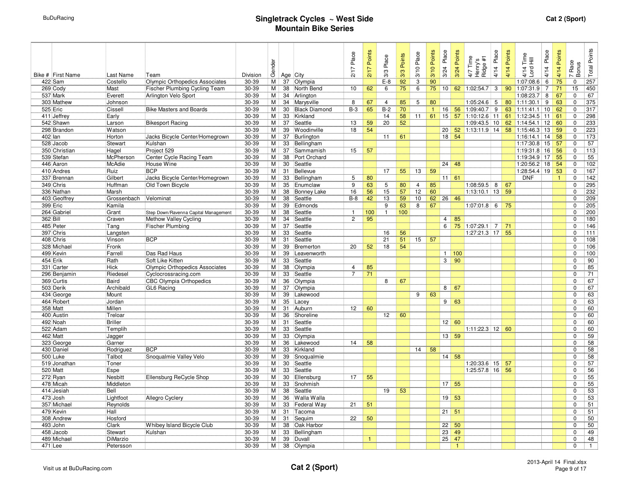|          |                          |                       |                                      |                | Gender   |          |                      | Place<br>2/17  | 2/17 Points  | Place          | 3/3 Points      | 3/10 Place     | 3/10 Points | Place<br>3/24   | Points<br>3/24     | Time<br>_თ $\pm$<br>4/7 Tim<br>Henry's<br>Ridge <del>1</del> | Place<br>4/14  | Points<br>4/14 | 4/14 Time<br>Lord Hill       | Place<br>4/14  | 4/14 Points  | Race<br>Bonus              | <b>Total Points</b> |
|----------|--------------------------|-----------------------|--------------------------------------|----------------|----------|----------|----------------------|----------------|--------------|----------------|-----------------|----------------|-------------|-----------------|--------------------|--------------------------------------------------------------|----------------|----------------|------------------------------|----------------|--------------|----------------------------|---------------------|
|          | Bike # First Name        | Last Name             | Team                                 | Division       |          |          | Age   City           |                |              | 3/3            |                 |                |             |                 |                    |                                                              |                |                |                              |                |              | $\overline{ }$             |                     |
|          | 422 Sam                  | Costello              | Olympic Orthopedics Associates       | $30 - 39$      | M        | 37       | Olympia              |                |              | $E-8$          | $\overline{92}$ | $\overline{3}$ | 90          |                 |                    |                                                              |                |                | 1:07:08.6                    | 6              | 75           | $\Omega$                   | 257                 |
|          | 269 Cody                 | Mast                  | Fischer Plumbing Cycling Team        | $30 - 39$      | М        | 38       | North Bend           | 10             | 62           | 6              | 75              | $\overline{6}$ | 75          | 10              | 62                 | 1:02:54.7                                                    | 3              | 90             | 1:07:31.9                    | $\overline{7}$ | 71           | 15                         | 450                 |
|          | 537 Mark                 | Everett               | Arlington Velo Sport                 | $30 - 39$      | М        | 34       | Arlington            |                |              |                |                 |                |             |                 |                    |                                                              |                |                | 1:08:23.7                    | 8              | 67           | $\mathbf 0$                | 67                  |
|          | 303 Mathew               | Johnson               |                                      | $30 - 39$      | М        | 34       | Marysville           | 8              | 67           | $\overline{4}$ | 85              | 5              | 80          |                 |                    | 1:05:24.6                                                    | 5              | 80             | 1:11:30.1                    | 9              | 63           | $\mathbf 0$                | 375                 |
|          | 525 Eric                 | Cissell               | <b>Bike Masters and Boards</b>       | $30 - 39$      | М        | 30       | <b>Black Diamond</b> | $B-3$          | 65           | $B-2$          | 70              |                | 1           |                 | $16 \, 56$         | 1:09:40.7                                                    | 9              |                | 63 1:11:41.1 10              |                | 62           | $\mathbf 0$                | 317                 |
|          | 411 Jeffrey<br>542 Shawn | Early                 | <b>Bikesport Racing</b>              | 30-39<br>30-39 | M<br>М   | 33<br>37 | Kirkland<br>Seattle  | 13             | 59           | 14<br>20       | 58<br>52        | 11             | 61          | 15 <sup>1</sup> | 57                 | $1:10:12.6$ 11<br>1:09:43.5 10                               |                | 61             | 1:12:34.5                    | 11             | 61<br>60     | $\mathbf 0$<br>$\mathbf 0$ | 298<br>233          |
|          | 298 Brandon              | Larson<br>Watson      |                                      | 30-39          | М        | 39       | Woodinville          | 18             | 54           |                |                 |                |             | 20 <sup>1</sup> | 52                 | $1:13:11.9$ 14                                               |                |                | 62 1:14:54.1<br>58 1:15:46.3 | 12<br>13       | 59           | $\mathbf 0$                | 223                 |
| 402 lan  |                          | Horton                | Jacks Bicycle Center/Homegrown       | 30-39          | М        | 37       | Burlington           |                |              | 11             | 61              |                |             |                 | 18   54            |                                                              |                |                | $1:16:14.1$ 14               |                | 58           | $\mathbf 0$                | 173                 |
|          | 528 Jacob                | Stewart               | Kulshan                              | 30-39          | M        | 33       | Bellingham           |                |              |                |                 |                |             |                 |                    |                                                              |                |                | $1:17:30.8$ 15               |                | 57           | $\Omega$                   | 57                  |
|          | 350 Christian            | Hagel                 | Project 529                          | 30-39          | M        | 37       | Sammamish            | 15             | 57           |                |                 |                |             |                 |                    |                                                              |                |                | 1:19:31.8                    | 16             | 56           | $\mathbf 0$                | 113                 |
|          | 539 Stefan               | McPherson             | Center Cycle Racing Team             | 30-39          | М        | 38       | Port Orchard         |                |              |                |                 |                |             |                 |                    |                                                              |                |                | 1:19:34.9 17                 |                | 55           | $\mathbf 0$                | 55                  |
|          | 446 Aaron                | McAdie                | House Wine                           | 30-39          | M        | 30       | Seattle              |                |              |                |                 |                |             |                 | $24 \mid 48$       |                                                              |                |                | $1:20:56.2$ 18               |                | 54           | $\mathbf 0$                | 102                 |
|          | 410 Andres               | Ruiz                  | <b>BCP</b>                           | 30-39          | M        | 31       | Bellevue             |                |              | 17             | 55              | 13             | 59          |                 |                    |                                                              |                |                | 1:28:54.4 19                 |                | 53           | $\mathbf 0$                | 167                 |
|          | 337 Brennan              | Gilbert               | Jacks Bicycle Center/Homegrown       | 30-39          | м        | 33       | Bellingham           | 5              | 80           |                |                 |                |             |                 | $11 \ 61$          |                                                              |                |                | <b>DNF</b>                   |                | $\mathbf{1}$ | $\Omega$                   | 142                 |
|          | 349 Chris                | Huffman               | Old Town Bicycle                     | 30-39          | M        | 35       | Enumclaw             | 9              | 63           | 5              | 80              | 4              | 85          |                 |                    | 1:08:59.5                                                    | 8              | 67             |                              |                |              | $\Omega$                   | 295                 |
|          | 336 Nathan               | Marsh                 |                                      | 30-39          | М        | 38       | <b>Bonney Lake</b>   | 16             | 56           | 15             | 57              | 12             | 60          |                 |                    | 1:13:10.1                                                    | 13             | 59             |                              |                |              | $\Omega$                   | 232                 |
|          | 403 Geoffrey             | Grossenbach Velominat |                                      | 30-39          | М        | 38       | Seattle              | $B-8$          | 42           | 13             | 59              | 10             | 62          |                 | $26 \mid 46$       |                                                              |                |                |                              |                |              | $\Omega$                   | 209                 |
|          | 399 Eric                 | Kamila                |                                      | 30-39          | M        | 39       | Edmonds              |                |              | 9              | 63              | 8              | 67          |                 |                    | 1:07:01.8                                                    | 6              | 75             |                              |                |              | $\Omega$                   | 205                 |
|          | 264 Gabriel              | Grant                 | Step Down/Ravenna Capital Management | 30-39          | M        | 38       | Seattle              | $\mathbf{1}$   | 100          | $\mathbf{1}$   | 100             |                |             |                 |                    |                                                              |                |                |                              |                |              | $\Omega$                   | 200                 |
| 362 Bill |                          | Craven                | Methow Valley Cycling                | 30-39          | М        | 34       | Seattle              | $\overline{2}$ | 95           |                |                 |                |             | $\overline{4}$  | 85                 |                                                              |                |                |                              |                |              | $\Omega$                   | 180                 |
|          | 485 Peter                | Tang                  | <b>Fischer Plumbing</b>              | 30-39          | м        | 37       | Seattle              |                |              |                |                 |                |             | 6               | 75                 | 1:07:29.1                                                    | $\overline{7}$ | 71             |                              |                |              | $\Omega$                   | 146                 |
|          | 397 Chris                | Langsten              |                                      | 30-39          | M        | 33       | Seattle              |                |              | 16             | 56              |                |             |                 |                    | 1:27:21.3 17                                                 |                | 55             |                              |                |              | $\Omega$                   | 111                 |
|          | 408 Chris                | Vinson                | <b>BCP</b>                           | 30-39          | M        | 31       | Seattle              |                |              | 21             | 51              | 15             | 57          |                 |                    |                                                              |                |                |                              |                |              | $\Omega$                   | 108                 |
|          | 328 Michael              | Fronk                 |                                      | $30 - 39$      | M        | 39       | Bremerton            | 20             | 52           | 18             | 54              |                |             |                 |                    |                                                              |                |                |                              |                |              | $\Omega$                   | 106                 |
|          | 499 Kevin                | Farrell               | Das Rad Haus                         | $30 - 39$      | M        | 39       | Leavenworth          |                |              |                |                 |                |             |                 | $1 \overline{100}$ |                                                              |                |                |                              |                |              | $\Omega$                   | 100                 |
|          | 454 Erik                 | Rath                  | Soft Like Kitten                     | $30 - 39$      | M        | 33       | Seattle              |                |              |                |                 |                |             | 3 <sup>1</sup>  | 90                 |                                                              |                |                |                              |                |              | $\Omega$                   | 90                  |
|          | 331 Carter               | Hick                  | Olympic Orthopedics Associates       | 30-39          | M        | 38       | Olympia              | 4              | 85           |                |                 |                |             |                 |                    |                                                              |                |                |                              |                |              | $\Omega$                   | 85                  |
|          | 296 Benjamin             | Riedesel              | Cyclocrossracing.com                 | $30 - 39$      | M        | 33       | Seattle              | $\overline{7}$ | 71           |                |                 |                |             |                 |                    |                                                              |                |                |                              |                |              | $\Omega$                   | 71                  |
|          | 369 Curtis               | Baird                 | <b>CBC Olympia Orthopedics</b>       | $30 - 39$      | M        | 36       | Olympia              |                |              | 8              | 67              |                |             |                 |                    |                                                              |                |                |                              |                |              | $\Omega$                   | 67                  |
|          | 503 Derik                | Archibald             | <b>GL6 Racing</b>                    | $30 - 39$      | М        | 37       | Olympia              |                |              |                |                 |                |             |                 | $8 \mid 67$        |                                                              |                |                |                              |                |              | $\Omega$                   | 67                  |
|          | 434 George               | Mount                 |                                      | $30 - 39$      | М        | 39       | Lakewood             |                |              |                |                 | 9              | 63          |                 |                    |                                                              |                |                |                              |                |              | $\Omega$                   | 63                  |
|          | 464 Robert               | Jordan                |                                      | $30 - 39$      | М        | 35       | Lacey                |                |              |                |                 |                |             |                 | $9 \mid 63$        |                                                              |                |                |                              |                |              | $\Omega$                   | 63                  |
|          | 358 Matt                 | Millen                |                                      | $30 - 39$      | M        | 31       | Auburn               | 12             | 60           |                |                 |                |             |                 |                    |                                                              |                |                |                              |                |              | $\Omega$                   | 60                  |
|          | 400 Austin               | Treloar               |                                      | $30 - 39$      | М        | 36       | Shoreline            |                |              | 12             | 60              |                |             |                 |                    |                                                              |                |                |                              |                |              | $\mathbf 0$                | 60                  |
|          | 492 Noah                 | <b>Briller</b>        |                                      | 30-39          | М        | 31       | Seattle              |                |              |                |                 |                |             |                 | $12 \mid 60$       |                                                              |                |                |                              |                |              | $\mathbf 0$                | 60                  |
|          | 522 Adam                 | Templih               |                                      | 30-39          | М        | 33       | Seattle              |                |              |                |                 |                |             |                 |                    | $1:11:22.3$ 12                                               |                | 60             |                              |                |              | $\Omega$                   | 60                  |
|          | 462 Matt<br>323 George   | Jagger<br>Garner      |                                      | 30-39<br>30-39 | M<br>М   | 33<br>36 | Olympia<br>Lakewood  | 14             | 58           |                |                 |                |             |                 | 13   59            |                                                              |                |                |                              |                |              | $\mathbf 0$<br>$\mathbf 0$ | 59<br>58            |
|          | 430 Daniel               | Rodriguez             | <b>BCP</b>                           | 30-39          | M        | 33       | Kirkland             |                |              |                |                 | 14             | 58          |                 |                    |                                                              |                |                |                              |                |              | $\Omega$                   | 58                  |
|          | 500 Luke                 | Talbot                | Snoqualmie Valley Velo               | 30-39          | М        | 39       | Snoqualmie           |                |              |                |                 |                |             |                 | 14 58              |                                                              |                |                |                              |                |              | $\Omega$                   | 58                  |
|          | 519 Jonathan             | Toner                 |                                      | 30-39          | м        | 30       | Seattle              |                |              |                |                 |                |             |                 |                    | $1:20:33.6$ 15                                               |                | 57             |                              |                |              | $\Omega$                   | 57                  |
|          | 520 Matt                 | Espe                  |                                      | 30-39          | M        | 33       | Seattle              |                |              |                |                 |                |             |                 |                    | $1:25:57.8$ 16                                               |                | 56             |                              |                |              | $\Omega$                   | 56                  |
|          | 272 Ryan                 | Nesbitt               | Ellensburg ReCycle Shop              | 30-39          | М        | 30       | Ellensburg           | 17             | 55           |                |                 |                |             |                 |                    |                                                              |                |                |                              |                |              | $\Omega$                   | 55                  |
|          | 478 Micah                | Middleton             |                                      | 30-39          | М        | 33       | Snohmish             |                |              |                |                 |                |             |                 | 17   55            |                                                              |                |                |                              |                |              | $\Omega$                   | 55                  |
|          | 414 Jesiah               | Bell                  |                                      | 30-39          | м        | 38       | Seattle              |                |              | 19             | 53              |                |             |                 |                    |                                                              |                |                |                              |                |              | $\Omega$                   | 53                  |
|          | 473 Josh                 | Lightfoot             | <b>Allegro Cyclery</b>               | 30-39          | М        | 36       | Walla Walla          |                |              |                |                 |                |             | 19 <sup>1</sup> | 53                 |                                                              |                |                |                              |                |              | $\Omega$                   | 53                  |
|          | 357 Michael              | Reynolds              |                                      | 30-39          | M        | 33       | Federal Way          | 21             | 51           |                |                 |                |             |                 |                    |                                                              |                |                |                              |                |              | $\Omega$                   | 51                  |
|          | 479 Kevin                | Hall                  |                                      | 30-39          | M        | 31       | Tacoma               |                |              |                |                 |                |             |                 | $21 \ 51$          |                                                              |                |                |                              |                |              | $\Omega$                   | 51                  |
|          | 308 Andrew               | Hosford               |                                      | 30-39          | M        | 31       | Sequim               | 22             | 50           |                |                 |                |             |                 |                    |                                                              |                |                |                              |                |              | $\Omega$                   | 50                  |
|          | 493 John                 | Clark                 | Whibey Island Bicycle Club           | 30-39          | M        | 38       | Oak Harbor           |                |              |                |                 |                |             | $\overline{22}$ | 50                 |                                                              |                |                |                              |                |              | $\Omega$                   | 50                  |
|          | 458 Jacob                | Stewart               | Kulshan                              | 30-39          | M        | 33       | Bellingham           |                |              |                |                 |                |             | 23              | 49                 |                                                              |                |                |                              |                |              | $\Omega$                   | 49                  |
|          | 489 Michael              | DiMarzio              |                                      | $30 - 39$      | M        | 39       | Duvall               |                | $\mathbf{1}$ |                |                 |                |             | 25              | 47                 |                                                              |                |                |                              |                |              | $\Omega$                   | 48                  |
|          | 471 Lee                  | Petersson             |                                      | 30-39          | $M \mid$ |          | 38 Olympia           |                |              |                |                 |                |             |                 | $\mathbf{1}$       |                                                              |                |                |                              |                |              | $\Omega$                   | $\mathbf{1}$        |
|          |                          |                       |                                      |                |          |          |                      |                |              |                |                 |                |             |                 |                    |                                                              |                |                |                              |                |              |                            |                     |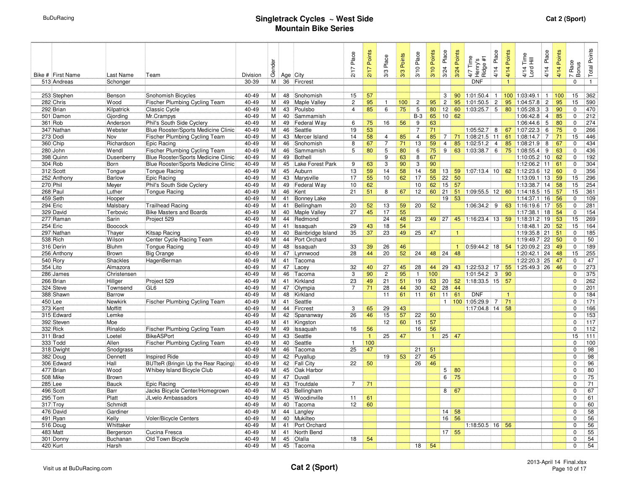| Bike # First Name<br>513 Andreas | Last Name<br>Schonger | Team                                         | Division<br>30-39 | Gender<br>M | 36       | Age City<br>Fircrest       | 2/17 Place     | 2/17 Points  | Place<br>3/3                     | 3/3 Points | 3/10 Place           | 3/10 Points | 3/24 Place      | 3/24 Points  | Time<br>$\frac{1}{4}$ %<br>4/7 Tim<br>Henry's<br>Ridge #<br><b>DNF</b> | Place<br>4/14  | 4/14 Points<br>$\overline{1}$ | 4/14 Time<br>Lord Hill | Place<br>4/14       | 4/14 Points | Race<br>Bonus<br>$\overline{ }$<br>$\Omega$ | Total Points<br>$\mathbf{1}$ |
|----------------------------------|-----------------------|----------------------------------------------|-------------------|-------------|----------|----------------------------|----------------|--------------|----------------------------------|------------|----------------------|-------------|-----------------|--------------|------------------------------------------------------------------------|----------------|-------------------------------|------------------------|---------------------|-------------|---------------------------------------------|------------------------------|
|                                  |                       |                                              |                   |             |          |                            |                |              |                                  |            |                      |             |                 |              |                                                                        |                |                               |                        |                     |             |                                             |                              |
| 253 Stephen                      | Benson                | Snohomish Bicycles                           | 40-49             | M           | 48       | Snohomish                  | 15             | 57           |                                  |            |                      |             | 3               | 90           | 1:01:50.4                                                              | $\mathbf{1}$   |                               | 100 1:03:49.1          | $\overline{1}$      | 100         | 15                                          | 362                          |
| 282 Chris                        | Wood                  | Fischer Plumbing Cycling Team                | 40-49             | м           | 49       | Maple Valley               | $\overline{c}$ | 95           | $\mathbf{1}$                     | 100        | $\overline{c}$       | 95          | $\overline{2}$  | 95           | 1:01:50.5                                                              | $\overline{2}$ | 95                            | 1:04:57.8              | $\overline{c}$      | 95          | 15                                          | 590                          |
| 292 Brian                        | Kilpatrick            | Classic Cycle                                | 40-49             | M           | 43       | Poulsbo                    | $\overline{4}$ | 85           | 6                                | 75         | 5                    | 80          | 12              | 60           | 1:03:25.7                                                              | 5              |                               | 80 1:05:28.3           | 3                   | 90          | $\mathbf 0$                                 | 470                          |
| 501 Damon                        | Gjording              | Mr.Crampys                                   | 40-49             | M           | 40       | Sammamish                  |                |              |                                  |            | $B-3$                | 65          | 10              | 62           |                                                                        |                |                               | 1:06:42.8              | $\overline{4}$      | 85          | $\Omega$                                    | 212                          |
| 361 Rob                          | Anderson              | Phil's South Side Cyclery                    | 40-49             | M           | 49       | Federal Way                | 6              | 75           | 16                               | 56         | 9                    | 63          |                 |              |                                                                        |                |                               | 1:06:44.6              | 5                   | 80          | $\mathbf 0$                                 | 274                          |
| 347 Nathan                       | Webster               | Blue Rooster/Sports Medicine Clinic          | 40-49             | M           | 46       | Seattle                    | 19<br>14       | 53           |                                  |            | $\overline{7}$       | 71          | $\overline{7}$  |              | 1:05:52.7                                                              | 8              | 67                            | 1:07:22.3              | 6                   | 75<br>71    | $\mathbf 0$                                 | 266                          |
| 273 Dodi                         | Nov<br>Richardson     | Fischer Plumbing Cycling Team<br>Epic Racing | 40-49<br>40-49    | M<br>M      | 43<br>46 | Mercer Island<br>Snohomish | 8              | 58<br>67     | $\overline{4}$<br>$\overline{7}$ | 85<br>71   | $\overline{4}$<br>13 | 85<br>59    | $\overline{4}$  | 71<br>85     | $1:08:21.5$ 11<br>1:02:51.2                                            | $\overline{4}$ | 61<br>85                      | 1:08:14.7<br>1:08:21.9 | $\overline{7}$<br>8 | 67          | 15<br>$\Omega$                              | 446<br>434                   |
| 360 Chip<br>280 John             | Wendl                 | Fischer Plumbing Cycling Team                | 40-49             | M           | 46       | Sammamish                  | 5              | 80           | 5                                | 80         | 6                    | 75          | 9               | 63           | 1:03:38.7                                                              | 6              | 75                            | 1:08:55.4              | 9                   | 63          | $\mathbf 0$                                 | 436                          |
| 398 Quinn                        | Dusenberry            | Blue Rooster/Sports Medicine Clinic          | 40-49             | м           | 49       | Bothell                    |                |              | 9                                | 63         | 8                    | 67          |                 |              |                                                                        |                |                               | 1:10:05.2              | 10                  | 62          | $\mathbf 0$                                 | 192                          |
| 304 Rob                          | Born                  | Blue Rooster/Sports Medicine Clinic          | 40-49             | M           | 45       | Lake Forest Park           | 9              | 63           | 3                                | 90         | 3                    | 90          |                 |              |                                                                        |                |                               | 1:12:06.2 11           |                     | 61          | $\mathbf 0$                                 | 304                          |
| 312 Scott                        | Tongue                | <b>Tongue Racing</b>                         | 40-49             | M           | 45       | Auburn                     | 13             | 59           | 14                               | 58         | 14                   | 58          | 13              | 59           | $1:07:13.4$ 10 62 1:12:23.6                                            |                |                               |                        | 12                  | 60          | $\mathbf 0$                                 | 356                          |
| 252 Anthony                      | Barlow                | Epic Racing                                  | 40-49             | M           | 43       | Marysville                 | 17             | 55           | 10 <sup>1</sup>                  | 62         | 17                   | 55          | 22              | 50           |                                                                        |                |                               | 1:13:09.1              | 13                  | 59          | 15                                          | 296                          |
| 270 Phil                         | Meyer                 | Phil's South Side Cyclery                    | 40-49             | M           | 49       | Federal Way                | 10             | 62           |                                  |            | 10                   | 62          | 15              | 57           |                                                                        |                |                               | 1:13:38.7              | 14                  | 58          | 15                                          | 254                          |
| 268 Paul                         | Luther                | <b>Tonque Racing</b>                         | 40-49             | M           | 46       | Kent                       | 21             | 51           | 8                                | 67         | 12                   | 60          | 21              | 51           | 1:09:55.5                                                              | 12             | 60                            | 1:14:18.5              | 15                  | 57          | 15                                          | 361                          |
| 459 Seth                         | Hooper                |                                              | 40-49             | M           | 41       | <b>Bonney Lake</b>         |                |              |                                  |            |                      |             | 19              | 53           |                                                                        |                |                               | 1:14:37.1              | 16                  | 56          | 0                                           | 109                          |
| 294 Eric                         | Malsbary              | <b>Trailhead Racing</b>                      | 40-49             | M           | 41       | Bellingham                 | 20             | 52           | 13                               | 59         | 20                   | 52          |                 |              | 1:06:34.2                                                              | 9              | 63                            | 1:16:19.6              | 17                  | 55          | $\Omega$                                    | 281                          |
| 329 David                        | Terbovic              | <b>Bike Masters and Boards</b>               | 40-49             | M           | 40       | Maple Valley               | 27             | 45           | 17                               | 55         |                      |             |                 |              |                                                                        |                |                               | 1:17:38.1              | 18                  | 54          | $\Omega$                                    | 154                          |
| 277 Raman                        | Sarin                 | Project 529                                  | 40-49             | M           | 44       | Redmond                    |                |              | 24                               | 48         | 23                   | 49          | 27              | 45           | 1:16:23.4                                                              | 13             |                               | 59 1:18:31.2           | 19                  | 53          | 15                                          | 269                          |
| 254 Eric                         | Boocock               |                                              | 40-49             | M           | 41       | Issaquah                   | 29             | 43           | 18                               | 54         |                      |             |                 |              |                                                                        |                |                               | 1:18:48.1              | 20                  | 52          | 15                                          | 164                          |
| 297 Nathan                       | Thayer                | Kitsap Racing                                | 40-49             | м           | 40       | Bainbridge Island          | 35             | 37           | 23                               | 49         | 25                   | 47          |                 | $\mathbf{1}$ |                                                                        |                |                               | 1:19:35.8              | 21                  | 51          | $\Omega$                                    | 185                          |
| 538 Rich                         | Wilson                | Center Cycle Racing Team                     | 40-49             | M           | 44       | Port Orchard               |                |              |                                  |            |                      |             |                 |              |                                                                        |                |                               | 1:19:49.7              | 22                  | 50          | $\Omega$                                    | 50                           |
| 316 Derin                        | <b>Bluhm</b>          | <b>Tongue Racing</b>                         | 40-49             | M I         | 48       | Issaquah                   | 33             | 39           | 26                               | 46         |                      |             |                 | $\mathbf{1}$ | $0.59.44.2$ 18 54 1.20.09.2                                            |                |                               |                        | 23                  | 49          | $\Omega$                                    | 189                          |
| 256 Anthony                      | Brown                 | <b>Big Orange</b>                            | 40-49             | M           | 47       | Lynnwood                   | 28             | 44           | 20                               | 52         | 24                   | 48          | 24              | 48           |                                                                        |                |                               | 1:20:42.1              | 24                  | 48          | 15                                          | 255                          |
| 540 Rory                         | Shackles              | HagenBerman                                  | 40-49             | M           | 41       | Tacoma                     |                |              |                                  |            |                      |             |                 |              |                                                                        |                |                               | 1:22:20.3              | 25                  | 47          | $\Omega$                                    | 47                           |
| 354 Lito                         | Almazora              |                                              | 40-49             | M           | 47       | Lacey                      | 32             | 40           | 27                               | 45         | 28                   | 44          | 29              | 43           | 1:22:53.2                                                              | 17             | 55                            | 1:25:49.3 26           |                     | 46          | $\mathbf 0$                                 | 273                          |
| 286 James                        | Christensen           |                                              | 40-49             | Мİ          | 46       | Tacoma                     | 3              | 90           | $\overline{c}$                   | 95         | $\mathbf{1}$         | 100         |                 |              | 1:01:54.2                                                              | 3              | 90                            |                        |                     |             | $\Omega$                                    | 375                          |
| 266 Brian                        | Hillger               | Project 529                                  | 40-49             | M           | 41       | Kirkland                   | 23             | 49           | 21                               | 51         | 19                   |             | 53   20         | 52           | $1:18:33.5$ 15                                                         |                | 57                            |                        |                     |             | 0                                           | 262                          |
| 324 Steve                        | Townsend              | GL6                                          | 40-49             | M           | 47       | Olympia                    | $\overline{7}$ | 71           | 28                               | 44         | 30                   | 42          | 28 <sup>1</sup> | 44           |                                                                        |                |                               |                        |                     |             | $\Omega$                                    | 201                          |
| 388 Shawn                        | Barrow                |                                              | 40-49             | M           | 48       | Kirkland                   |                |              | 11                               | 61         | 11                   | 61          | 11              | 61           | <b>DNF</b>                                                             |                | $\mathbf{1}$                  |                        |                     |             | $\Omega$                                    | 184                          |
| 450 Lee                          | Newkirk               | <b>Fischer Plumbing Cycling Team</b>         | 40-49             | M I         | 41       | Seattle                    |                |              |                                  |            |                      |             |                 |              | 1 100 1:05:29.9                                                        | $\overline{7}$ | 71                            |                        |                     |             | $\Omega$                                    | 171                          |
| 373 Kent                         | Moffitt               |                                              | 40-49             | M           | 44       | Fircrest                   | 3              | 65           | 29                               | 43<br>57   | $\overline{22}$      |             |                 |              | $1:17:04.8$ 14                                                         |                | 58                            |                        |                     |             | $\Omega$                                    | 166                          |
| 315 Edward                       | Lemke                 |                                              | 40-49<br>40-49    | M l         | 42       | Spananway                  | 26             | 46           | 15<br>12                         | 60         | 15                   | 50<br>57    |                 |              |                                                                        |                |                               |                        |                     |             | $\Omega$                                    | 153<br>117                   |
| 392 Steven<br>332 Rick           | Moe<br>Rinaldo        | Fischer Plumbing Cycling Team                | 40-49             | M  <br>Мİ   | 41<br>49 | Kingston<br>Issaquah       | 16             | 56           |                                  |            | 16                   | 56          |                 |              |                                                                        |                |                               |                        |                     |             | 0<br>$\Omega$                               | 112                          |
| 311 Brad                         | Loetel                | <b>BikeASPort</b>                            | 40-49             | M           | 43       | Seattle                    |                | $\mathbf{1}$ | 25                               | 47         |                      | 1           |                 | $25 \mid 47$ |                                                                        |                |                               |                        |                     |             | 15                                          | 111                          |
| 333 Todd                         | Allen                 | Fischer Plumbing Cycling Team                | 40-49             | M           | 40       | Seattle                    | $\mathbf{1}$   | 100          |                                  |            |                      |             |                 |              |                                                                        |                |                               |                        |                     |             | $\mathbf 0$                                 | 100                          |
| 318 Dwight                       | Snodgrass             |                                              | 40-49             | M           | 46       | Tacoma                     | 25             | 47           |                                  |            | 21                   | 51          |                 |              |                                                                        |                |                               |                        |                     |             | $\Omega$                                    | 98                           |
| 382 Doug                         | Dennett               | <b>Inspired Ride</b>                         | 40-49             | M           | 42       | Puyallup                   |                |              | 19                               | 53         | 27                   | 45          |                 |              |                                                                        |                |                               |                        |                     |             | $\Omega$                                    | 98                           |
| 306 Edward                       | Hall                  | <b>BUTteR</b> (Bringin Up the Rear Racing)   | 40-49             | М           | 42       | <b>Fall City</b>           | 22             | 50           |                                  |            | 26                   | 46          |                 |              |                                                                        |                |                               |                        |                     |             | U                                           | 96                           |
| 477 Brian                        | Wood                  | Whibey Island Bicycle Club                   | 40-49             | м           | 45       | Oak Harbor                 |                |              |                                  |            |                      |             | $5\phantom{.0}$ | 80           |                                                                        |                |                               |                        |                     |             | $\Omega$                                    | 80                           |
| 508 Mike                         | <b>Brown</b>          |                                              | 40-49             | M           | 47       | Duvall                     |                |              |                                  |            |                      |             | 6               | 75           |                                                                        |                |                               |                        |                     |             | $\Omega$                                    | 75                           |
| 285 Lee                          | Bauck                 | Epic Racing                                  | 40-49             | м           | 43       | Troutdale                  | $\overline{7}$ | 71           |                                  |            |                      |             |                 |              |                                                                        |                |                               |                        |                     |             | $\Omega$                                    | 71                           |
| 496 Scott                        | Barr                  | Jacks Bicycle Center/Homegrown               | 40-49             | м           | 43       | Bellingham                 |                |              |                                  |            |                      |             | 8               | 67           |                                                                        |                |                               |                        |                     |             | U                                           | 67                           |
| 295 Tom                          | Platt                 | JLvelo Ambassadors                           | 40-49             | M           | 45       | Woodinville                | 11             | 61           |                                  |            |                      |             |                 |              |                                                                        |                |                               |                        |                     |             | $\Omega$                                    | 61                           |
| 317 Troy                         | Schmidt               |                                              | 40-49             | M           | 40       | Tacoma                     | 12             | 60           |                                  |            |                      |             |                 |              |                                                                        |                |                               |                        |                     |             | $\Omega$                                    | 60                           |
| 476 David                        | Gardiner              |                                              | 40-49             | M           | 44       | Langley                    |                |              |                                  |            |                      |             | 14              | 58           |                                                                        |                |                               |                        |                     |             | $\Omega$                                    | 58                           |
| 491 Ryan                         | Kelly                 | Voler/Bicycle Centers                        | 40-49             | М           | 40       | Mukilteo                   |                |              |                                  |            |                      |             | 16              | 56           |                                                                        |                |                               |                        |                     |             | $\Omega$                                    | 56                           |
| 516 Doug                         | Whittaker             |                                              | 40-49             | M I         | 41       | Port Orchard               |                |              |                                  |            |                      |             |                 |              | $1:18:50.5$ 16 56                                                      |                |                               |                        |                     |             | $\Omega$                                    | 56                           |
| 483 Matt                         | Bergerson             | Cucina Fresca                                | 40-49             | М           | 41       | North Bend                 |                |              |                                  |            |                      |             |                 | $17 \mid 55$ |                                                                        |                |                               |                        |                     |             | $\Omega$                                    | 55                           |
| 301 Donny                        | Buchanan              | Old Town Bicycle                             | 40-49             | M           | 45       | Olalla                     | 18             | 54           |                                  |            |                      |             |                 |              |                                                                        |                |                               |                        |                     |             | U                                           | 54                           |
| 420 Kurt                         | Harsh                 |                                              | 40-49             | M           |          | 45 Tacoma                  |                |              |                                  |            | 18                   | 54          |                 |              |                                                                        |                |                               |                        |                     |             | U                                           | 54                           |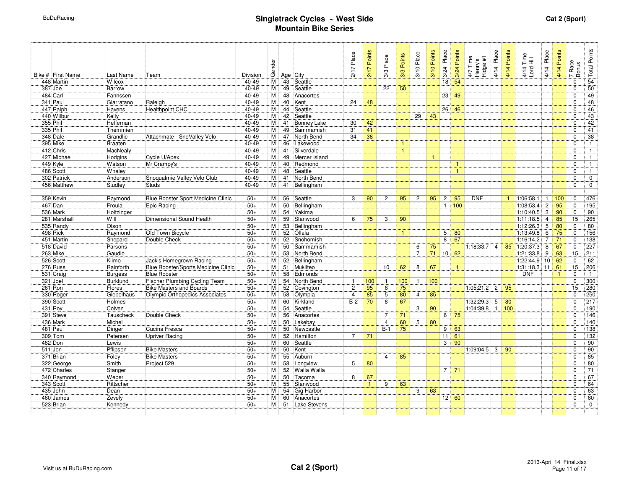| Bike # First Name | Last Name      | Team                                | Division | Gender    |    | Age City           | 2/17 Place     | 2/17 Points  | 3/3 Place       | 3/3 Points   | 3/10 Place     | 3/10 Points  | 3/24 Place     | 3/24 Points  | 4/7 Time<br>Henry's<br>Ridge #1 | 4/14 Place | 4/14 Points | 4/14 Time<br>Lord Hill | Place<br>4/14  | 4/14 Points    | Race<br>Bonus<br>$\sim$ | <b>Total Points</b> |
|-------------------|----------------|-------------------------------------|----------|-----------|----|--------------------|----------------|--------------|-----------------|--------------|----------------|--------------|----------------|--------------|---------------------------------|------------|-------------|------------------------|----------------|----------------|-------------------------|---------------------|
| 448 Martin        | Wilcox         |                                     | 40-49    | М         | 43 | Seattle            |                |              |                 |              |                |              | 18             | 54           |                                 |            |             |                        |                |                | $\Omega$                | $\overline{54}$     |
| 387 Joe           | Barrow         |                                     | 40-49    | M         | 49 | Seattle            |                |              | $\overline{22}$ | 50           |                |              |                |              |                                 |            |             |                        |                |                | $\Omega$                | $\overline{50}$     |
| 484 Carl          | Fannssen       |                                     | 40-49    | M         | 48 | Anacortes          |                |              |                 |              |                |              |                | $23 \mid 49$ |                                 |            |             |                        |                |                | $\Omega$                | 49                  |
| 341 Paul          | Giarratano     | Raleigh                             | 40-49    | M         | 40 | Kent               | 24             | 48           |                 |              |                |              |                |              |                                 |            |             |                        |                |                | $\Omega$                | $\overline{48}$     |
| 447 Ralph         | Havens         | <b>Healthpoint CHC</b>              | 40-49    | $M \mid$  | 44 | Seattle            |                |              |                 |              |                |              |                | $26 \mid 46$ |                                 |            |             |                        |                |                | $\Omega$                | 46                  |
| 440 Wilbur        | Kelly          |                                     | 40-49    | M         | 42 | Seattle            |                |              |                 |              | 29             | 43           |                |              |                                 |            |             |                        |                |                | $\Omega$                | 43                  |
| 355 Phil          | Heffernan      |                                     | 40-49    | M I       | 41 | <b>Bonney Lake</b> | 30             | 42           |                 |              |                |              |                |              |                                 |            |             |                        |                |                | $\mathbf 0$             | 42                  |
| 335 Phil          | Themmien       |                                     | 40-49    | M I       | 49 | Sammamish          | 31             | 41           |                 |              |                |              |                |              |                                 |            |             |                        |                |                | $\Omega$                | 41                  |
| 348 Dale          | Grandlic       | Attachmate - SnoValley Velo         | 40-49    | M         | 47 | North Bend         | 34             | 38           |                 |              |                |              |                |              |                                 |            |             |                        |                |                | $\Omega$                | 38                  |
| 395 Mike          | Braaten        |                                     | 40-49    | M         | 46 | Lakewood           |                |              |                 | $\mathbf{1}$ |                |              |                |              |                                 |            |             |                        |                |                | $\Omega$                | $\mathbf{1}$        |
| 412 Chris         | MacNealy       |                                     | 40-49    | M         | 41 | Silverdale         |                |              |                 | $\mathbf{1}$ |                |              |                |              |                                 |            |             |                        |                |                | $\mathbf 0$             | 1                   |
| 427 Michael       | Hodgins        | Cycle U/Apex                        | 40-49    | М         | 49 | Mercer Island      |                |              |                 |              |                | $\mathbf{1}$ |                |              |                                 |            |             |                        |                |                | $\Omega$                | $\mathbf{1}$        |
| 449 Kyle          | Watson         | Mr Crampy's                         | 40-49    | $M \mid$  | 40 | Redmond            |                |              |                 |              |                |              |                | $\mathbf{1}$ |                                 |            |             |                        |                |                | $\Omega$                | $\mathbf{1}$        |
| 486 Scott         | Whaley         |                                     | 40-49    | $M \vert$ | 48 | Seattle            |                |              |                 |              |                |              |                | $\mathbf{1}$ |                                 |            |             |                        |                |                | $\Omega$                | $\mathbf{1}$        |
| 302 Patrick       | Anderson       | Snoqualmie Valley Velo Club         | 40-49    | М         | 41 | North Bend         |                |              |                 |              |                |              |                |              |                                 |            |             |                        |                |                | 0                       | $\mathbf 0$         |
| 456 Matthew       | Studley        | <b>Studs</b>                        | 40-49    | M         | 41 | Bellingham         |                |              |                 |              |                |              |                |              |                                 |            |             |                        |                |                | $\Omega$                | $\mathbf 0$         |
|                   |                |                                     |          |           |    |                    |                |              |                 |              |                |              |                |              |                                 |            |             |                        |                |                |                         |                     |
| 359 Kevin         | Raymond        | Blue Rooster Sport Medicine Clinic  | $50+$    | M         | 56 | Seattle            | 3              | 90           | $\overline{2}$  | 95           | $\overline{2}$ | 95           | $\overline{c}$ | 95           | <b>DNF</b>                      |            |             | 1:06:58.1              | $\overline{1}$ | 100            | $\Omega$                | 476                 |
| 467 Dan           | Froula         | Epic Racing                         | $50+$    | M         | 50 | Bellingham         |                |              |                 |              |                |              | $\mathbf{1}$   | 100          |                                 |            |             | 1:08:53.4              | $\overline{c}$ | 95             | 0                       | 195                 |
| 536 Mark          | Holtzinger     |                                     | $50+$    | M         | 54 | Yakima             |                |              |                 |              |                |              |                |              |                                 |            |             | 1:10:40.5              | 3              | 90             | $\Omega$                | 90                  |
| 281 Marshall      | Will           | Dimensional Sound Health            | $50+$    | M         | 59 | Stanwood           | 6              | 75           | 3               | 90           |                |              |                |              |                                 |            |             | 1:11:18.5              | $\overline{4}$ | 85             | 15                      | 265                 |
| 535 Randy         | Olson          |                                     | $50+$    | M         | 53 | Bellingham         |                |              |                 |              |                |              |                |              |                                 |            |             | 1:12:26.3              | 5              | 80             | $\Omega$                | 80                  |
| 498 Rick          | Raymond        | Old Town Bicycle                    | $50+$    | M         | 52 | Ollala             |                |              |                 | $\mathbf{1}$ |                |              | 5 <sup>5</sup> | 80           |                                 |            |             | 1:13:49.8              | 6              | 75             | $\mathbf 0$             | 156                 |
| 451 Martin        | Shepard        | Double Check                        | $50+$    | M I       | 52 | Snohomish          |                |              |                 |              |                |              | 8              | 67           |                                 |            |             | 1:16:14.2              | $\overline{7}$ | 71             | $\Omega$                | 138                 |
| 518 David         | Parsons        |                                     | $50+$    | M         | 50 | Sammamish          |                |              |                 |              | 6              | 75           |                |              | $1:18:33.7$ 4                   |            |             | 85 1:20:37.3           | 8              | 67             | $\Omega$                | 227                 |
| 263 Mike          | Gaudio         |                                     | $50+$    | M         | 53 | North Bend         |                |              |                 |              | $\overline{7}$ | 71           | $10$ 62        |              |                                 |            |             | 1:21:33.8              | 9              | 63             | 15                      | 211                 |
| 526 Scott         | Klimo          | Jack's Homegrown Racing             | $50+$    | M         | 52 | Bellingham         |                |              |                 |              |                |              |                |              |                                 |            |             | 1:22:44.9 10           |                | 62             | 0                       | 62                  |
| 276 Russ          | Rainforth      | Blue Rooster/Sports Medicine Clinic | $50+$    | M I       | 51 | Mukilteo           |                |              | 10              | 62           | 8              | 67           |                | $\mathbf{1}$ |                                 |            |             | $1:31:18.3$ 11         |                | 61             | 15                      | 206                 |
| 531 Craig         | <b>Burgess</b> | <b>Blue Rooster</b>                 | $50+$    | Мİ        | 58 | Edmonds            |                |              |                 |              |                |              |                |              |                                 |            |             | <b>DNF</b>             |                | $\overline{1}$ | $\Omega$                | $\mathbf{1}$        |
| 321 Joel          | Burklund       | Fischer Plumbing Cycling Team       | $50+$    | M i       | 54 | North Bend         | $\overline{1}$ | 100          | $\mathbf{1}$    | 100          | 1              | 100          |                |              |                                 |            |             |                        |                |                | $\Omega$                | 300                 |
| 261 Ron           | Flores         | <b>Bike Masters and Boards</b>      | $50+$    | м         | 52 | Covington          | $\overline{c}$ | 95           | 6               | 75           |                |              |                |              | $1:05:21.2$ 2                   |            | 95          |                        |                |                | 15                      | 280                 |
| 330 Roger         | Giebelhaus     | Olympic Orthopedics Associates      | $50+$    | M         | 58 | Olympia            | $\overline{4}$ | 85           | 5               | 80           | $\overline{4}$ | 85           |                |              |                                 |            |             |                        |                |                | $\Omega$                | 250                 |
| 390 Scott         | Holmes         |                                     | $50+$    | M         | 60 | Kirkland           | $B-2$          | 70           | 8               | 67           |                |              |                |              | $1:32:29.3$ 5                   |            | 80          |                        |                |                | $\Omega$                | 217                 |
| 431 Roy           | Colven         |                                     | $50+$    | M         | 54 | Seattle            |                |              |                 |              | 3              | 90           |                |              | $1:04:39.8$ 1 100               |            |             |                        |                |                | $\Omega$                | 190                 |
| 391 Steve         | Tauscheck      | Double Check                        | $50+$    | M         | 56 | Anacortes          |                |              | $\overline{7}$  | 71           |                |              |                | $6 \mid 75$  |                                 |            |             |                        |                |                | $\Omega$                | 146                 |
| 436 Mark          | Michel         |                                     | $50+$    | M         | 50 | Lakebay            |                |              | $\overline{4}$  | 60           | $\overline{5}$ | 80           |                |              |                                 |            |             |                        |                |                | $\Omega$                | 140                 |
| 481 Paul          | Dinger         | Cucina Fresca                       | $50+$    | Мİ        | 50 | Newcastle          |                |              | $B-1$           | 75           |                |              |                | $9 \mid 63$  |                                 |            |             |                        |                |                | $\Omega$                | $\overline{138}$    |
| 309 Tom           | Petersen       | <b>Upriver Racing</b>               | $50+$    | M i       | 52 | Hamilton           | $\overline{7}$ | 71           |                 |              |                |              | 11             | 61           |                                 |            |             |                        |                |                | $\Omega$                | 132                 |
| 482 Don           | Lewis          |                                     | $50+$    | M         | 60 | Seattle            |                |              |                 |              |                |              | 3 <sup>1</sup> | 90           |                                 |            |             |                        |                |                | $\Omega$                | 90                  |
| 511 Jon           | Pflipsen       | <b>Bike Masters</b>                 | $50+$    | M         | 50 | Kent               |                |              |                 |              |                |              |                |              | $1:09:04.5$ 3                   |            | 90          |                        |                |                | $\Omega$                | 90                  |
| 371 Brian         | Foley          | <b>Bike Masters</b>                 | $50+$    | M         | 55 | Auburn             |                |              | $\overline{4}$  | 85           |                |              |                |              |                                 |            |             |                        |                |                | $\Omega$                | 85                  |
| 322 George        | Smith          | Project 529                         | $50+$    | M         | 58 | Longview           | 5              | 80           |                 |              |                |              |                |              |                                 |            |             |                        |                |                | $\Omega$                | 80                  |
| 472 Charles       | Stanger        |                                     | $50+$    | M         | 52 | Walla Walla        |                |              |                 |              |                |              | 7 <sup>1</sup> | 71           |                                 |            |             |                        |                |                | $\Omega$                | 71                  |
| 340 Raymond       | Weber          |                                     | $50+$    | M         | 50 | Tacoma             | 8              | 67           |                 |              |                |              |                |              |                                 |            |             |                        |                |                | $\Omega$                | 67                  |
| 343 Scott         | Rittscher      |                                     | $50+$    | M         | 55 | Stanwood           |                | $\mathbf{1}$ | 9               | 63           |                |              |                |              |                                 |            |             |                        |                |                | $\Omega$                | 64                  |
| 435 John          | Dean           |                                     | $50+$    | M         | 54 | Gig Harbor         |                |              |                 |              | 9              | 63           |                |              |                                 |            |             |                        |                |                | $\Omega$                | 63                  |
| 460 James         | Zevely         |                                     | $50+$    | M         | 60 | Anacortes          |                |              |                 |              |                |              | 12             | 60           |                                 |            |             |                        |                |                | $\Omega$                | 60                  |
| 523 Brian         | Kennedy        |                                     | $50+$    | M I       | 51 | Lake Stevens       |                |              |                 |              |                |              |                |              |                                 |            |             |                        |                |                | $\Omega$                | $\overline{0}$      |
|                   |                |                                     |          |           |    |                    |                |              |                 |              |                |              |                |              |                                 |            |             |                        |                |                |                         |                     |
|                   |                |                                     |          |           |    |                    |                |              |                 |              |                |              |                |              |                                 |            |             |                        |                |                |                         |                     |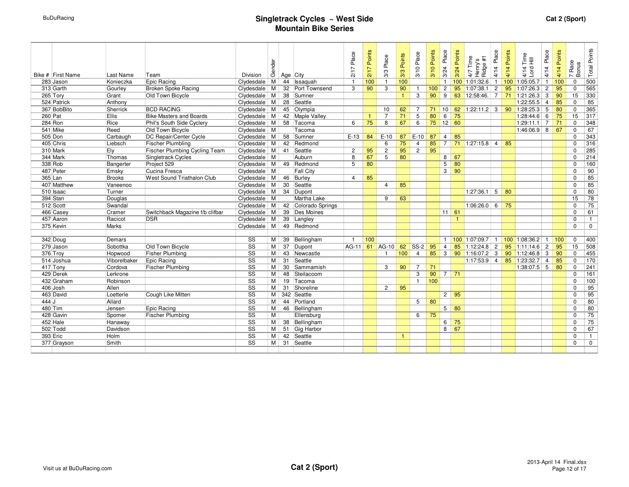| Bike # First Name | Last Name     | Team                                 | Division               | Gender   |                 | Age City            | Place<br>$\overline{1}$<br>ă | Points<br>2/17 | Place<br>3/3   | Points<br>3/3   | 3/10 Place     | Points<br>3/10 | Place<br>3/24  | 3/24 Points       | Time<br>$\frac{1}{4}$ %<br>4/7 Tin<br>Henry's<br>Ridge <sub>i</sub> | 4/14 Place     | Points<br>4/14 | 4/14 Time<br>Lord Hill | Place<br>4/14  | Points<br>4/14 | Race<br>Bonus<br>$\overline{a}$ | <b>Total Points</b> |
|-------------------|---------------|--------------------------------------|------------------------|----------|-----------------|---------------------|------------------------------|----------------|----------------|-----------------|----------------|----------------|----------------|-------------------|---------------------------------------------------------------------|----------------|----------------|------------------------|----------------|----------------|---------------------------------|---------------------|
| 283 Jason         | Konieczka     | Epic Racing                          | Clydesdale             | M        | 44              | Issaquah            | $\overline{1}$               | 100            | $\overline{1}$ | 100             |                |                | $\mathbf{1}$   | 100               | 1:01:32.6                                                           | $\mathbf{1}$   |                | 100 1:05:05.7          | $\mathbf{1}$   | 100            | $\Omega$                        | 500                 |
| 313 Garth         | Gourley       | <b>Broken Spoke Racing</b>           | Clydesdale             | M        | 32              | Port Townsend       | 3                            | 90             | 3              | 90              | $\mathbf{1}$   | 100            | $\overline{c}$ | 95                | 1:07:38.1                                                           | $\overline{2}$ |                | 95 1:07:26.3           | $\overline{2}$ | 95             | $\Omega$                        | 565                 |
| 265 Tory          | Grant         | Old Town Bicycle                     | Clydesdale             | M        | $\overline{38}$ | Sumner              |                              |                |                | $\mathbf{1}$    | 3              | 90             | 9              | 63                | 12:58:46.                                                           | $\overline{7}$ |                | 71 1:21:26.3           | 3              | 90             | 15                              | 330                 |
| 524 Patrick       | Anthony       |                                      | Clydesdale             | M        | $\overline{28}$ | Seattle             |                              |                |                |                 |                |                |                |                   |                                                                     |                |                | 1:22:55.5              | $\overline{4}$ | 85             | $\Omega$                        | 85                  |
| 367 BobBito       | Sherrick      | <b>BCD RACING</b>                    | Clydesdale             | $M \mid$ | 45              | Olympia             |                              |                | 10             | 62              | $\overline{7}$ | 71             | 10             | 62                | $1:22:11.2$ 3                                                       |                |                | 90 1:28:25.3           | 5              | 80             | $\Omega$                        | 365                 |
| 260 Pat           | <b>Ellis</b>  | <b>Bike Masters and Boards</b>       | Clydesdale             | $M \mid$ | 42              | <b>Maple Valley</b> |                              | -1             | $\overline{7}$ | 71              | $\overline{5}$ | 80             | 6              | 75                |                                                                     |                |                | 1:28:44.6              | 6              | 75             | $\overline{15}$                 | 317                 |
| 284 Ron           | Rice          | Phil's South Side Cyclery            | Clydesdale             | $M \mid$ | 58              | Tacoma              | 6                            | 75             | 8              | 67              | 6              |                |                | $75$ 12 60        |                                                                     |                |                | 1:29:11.1              | 7              | 71             | $\Omega$                        | 348                 |
| 541 Mike          | Reed          | Old Town Bicycle                     | Clydesdale             | M        |                 | Tacoma              |                              |                |                |                 |                |                |                |                   |                                                                     |                |                | $1:46:06.9$ 8          |                | 67             | $\Omega$                        | 67                  |
| 505 Don           | Carbaugh      | DC Repair/Center Cycle               | Clydesdale             | $M \mid$ | 58              | Sumner              | $E-13$                       | 84             | $E-10$         | 87              | $E-10$         | 87             | $\overline{4}$ | 85                |                                                                     |                |                |                        |                |                | $\Omega$                        | 343                 |
| 405 Chris         | Liebsch       | <b>Fischer Plumbling</b>             | Clydesdale             | M        | 42              | Redmond             |                              |                | 6              | 75              | $\overline{4}$ | 85             | $\overline{7}$ | 71                | $1:27:15.8$ 4                                                       |                | 85             |                        |                |                | $\Omega$                        | 316                 |
| 310 Mark          | Ely           | <b>Fischer Plumbing Cycling Team</b> | Clydesdale             | M        | 41              | Seattle             | $\overline{c}$               | 95             | $\overline{2}$ | $\overline{95}$ | $\overline{2}$ | 95             |                |                   |                                                                     |                |                |                        |                |                | $\Omega$                        | 285                 |
| 344 Mark          | Thomas        | Singletrack Cycles                   | Clydesdale             | M        |                 | Auburn              | 8                            | 67             | 5              | 80              |                |                | 8 <sup>1</sup> | 67                |                                                                     |                |                |                        |                |                | $\Omega$                        | 214                 |
| 338 Rob           | Bangerter     | Project 529                          | Clydesdale             | $M \mid$ | 49              | Redmond             | 5                            | 80             |                |                 |                |                | $\overline{5}$ | 80                |                                                                     |                |                |                        |                |                | $\Omega$                        | 160                 |
| 487 Peter         | Emsky         | Cucina Fresca                        | Clydesdale             | M        |                 | <b>Fall City</b>    |                              |                |                |                 |                |                | 3 <sup>1</sup> | $-90$             |                                                                     |                |                |                        |                |                | $\Omega$                        | 90                  |
| 365 Lan           | <b>Brooks</b> | West Sound Triathalon Club           | Clydesdale             | $M \mid$ | 46              | Burley              | $\overline{4}$               | 85             |                |                 |                |                |                |                   |                                                                     |                |                |                        |                |                | $\Omega$                        | 85                  |
| 407 Matthew       | Vaneenoo      |                                      | Clydesdale             | M I      | 30              | Seattle             |                              |                | $\overline{4}$ | 85              |                |                |                |                   |                                                                     |                |                |                        |                |                | $\Omega$                        | 85                  |
| 510 Isaac         | Turner        |                                      | Clydesdale             | М        | 34              | Dupont              |                              |                |                |                 |                |                |                |                   | 1:27:36.1                                                           | 5              | 80             |                        |                |                | $\Omega$                        | 80                  |
| 394 Stan          | Douglas       |                                      | Clydesdale             | М        |                 | Martha Lake         |                              |                | 9              | 63              |                |                |                |                   |                                                                     |                |                |                        |                |                | 15                              | 78                  |
| 512 Scott         | Swandal       |                                      | Clydesdale             | M I      | 42              | Colorado Springs    |                              |                |                |                 |                |                |                |                   | 1:06:26.0                                                           | 6              | 75             |                        |                |                | $\Omega$                        | 75                  |
| 466 Casey         | Cramer        | Switchback Magazine f/b clifbar      | Clydesdale             | $M \mid$ | 39              | Des Moines          |                              |                |                |                 |                |                |                | $11 \ 61$         |                                                                     |                |                |                        |                |                | $\Omega$                        | 61                  |
| 457 Aaron         | Racicot       | <b>DSR</b>                           | Clydesdale             | M        | 39              | Langley             |                              |                |                |                 |                |                |                | $\overline{1}$    |                                                                     |                |                |                        |                |                | 0                               | $\mathbf{1}$        |
| 375 Kevin         | Marks         |                                      | Clydesdale             | M l      | 49              | Redmond             |                              |                |                |                 |                |                |                |                   |                                                                     |                |                |                        |                |                | $\Omega$                        | $\mathbf 0$         |
|                   |               |                                      |                        |          |                 |                     |                              |                |                |                 |                |                |                |                   |                                                                     |                |                |                        |                |                |                                 |                     |
| 342 Doug          | Demars        |                                      | SS                     | M        | 39              | Bellingham          | $\overline{1}$               | 100            |                |                 |                |                | $\mathbf{1}$   |                   | 100 1:07:09.7                                                       |                |                | 100 1:08:36.2          |                | 100            | $\Omega$                        | 400                 |
| 279 Jason         | Sobottka      | Old Town Bicycle                     | $\overline{\text{ss}}$ | м        | 37              | Dupont              | $AG-11$                      |                | 61 AG-10       | 62              | $SS-2$         | 95             | $\overline{4}$ | 85                | 1:12:24.8                                                           | $\overline{2}$ |                | $95$ 1:11:14.6         | $\overline{2}$ | 95             | $\overline{15}$                 | 508                 |
| 376 Trov          | Hopwood       | <b>Fisher Plumbing</b>               | $\overline{\text{ss}}$ | M l      | 43              | Newcastle           |                              |                | $\mathbf{1}$   | 100             | $\overline{4}$ | 85             | $\overline{3}$ | 90                | 1:16:07.2                                                           | $\mathbf{3}$   |                | $90$ 1:12:46.8 3       |                | 90             | $\Omega$                        | 455                 |
| 514 Joshua        | Viborelbaker  | Epic Racing                          | $\overline{\text{SS}}$ | M I      | 31              | Seattle             |                              |                |                |                 |                |                |                |                   | $1:17:53.9$ 4                                                       |                |                | 85 1:23:32.7           | $\overline{4}$ | 85             | $\Omega$                        | 170                 |
| 417 Tony          | Cordova       | <b>Fischer Plumbing</b>              | $\overline{\text{ss}}$ | М        | $\overline{30}$ | Sammamish           |                              |                | 3              | 90              | $\overline{7}$ | 71             |                |                   |                                                                     |                |                | $1:38:07.5$ 5          |                | 80             | $\Omega$                        | $\sqrt{241}$        |
| 429 Derek         | Lerkrone      |                                      | $\overline{\text{ss}}$ | M        | 48              | Steilacoom          |                              |                |                |                 | 3              | 90             |                | $7 \overline{71}$ |                                                                     |                |                |                        |                |                | $\Omega$                        | 161                 |
| 432 Graham        | Robinson      |                                      | $\overline{\text{ss}}$ | M l      | 19              | Tacoma              |                              |                |                |                 | $\mathbf{1}$   | 100            |                |                   |                                                                     |                |                |                        |                |                | $\Omega$                        | 100                 |
| 406 Josh          | Allen         |                                      | $\overline{\text{ss}}$ | M I      | 31              | Shoreline           |                              |                | $\overline{2}$ | 95              |                |                |                |                   |                                                                     |                |                |                        |                |                | $\Omega$                        | 95                  |
| 463 David         | Loetterle     | <b>Cough Like Mitten</b>             | $\overline{\text{ss}}$ |          |                 | M 342 Seattle       |                              |                |                |                 |                |                |                | $2 \mid 95$       |                                                                     |                |                |                        |                |                | $\Omega$                        | 95                  |
| 444 J             | Allard        |                                      | $\overline{\text{ss}}$ | M        | 44              | Portland            |                              |                |                |                 | 5              | 80             |                |                   |                                                                     |                |                |                        |                |                | $\Omega$                        | 80                  |
| 480 Tim           | Jensen        | <b>Epic Racing</b>                   | $\overline{\text{ss}}$ | M I      | 46              | Bellingham          |                              |                |                |                 |                |                |                | $5 \mid 80$       |                                                                     |                |                |                        |                |                | $\Omega$                        | 80                  |
| 428 Gavin         | Spomer        | <b>Fischer Plumbing</b>              | $\overline{\text{ss}}$ | M        |                 | Ellensburg          |                              |                |                |                 | 6              | 75             |                |                   |                                                                     |                |                |                        |                |                | $\Omega$                        | 75                  |
| 452 Hale          | Hanaway       |                                      | $\overline{\text{ss}}$ | МI       | 38              | Bellingham          |                              |                |                |                 |                |                | 6              | 75                |                                                                     |                |                |                        |                |                | $\Omega$                        | 75                  |
| 502 Todd          | Davidson      |                                      | $\overline{\text{ss}}$ | Мİ       | 51              | Gig Harbor          |                              |                |                |                 |                |                | 8              | 67                |                                                                     |                |                |                        |                |                | $\Omega$                        | 67                  |
| 393 Eric          | Holm          |                                      | $\overline{\text{ss}}$ | M i      | 42              | Seattle             |                              |                |                | $\mathbf{1}$    |                |                |                |                   |                                                                     |                |                |                        |                |                | $\Omega$                        | $\mathbf{1}$        |
| 377 Grayson       | Smith         |                                      | $\overline{\text{SS}}$ | M I      | 31              | Seattle             |                              |                |                |                 |                |                |                |                   |                                                                     |                |                |                        |                |                | $\Omega$                        | $\mathbf 0$         |
|                   |               |                                      |                        |          |                 |                     |                              |                |                |                 |                |                |                |                   |                                                                     |                |                |                        |                |                |                                 |                     |
|                   |               |                                      |                        |          |                 |                     |                              |                |                |                 |                |                |                |                   |                                                                     |                |                |                        |                |                |                                 |                     |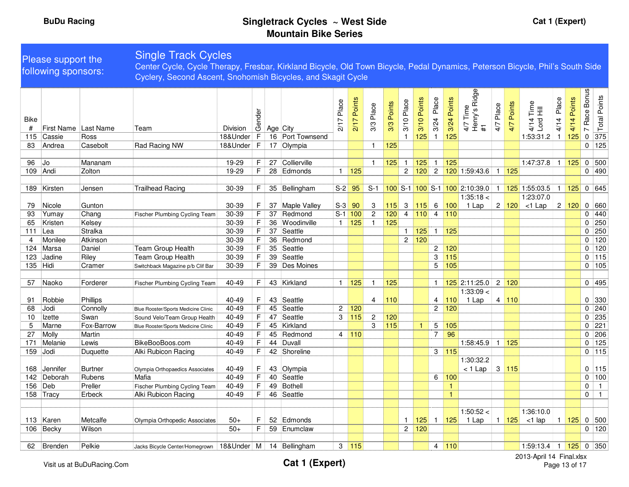#### Single Track CyclesPlease support the Center Cycle, Cycle Therapy, Fresbar, Kirkland Bicycle, Old Town Bicycle, Pedal Dynamics, Peterson Bicycle, Phil's South Side following sponsors:Cyclery, Second Ascent, Snohomish Bicycles, and Skagit Cycle4/7 Time<br>Henry's Ridge Henry's Ridge Race Bonus 7 Race Bonus Points Points Place Total Points Place 4/14 Points Place 2/17 Points 2/17 Points 3/10 Points 3/10 Points 3/24 Place 3/24 Points 4/14 Place 4/14 Points 3/10 Place 4/14 Time<br>Lord Hill 2/17 Place Points 3/10 Place Points Place Place 3/3 Points 4/7 Points 4/14 Time 3/3 Place 4/7 Place 4/7 Time ender<br>General<br>General Age City Total Bike  $2/17$  $3/24$  $3/24$  $4/14$  $3/3$  $3/3$  $4/7$  $4/7$ #1# First Name Last Name Team Division $\overline{a}$ 115 Cassie Ross18&Under 16 Port Townsend 18&Under <sup>F</sup> <sup>16</sup> Port Townsend <sup>1</sup> <sup>125</sup> <sup>1</sup> <sup>125</sup> 1:53:31.2 <sup>1</sup> <sup>125</sup> <sup>0</sup> <sup>375</sup> $0$  125 83 Andrea Casebolt Rad Racing NW 18&Under F 17 Olympia 1 125 <sup>0</sup> <sup>125</sup> 96 Jo Mananam<br>109 Andi Zolton m | 19-29 F 27 |Collierville 1 <mark>125</mark> 1 <mark>125</mark> 1 <mark>125</mark> 1:47:37.8 1 <mark>125</mark> 0 500<br> 10.00 F 29 Fdmasda 1 1.05 1.00 1.00 1.50:43.6 1 1.05 109 Andi Zolton 19-29 <sup>F</sup> <sup>28</sup> Edmonds <sup>1</sup> <sup>125</sup> <sup>2</sup> <sup>120</sup> <sup>2</sup> <sup>120</sup> 1:59:43.6 <sup>1</sup> <sup>125</sup> <sup>0</sup> <sup>490</sup> 189 Kirsten Jensen Trailhead Racing 130-39 F 35 Bellingham S-2 95 S-1 **100** S-1 **100** S-1 **100** 2:10:39.0 1 **125** 1:55:03.5 1 **125** 0 645  $1:35:18 <$ 1:23:07.0 79 Nicole Gunton1 Lap 2 120 <1 Lap  $\begin{array}{|c|c|c|c|c|}\n 2 & 120 & 0 & 660 \\
 \hline\n & 0 & 440 & & \n\end{array}$ n 30-39 F 37 |Maple Valley S-3 <mark>90 3 115</mark> 3 <mark>115</mark> 6 <mark>100</mark> 93 Yumay Chang440 Chang Fischer Plumbing Cycling Team<br>Kelsey 30-39 <sup>F</sup> <sup>37</sup> Redmond S-1 <sup>100</sup> <sup>2</sup> <sup>120</sup> <sup>4</sup> <sup>110</sup> <sup>4</sup> <sup>110</sup> <sup>0</sup> <sup>440</sup> 65 Kristen 30-39 <sup>F</sup> <sup>36</sup> Woodinville <sup>1</sup> <sup>125</sup> <sup>1</sup> <sup>125</sup> <sup>0</sup> <sup>250</sup> 111 Lea Stralka 30-39 <sup>F</sup> <sup>37</sup> Seattle <sup>1</sup> <sup>125</sup> <sup>1</sup> <sup>125</sup> <sup>0</sup> <sup>250</sup> 4 Monilee Atkinson 30-39 <sup>F</sup> <sup>36</sup> Redmond <sup>2</sup> <sup>120</sup> <sup>0</sup> <sup>120</sup> 124 Marsa Daniel Team Group Health 30-39 F 35 Seattle<br>123 Jadine Riley Team Group Health 30-39 F 39 Seattle <sup>2</sup> <sup>120</sup> <sup>0</sup> <sup>120</sup> 123 Jadine Riley Team Group Health 30-39 F 39 Seattle<br>135 Hidi Cramer Switchback Magazine p/b Clif Bar 30-39 F 39 Des Mc e | <mark>1990 | 1990 | 1990 | 1990 | 115</mark> | 115 | 115 | 126 | 127 | 128 | 129 | 129 | 129 | 129 | 129 | 129 | 129 | 1<br>. 135 Hidi CramerSwitchback Magazine p/b Clif Bar 30-39 F 39 Des Moines s | <mark>| |</mark> | | | | | | | 5 | <mark>105</mark> <mark>5</mark> 0 105 57 Naoko Forderer Fischer Plumbing Cycling Teamm| 40-49 |\_F |\_43 |Kirkland |\_1 <mark>125</mark> \_1 |<mark>\_125</mark> |\_\_\_\_|\_\_1 <mark>125</mark> 2:11:25.0 |\_2 <mark>120</mark> |\_\_\_|\_\_\_|\_0 |\_495 1:33:09 < 91 Robbie Phillips 1 Lap 4 110 10 330 40-49 <sup>F</sup> <sup>43</sup> Seattle <sup>4</sup> <sup>110</sup> <sup>4</sup> <sup>110</sup>68 Jodi Connolly Blue Rooster/Sports Medicine Clinic 40-49 <sup>F</sup> <sup>45</sup> Seattle <sup>2</sup> <sup>120</sup> <sup>2</sup> <sup>120</sup>120  $0$  240 <mark>0</mark> 0 240 10 Izette Swan<br>5 Marne Fox-B Sound Velo/Team Group Health 40-49 <sup>F</sup> <sup>47</sup> Seattle <sup>3</sup> <sup>115</sup> <sup>2</sup> <sup>120</sup> <sup>0</sup> <sup>235</sup> 5 Marne Fox-Barrow Blue Rooster/Sports Medicine Clinic 40-49 <sup>F</sup> <sup>45</sup> Kirkland <sup>3</sup> <sup>115</sup> <sup>1</sup> <sup>5</sup> <sup>105</sup> <sup>0</sup> <sup>221</sup> 27 Molly Martin 40-49 <sup>F</sup> <sup>45</sup> Redmond <sup>4</sup> <sup>110</sup> <sup>7</sup> <sup>96</sup> <sup>0</sup> <sup>206</sup> 171 Melanie Lewis |BikeBooBoos.com | 40-49 F | 44 |Duvall | | | | | | 1:58:45.9 1 <mark>125</mark> | | 0 125 159 Jodi Duquette Alki Rubicon Racing 40-49 F <sup>42</sup> Shoreline $0$  115 e 3 <mark>115</mark> 0 115 1:30:32.2 168 Jennifer Burtner 40-49 <sup>F</sup> <sup>43</sup> Olympia< 1 Lap 3 115 0 115**Burtner** Olympia Orthopaedics Associates<br> **Rubens** Mafia Seattle 100 <sup>142</sup> Deborah Rubens Mafia 40-49 F 40 Seattle <sup>6</sup> <sup>100</sup> <sup>0</sup> <sup>100</sup> 156 Deb Preller Fischer Plumbing Cycling Team 40-49 <sup>F</sup> <sup>49</sup> Bothell <sup>1</sup> <sup>0</sup> <sup>1</sup> 158 Tracy Erbeck Alki Rubicon Racing | 40-49 | F | 46 Seattle <sup>1</sup> <sup>0</sup> <sup>1</sup>  $1:50:52 <$ 1:36:10.0 113 Karen MetcalfeMetcalfe Olympia Orthopedic Associates 50+ F 52 Edmonds 1 1 125 1 125 1 125 1 125 1 125 1 125 1 125 1 125 1 125 1 125 1 125 1 125 1 125 1 125 1 125 1 125 1 125 1 125 1 125 1 125 1 125 1 125 1 125 1 125 1 125 1 125 1 125 1 1 Lap 1 1 1 1 1 1 2 5  $\lt$ 1 lap 1 1 125 0 500  $106$  Becky  $0$  120 n 50+ F 59 Enumclaw 2 <mark>120</mark> 0 120

**Cat 1 (Expert)** 2013-April 14 Final.xlsx Page 13 of 17

62 Brenden Pelkie

Jacks Bicycle Center/Homegrown 18&Under <sup>M</sup> <sup>14</sup> Bellingham <sup>3</sup> <sup>115</sup> <sup>4</sup> <sup>110</sup> 1:59:13.4 <sup>1</sup> <sup>125</sup> <sup>0</sup> <sup>350</sup>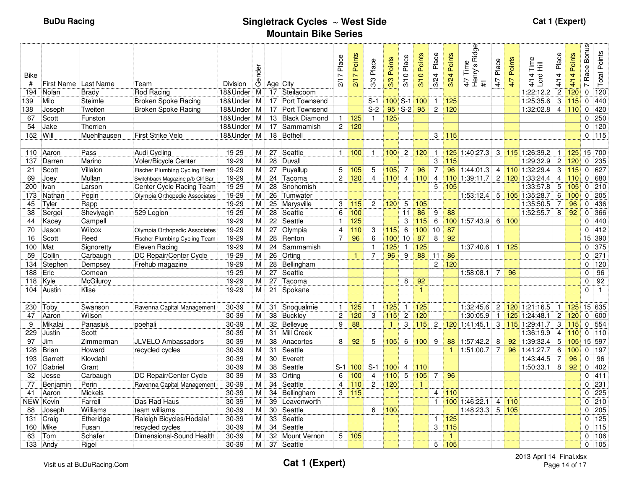| Bike       |                      |                     |                                      |                | Gender         |                 |                         | Place          | Points       | Place                          | Points       | Place           | Points             | Place          | Points               | Ridge<br>Time<br>Henry's F<br>#1 | Place           | Points | Time<br>呈       | Place            | Points | <b>Bonus</b><br>Race <sup>1</sup> | <b>Total Points</b>   |
|------------|----------------------|---------------------|--------------------------------------|----------------|----------------|-----------------|-------------------------|----------------|--------------|--------------------------------|--------------|-----------------|--------------------|----------------|----------------------|----------------------------------|-----------------|--------|-----------------|------------------|--------|-----------------------------------|-----------------------|
| #          | First Name Last Name |                     | Team                                 | Division       |                | Age City        |                         | 217            | 217          | 3/3                            | 3/3          | 3/10            | 3/10               | 3/24           | 3/24                 | 4/7                              | 47              | 4/7    | Lord<br>4/14    | 4/14             | 4/14   | $\sim$                            |                       |
| 194        | Nolan                | <b>Brady</b>        | <b>Rod Racing</b>                    | 18&Under       | M <sub>1</sub> |                 | 17 Steilacoom           |                |              |                                |              |                 |                    |                |                      |                                  |                 |        | 1:22:12.2       | $\overline{c}$   | 120    | $\mathbf 0$                       | 120                   |
| 139        | Milo                 | Steimle             | <b>Broken Spoke Racing</b>           | 18&Under       | M              |                 | 17 Port Townsend        |                |              | $S-1$                          |              |                 | $100$ S-1 $100$    | $\mathbf{1}$   | 125                  |                                  |                 |        | 1:25:35.6       | 3                | 115    |                                   | $0$ 440               |
| 138        | Joseph               | Tweiten             | <b>Broken Spoke Racing</b>           | 18&Under       | M              |                 | 17 Port Townsend        |                |              | $S-2$                          |              | $95$ S-2        | 95                 | $\overline{2}$ | 120                  |                                  |                 |        | 1:32:02.8       | $\overline{4}$   | 110    |                                   | $0$ 420               |
| 67         | Scott                | Funston             |                                      | 18&Under       | M              |                 | 13 Black Diamond        | $\mathbf{1}$   | 125          | $\mathbf{1}$                   | 125          |                 |                    |                |                      |                                  |                 |        |                 |                  |        |                                   | $0$ 250               |
| 54         | Jake                 | Therrien            |                                      | 18&Under       | M              | 17              | Sammamish               |                | 2 120        |                                |              |                 |                    |                |                      |                                  |                 |        |                 |                  |        |                                   | $0$ 120               |
| 152        | Will                 | Muehlhausen         | <b>First Strike Velo</b>             | 18&Under       | M              |                 | 18 Bothell              |                |              |                                |              |                 |                    | 3              | 115                  |                                  |                 |        |                 |                  |        |                                   | $0$ 115               |
|            |                      |                     |                                      |                |                |                 |                         |                |              |                                |              |                 |                    |                |                      |                                  |                 |        |                 |                  |        |                                   |                       |
|            | 110 Aaron            | Pass                | Audi Cycling                         | 19-29          | M.             | 27              | Seattle                 | $\mathbf{1}$   | 100          | -1                             | 100          | $\overline{2}$  | 120                | $\mathbf{1}$   |                      | 125 1:40:27.3                    | 3               |        | 115 1:26:39.2   | -1               | 125    |                                   | 15 700                |
| 137        | Darren               | Marino              | Voler/Bicycle Center                 | $19 - 29$      | м              | 28              | Duvall                  |                |              |                                |              |                 |                    | 3              | 115                  |                                  |                 |        | 1:29:32.9       | $\overline{c}$   | 120    | $\Omega$                          | 235                   |
| 21         | Scott                | Villalon            | <b>Fischer Plumbing Cycling Team</b> | 19-29          | М              | 27              | Puyallup                | 5              | 105          | 5                              | 105          | $\overline{7}$  | 96                 | 7              |                      | $96$ 1:44:01.3                   | 4               |        | 110 1:32:29.4   | 3                | 115    |                                   | $0$ 627               |
| 69         | Joey                 | Mullan              | Switchback Magazine p/b Clif Bar     | 19-29          | М              |                 | 24 Tacoma               | $\overline{2}$ | 120          | $\overline{4}$                 | 110          | $\overline{4}$  | 110                | $\overline{4}$ |                      | $110$ 1:39:11.7                  | $\overline{2}$  |        | 120 1:33:24.4   | $\overline{4}$   | 110    |                                   | 0 680                 |
| 200        | Ivan                 | Larson              | Center Cycle Racing Team             | 19-29          | М              | 28              | Snohomish               |                |              |                                |              |                 |                    | 5              | 105                  |                                  |                 |        | 1:33:57.8       | 5                | 105    |                                   | $0$ 210               |
| 173        | Nathan               | Pepin               | Olympia Orthopedic Associates        | 19-29          | М              | 26              | Tumwater                |                |              |                                |              |                 |                    |                |                      | 1:53:12.4                        | $5\overline{)}$ |        | 105 1:35:28.7   | 6                | 100    |                                   | $0$ 205               |
| 45         | Tyler                | Rapp                |                                      | 19-29          | М              |                 | 25 Marysville           | 3              | 115          | $\overline{2}$                 | 120          | 5               | 105                |                |                      |                                  |                 |        | 1:35:50.5       | $\overline{7}$   | 96     | $\mathbf{0}$                      | 436                   |
| 38         | Sergei               | Shevlyagin          | 529 Legion                           | 19-29          | $\overline{M}$ |                 | 28 Seattle              | 6              | 100          |                                |              | 11              | 86                 | 9              | 88                   |                                  |                 |        | 1:52:55.7       | 8                | 92     | $\Omega$                          | 366                   |
| 44         | Kacey                | Campell             |                                      | $19 - 29$      | М              | $\overline{22}$ | Seattle                 | $\overline{1}$ | 125          |                                |              | 3               | 115                | 6              |                      | 100 1:57:43.9                    | 6               | 100    |                 |                  |        | $\Omega$                          | 440                   |
| 70         | Jason                | Wilcox              | Olympia Orthopedic Associates        | 19-29          | M              | 27              | Olympia                 | $\overline{4}$ | 110          | 3                              | $115$        | 6               | 100                | 10             | 87                   |                                  |                 |        |                 |                  |        |                                   | $0$ 412               |
| 16         | Scott                | Reed                | Fischer Plumbing Cycling Team        | 19-29          | M              |                 | 28 Renton               | 7              | 96           | 6                              | 100          | 10 <sup>1</sup> | 87                 | 8              | 92                   |                                  |                 |        |                 |                  |        |                                   | 15 390                |
| 100        | Mat                  | Signoretty          | Eleven Racing                        | 19-29<br>19-29 | М              | 24              | Sammamish               |                |              | $\mathbf{1}$<br>$\overline{7}$ | 125<br>96    | $\mathbf{1}$    | 125<br>88          |                |                      | 1:37:40.6                        | $\mathbf{1}$    | 125    |                 |                  |        |                                   | $0$ 375<br>271        |
| 59         | Collin               | Carbaugh            | DC Repair/Center Cycle               |                | М              | 26              | Orting                  |                | $\mathbf{1}$ |                                |              | 9               |                    | 11             | 86                   |                                  |                 |        |                 |                  |        | $\Omega$                          |                       |
| 134        | Stephen              | Dempsey             | Frehub magazine                      | 19-29          | M              |                 | 28 Bellingham           |                |              |                                |              |                 |                    | $\mathbf{2}$   | 120                  |                                  |                 |        |                 |                  |        | $\Omega$<br>$\Omega$              | 120                   |
| 188        | Eric                 | Comean<br>McGiluroy |                                      | 19-29<br>19-29 | M l            |                 | 27 Seattle<br>27 Tacoma |                |              |                                |              |                 |                    |                |                      | 1:58:08.1                        | $\overline{7}$  | 96     |                 |                  |        | $\mathbf 0$                       | 96<br>$\overline{92}$ |
| 118<br>104 | Kyle                 | Klise               |                                      | 19-29          | М<br>M         |                 | 21 Spokane              |                |              |                                |              | 8               | 92<br>$\mathbf{1}$ |                |                      |                                  |                 |        |                 |                  |        | $\Omega$                          | $\overline{1}$        |
|            | Austin               |                     |                                      |                |                |                 |                         |                |              |                                |              |                 |                    |                |                      |                                  |                 |        |                 |                  |        |                                   |                       |
| 230        | Toby                 | Swanson             | Ravenna Capital Management           | 30-39          | M              | 31              | Snoqualmie              | $\mathbf{1}$   | 125          | $\mathbf{1}$                   | 125          | $\mathbf{1}$    | 125                |                |                      | 1:32:45.6                        | $\overline{c}$  |        | 120 1:21:16.5   | -1               | 125    |                                   | 15 635                |
| 47         | Aaron                | Wilson              |                                      | 30-39          | М              |                 | 38 Buckley              | $\overline{c}$ | 120          | 3                              | 115          | $\overline{c}$  | 120                |                |                      | 1:30:05.9                        | $\overline{1}$  |        | 125 1:24:48.1   | $\boldsymbol{2}$ | 120    |                                   | $0$ 600               |
| 9          | Mikalai              | Panasiuk            | poehali                              | 30-39          | М              |                 | 32 Bellevue             | 9              | 88           |                                | $\mathbf{1}$ | 3               | 115                | $\overline{2}$ |                      | $120$ 1:41:45.1                  |                 |        | 3 115 1:29:41.7 | 3                | 115    |                                   | 0 554                 |
| 229        | Justin               | Scott               |                                      | $30 - 39$      | Μ              |                 | 31 Mill Creek           |                |              |                                |              |                 |                    |                |                      |                                  |                 |        | 1:36:19.9       | $\overline{4}$   | 110    |                                   | $0$ 110               |
| 97         | <b>Jim</b>           | Zimmerman           | <b>JLVELO Ambassadors</b>            | 30-39          | М              | 38              | Anacortes               | 8              | 92           | 5                              | 105          | 6               | 100                | 9              | 88                   | 1:57:42.2                        | 8               |        | 92 1:39:32.4    | 5                | 105    |                                   | 15 597                |
| 128        | <b>Brian</b>         | Howard              | recycled cycles                      | $30 - 39$      | M              | 31              | Seattle                 |                |              |                                |              |                 |                    |                | $\blacktriangleleft$ | 1:51:00.7                        | $\overline{7}$  |        | 96 1:41:27.7    | 6                | 100    |                                   | $0$ 197               |
| 193        | Garrett              | Klovdahl            |                                      | 30-39          | M              |                 | 30 Everett              |                |              |                                |              |                 |                    |                |                      |                                  |                 |        | 1:43:44.5       | 7                | 96     | $\mathbf{0}$                      | 96                    |
| 107        | Gabriel              | Grant               |                                      | 30-39          | M              | 38              | Seattle                 |                | $S-1$ 100    | $S-1$                          | 100          | $\overline{4}$  | 110                |                |                      |                                  |                 |        | 1:50:33.1       | 8                | 92     |                                   | $0$ 402               |
| 32         | Jesse                | Carbaugh            | DC Repair/Center Cycle               | $30 - 39$      | $\overline{M}$ | 33              | Orting                  | 6              | 100          | $\overline{4}$                 | 110          | $\overline{5}$  | 105                | $\overline{7}$ | 96                   |                                  |                 |        |                 |                  |        | $\mathbf 0$                       | 411                   |
| 77         | Benjamin             | Perin               | Ravenna Capital Management           | 30-39          | Μ              | 34              | Seattle                 | 4              | 110          | $\overline{c}$                 | 120          |                 | $\mathbf{1}$       |                |                      |                                  |                 |        |                 |                  |        | $\Omega$                          | 231                   |
| 41         | Aaron                | <b>Mickels</b>      |                                      | 30-39          | М              | 34              | Bellingham              | 3              | 115          |                                |              |                 |                    | 4              | 110                  |                                  |                 |        |                 |                  |        | $\Omega$                          | 225                   |
| NEW        | Kevin                | Farrell             | Das Rad Haus                         | $30 - 39$      | Μ              | 39              | Leavenworth             |                |              |                                |              |                 |                    | $\mathbf{1}$   |                      | 100 1:46:22.1                    | $\overline{4}$  | 110    |                 |                  |        |                                   | $0$ 210               |
| 88         | Joseph               | Williams            | team williams                        | 30-39          | M.             |                 | 30 Seattle              |                |              | 6                              | 100          |                 |                    |                |                      | 1:48:23.3                        |                 | 5 105  |                 |                  |        |                                   | $0$ 205               |
| 131        | Craig                | Etheridge           | Raleigh Bicycles/Hodala!             | $30 - 39$      | М              | 33              | Seattle                 |                |              |                                |              |                 |                    | $\mathbf{1}$   | 125                  |                                  |                 |        |                 |                  |        | $\mathbf{0}$                      | $\overline{125}$      |
| 160        | Mike                 | Fusan               | recycled cycles                      | 30-39          | М              | 34              | Seattle                 |                |              |                                |              |                 |                    | 3              | 115                  |                                  |                 |        |                 |                  |        |                                   | $0$ 115               |
| 63         | Tom                  | Schafer             | Dimensional-Sound Health             | 30-39          | М              | 32              | Mount Vernon            | 5              | 105          |                                |              |                 |                    |                | $\mathbf{1}$         |                                  |                 |        |                 |                  |        | $\Omega$                          | 106                   |
|            | 133 Andy             | Rigel               |                                      | 30-39          | M              |                 | 37 Seattle              |                |              |                                |              |                 |                    | 5              | 105                  |                                  |                 |        |                 |                  |        |                                   | $0$ 105               |
|            |                      |                     |                                      |                |                |                 |                         |                |              |                                |              |                 |                    |                |                      |                                  |                 |        |                 |                  |        |                                   |                       |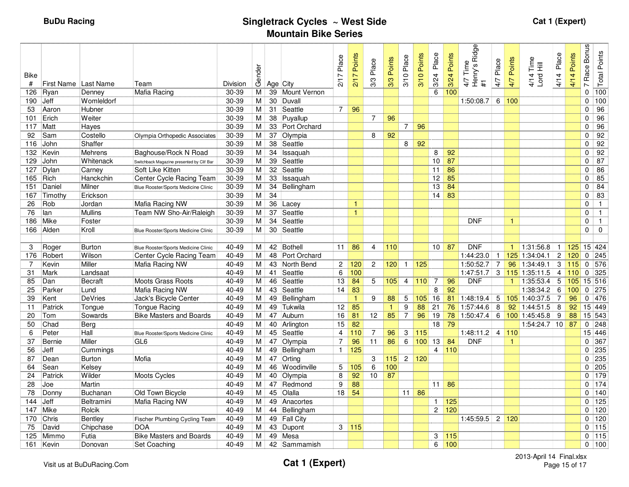| Bike<br>#             | First Name Last Name |                    | Team                                         | Division           | Gender              | Age City |                             | 2/17 Place        | Points<br>217 | Place<br>3/3    | 3/3 Points   | Place<br>3/10   | Points<br>3/10     | Place<br>3/24         | Points<br>3/24    | Ridge<br>Time<br>Henry's<br>47<br>$\ddot{+}$ | Place<br>4/7        | Points<br>4/7 | 4/14 Time<br>Lord Hill          | Place<br>4/14    | Points<br>4/14 | <b>Bonus</b><br>Race<br>$\overline{ }$ | <b>Total Points</b>         |
|-----------------------|----------------------|--------------------|----------------------------------------------|--------------------|---------------------|----------|-----------------------------|-------------------|---------------|-----------------|--------------|-----------------|--------------------|-----------------------|-------------------|----------------------------------------------|---------------------|---------------|---------------------------------|------------------|----------------|----------------------------------------|-----------------------------|
| 126                   | Ryan                 | Denney             | Mafia Racing                                 | 30-39              | М                   |          | 39 Mount Vernon             |                   |               |                 |              |                 |                    | 6                     | 100               |                                              |                     |               |                                 |                  |                | 0                                      | 100                         |
| 190                   | Jeff                 | Womleldorf         |                                              | 30-39              | М                   | 30       | Duvall                      |                   |               |                 |              |                 |                    |                       |                   | 1:50:08.7                                    | 6                   | 100           |                                 |                  |                | $\Omega$                               | 100                         |
| 53                    | Aaron                | Hubner             |                                              | 30-39              | M                   |          | 31 Seattle                  | $\overline{7}$    | 96            | $\overline{7}$  |              |                 |                    |                       |                   |                                              |                     |               |                                 |                  |                | $\Omega$<br>$\Omega$                   | $\overline{96}$             |
| 101<br>117            | Erich<br>Matt        | Weiter<br>Hayes    |                                              | $30 - 39$<br>30-39 | M<br>М              | 38       | Puyallup<br>33 Port Orchard |                   |               |                 | 96           | $\overline{7}$  | 96                 |                       |                   |                                              |                     |               |                                 |                  |                | $\Omega$                               | $\overline{96}$<br>96       |
| 92                    | Sam                  | Costello           | Olympia Orthopedic Associates                | 30-39              | M                   | 37       | Olympia                     |                   |               | 8               | 92           |                 |                    |                       |                   |                                              |                     |               |                                 |                  |                | 0                                      | 92                          |
| 116                   | John                 | Shaffer            |                                              | 30-39              | M l                 | 38       | Seattle                     |                   |               |                 |              | 8               | 92                 |                       |                   |                                              |                     |               |                                 |                  |                | $\mathbf 0$                            | 92                          |
| 132                   | Kevin                | Mehrens            | Baghouse/Rock N Road                         | $30 - 39$          | M                   | 34       | Issaquah                    |                   |               |                 |              |                 |                    | 8                     | 92                |                                              |                     |               |                                 |                  |                | $\mathbf 0$                            | $\overline{92}$             |
| 129                   | John                 | Whitenack          | Switchback Magazine presented by Clif Bar    | 30-39              | M                   | 39       | Seattle                     |                   |               |                 |              |                 |                    | 10 <sup>1</sup>       | 87                |                                              |                     |               |                                 |                  |                | $\Omega$                               | $\overline{87}$             |
| 127                   | Dylan                | Carney             | Soft Like Kitten                             | 30-39              | М                   | 32       | Seattle                     |                   |               |                 |              |                 |                    | 11                    | 86                |                                              |                     |               |                                 |                  |                | $\Omega$                               | 86                          |
| 165 Rich              |                      | Hanckchin          | Center Cycle Racing Team                     | 30-39              | M                   | 33       | Issaquah                    |                   |               |                 |              |                 |                    | 12                    | 85                |                                              |                     |               |                                 |                  |                | $\Omega$                               | 85                          |
| 151                   | Daniel               | Milner             | Blue Rooster/Sports Medicine Clinic          | 30-39              | M                   | 34       | Bellingham                  |                   |               |                 |              |                 |                    | 13                    | 84                |                                              |                     |               |                                 |                  |                | $\mathbf 0$                            | $\overline{84}$             |
| 167                   | Timothy              | Erickson           |                                              | $30 - 39$          | M                   | 34       |                             |                   |               |                 |              |                 |                    | 14                    | 83                |                                              |                     |               |                                 |                  |                | $\mathbf 0$                            | 83                          |
| 26                    | Rob                  | Jordan             | Mafia Racing NW                              | 30-39              | M                   | 36       | Lacey                       |                   | $\mathbf{1}$  |                 |              |                 |                    |                       |                   |                                              |                     |               |                                 |                  |                | $\Omega$                               | $\overline{1}$              |
| 76                    | lan                  | <b>Mullins</b>     | Team NW Sho-Air/Raleigh                      | $30 - 39$          | М                   | 37       | Seattle                     |                   | $\mathbf{1}$  |                 |              |                 |                    |                       |                   |                                              |                     |               |                                 |                  |                | 0                                      | $\overline{1}$              |
| 186                   | Mike                 | Foster             |                                              | 30-39              | М                   | 34       | Seattle                     |                   |               |                 |              |                 |                    |                       |                   | <b>DNF</b>                                   |                     | 1             |                                 |                  |                | $\Omega$                               | $\overline{1}$              |
| 166                   | Alden                | Kroll              | Blue Rooster/Sports Medicine Clinic          | 30-39              | M                   |          | 30 Seattle                  |                   |               |                 |              |                 |                    |                       |                   |                                              |                     |               |                                 |                  |                | $\mathbf{0}$                           | $\mathbf 0$                 |
|                       |                      |                    |                                              |                    |                     |          |                             |                   |               |                 |              |                 |                    |                       |                   |                                              |                     |               |                                 |                  |                |                                        |                             |
| 3                     | Roger                | <b>Burton</b>      | Blue Rooster/Sports Medicine Clinic          | 40-49              | M.                  |          | 42 Bothell                  | 11                | 86            | $\overline{4}$  | 110          |                 |                    |                       | $10$ 87           | <b>DNF</b>                                   |                     | 1             | 1:31:56.8                       | -1               | 125            |                                        | 15 424                      |
| 176<br>$\overline{7}$ | Robert               | Wilson             | Center Cycle Racing Team                     | $40 - 49$          | М                   | 48       | Port Orchard                |                   |               |                 |              |                 |                    |                       |                   | 1:44:23.0<br>1:50:52.7                       | $\mathbf{1}$        |               | $125$ 1:34:04.1<br>96 1:34:49.1 | $\boldsymbol{2}$ | 120            |                                        | $0$ 245                     |
| 31                    | Kevin<br>Mark        | Miller<br>Landsaat | Mafia Racing NW                              | 40-49<br>40-49     | М<br>M              | 43       | North Bend<br>41 Seattle    | $\mathbf{2}$<br>6 | 120<br>100    | $\mathbf{2}$    | 120          | $\mathbf{1}$    | 125                |                       |                   | 1:47:51.7                                    | $\overline{7}$<br>3 |               | $115$ 1:35:11.5                 | 3<br>4           | 115<br>110     |                                        | 0 <sub>576</sub><br>$0$ 325 |
| 85                    | Dan                  | <b>Becraft</b>     | <b>Moots Grass Roots</b>                     | 40-49              | M                   | 46       | Seattle                     | 13                | 84            | 5               | 105          | 4               | 110                | 7                     | 96                | <b>DNF</b>                                   |                     | 1.            | 1:35:53.4                       | 5                | 105            |                                        | 15 516                      |
| 25                    | Parker               | Lund               | Mafia Racing NW                              | 40-49              | M                   | 43       | Seattle                     | 14                | 83            |                 |              |                 |                    | 8                     | 92                |                                              |                     |               | 1:38:34.2                       | 6                | 100            |                                        | $0$ 275                     |
| 39                    | Kent                 | <b>DeVries</b>     | Jack's Bicycle Center                        | 40-49              | М                   | 49       | Bellingham                  |                   | $\mathbf{1}$  | 9               | 88           | 5               | 105                | 16                    | 81                | 1:48:19.4                                    | 5                   |               | 105 1:40:37.5                   | 7                | 96             | 0                                      | 476                         |
| 11                    | Patrick              | Tongue             | Tongue Racing                                | 40-49              | M                   | 49       | Tukwila                     | 12                | 85            |                 | $\mathbf{1}$ | 9               | 88                 | 21                    |                   | 76 1:57:44.6                                 | 8                   |               | $92$ 1:44:51.5                  | 8                | 92             |                                        | 15 449                      |
| 20                    | Tom                  | Sowards            | <b>Bike Masters and Boards</b>               | 40-49              | M                   | 47       | Auburn                      | 16                | 81            | 12 <sup>2</sup> | 85           | $\overline{7}$  | 96                 | 19                    |                   | 78 1:50:47.4                                 | 6                   |               | 100 1:45:45.8                   | 9                | 88             |                                        | 15 543                      |
| 50                    | Chad                 | Berg               |                                              | 40-49              | М                   |          | 40 Arlington                | 15                | 82            |                 |              |                 |                    | 18                    | 79                |                                              |                     |               | $1:54:24.7$ 10                  |                  | 87             |                                        | 0 <sup>248</sup>            |
| 6                     | Peter                | Hall               | Blue Rooster/Sports Medicine Clinic          | $40 - 49$          | М                   |          | 45 Seattle                  | $\overline{4}$    | 110           | $\overline{7}$  | 96           | 3               | 115                |                       |                   | 1:48:11.2                                    | $\overline{4}$      | 110           |                                 |                  |                |                                        | 15 446                      |
| 37                    | <b>Bernie</b>        | Miller             | GL <sub>6</sub>                              | 40-49              | M                   | 47       | Olympia                     | $\overline{7}$    | 96            | 11              | 86           | $6\phantom{1}$  | 100                | 13                    | 84                | <b>DNF</b>                                   |                     | $\mathbf{1}$  |                                 |                  |                | $\Omega$                               | 367                         |
| 56                    | Jeff                 | Cummings           |                                              | 40-49              | М                   | 49       | Bellingham                  | $\mathbf{1}$      | 125           |                 |              |                 |                    |                       | $4\overline{110}$ |                                              |                     |               |                                 |                  |                |                                        | $0$ 235                     |
| 87                    | Dean                 | <b>Burton</b>      | Mofia                                        | 40-49              | $\overline{M}$      | 47       | Orting                      |                   |               | 3               | 115          |                 | $2 \overline{120}$ |                       |                   |                                              |                     |               |                                 |                  |                |                                        | $0$ 235                     |
| 64                    | Sean                 | Kelsey             |                                              | 40-49              | M                   | 46       | Woodinville                 | 5                 | 105           | 6               | 100          |                 |                    |                       |                   |                                              |                     |               |                                 |                  |                |                                        | $0$ 205                     |
| 24                    | Patrick              | Wilder             | Moots Cycles                                 | $40 - 49$          | М                   |          | 40 Olympia                  | 8                 | 92            | 10 <sup>°</sup> | 87           |                 |                    |                       |                   |                                              |                     |               |                                 |                  |                | $\Omega$                               | $\overline{179}$            |
| 28                    | Joe                  | Martin             |                                              | 40-49              | М                   | 47       | Redmond                     | $\boldsymbol{9}$  | 88            |                 |              |                 |                    | 11                    | 86                |                                              |                     |               |                                 |                  |                | $\Omega$                               | 174                         |
| 78                    | Donny                | <b>Buchanan</b>    | Old Town Bicycle                             | 40-49              | М                   |          | 45 Olalla                   | 18                | 54            |                 |              | 11 <sup>1</sup> | 86                 |                       |                   |                                              |                     |               |                                 |                  |                | $\Omega$                               | 140                         |
| 144                   | Jeff                 | Beltramini         | Mafia Racing NW                              | 40-49              | М                   | 49       | Anacortes                   |                   |               |                 |              |                 |                    | $\mathbf{1}$          | 125               |                                              |                     |               |                                 |                  |                | $\Omega$                               | $\overline{125}$            |
| 147                   | Mike                 | Rolcik             |                                              | 40-49              | М                   |          | 44 Bellingham               |                   |               |                 |              |                 |                    | $\mathbf{2}^{\prime}$ | 120               |                                              |                     |               |                                 |                  |                |                                        | $0$ 120                     |
| 170                   | Chris                | Bentley            | Fischer Plumbing Cycling Team                | $40 - 49$          | М                   |          | 49 Fall City                |                   |               |                 |              |                 |                    |                       |                   | 1:45:59.5                                    |                     | 2 120         |                                 |                  |                |                                        | $0$ 120                     |
| 75                    | David<br>Mimmo       | Chipchase          | <b>DOA</b><br><b>Bike Masters and Boards</b> | 40-49<br>40-49     | М                   | 43<br>49 | Dupont<br>Mesa              |                   | 3 115         |                 |              |                 |                    |                       |                   |                                              |                     |               |                                 |                  |                | $\mathbf{0}$                           | $0$ 115                     |
| 125                   |                      | Futia              |                                              | 40-49              | М<br>M <sub>1</sub> |          |                             |                   |               |                 |              |                 |                    | 3                     | $115$             |                                              |                     |               |                                 |                  |                |                                        | 115                         |
|                       | 161 Kevin            | Donovan            | Set Coaching                                 |                    |                     |          | 42 Sammamish                |                   |               |                 |              |                 |                    | 6                     | 100               |                                              |                     |               |                                 |                  |                |                                        | $0$ 100                     |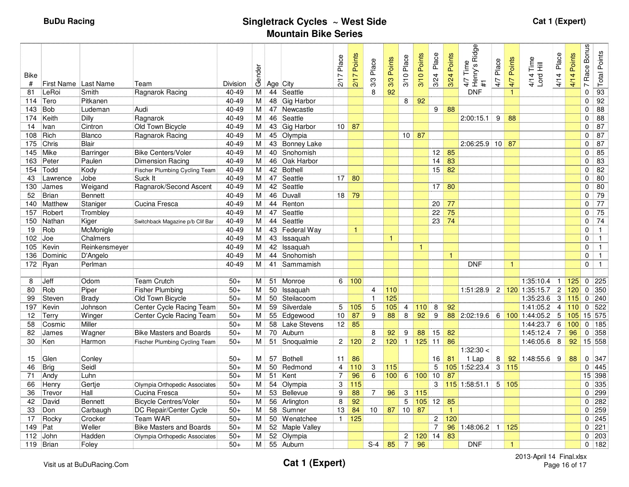| <b>Bike</b><br>$\#$ | First Name Last Name |                | Team                                 | <b>Division</b> | Gender         | Age City |                 | Place<br>L<br>$\overline{\mathbf{a}}$ | Points<br>217 | Place<br>3/3    | 3/3 Points   | Place<br>3/10   | Points<br>3/10 | Place<br>3/24                     | Points<br>3/24 | Ridge<br>Time<br>4/7 Time<br>Henry's F<br>#1 | Place<br>4/7   | Points<br>4/7        | Time<br>4/14 Tim<br>Lord Hill | Place<br>4/14    | Points<br>4/14 | <b>Bonus</b><br>Race I<br>$\overline{ }$ | <b>Total Points</b> |
|---------------------|----------------------|----------------|--------------------------------------|-----------------|----------------|----------|-----------------|---------------------------------------|---------------|-----------------|--------------|-----------------|----------------|-----------------------------------|----------------|----------------------------------------------|----------------|----------------------|-------------------------------|------------------|----------------|------------------------------------------|---------------------|
| 81                  | LeRoi                | Smith          | Ragnarok Racing                      | 40-49           | М              |          | 44 Seattle      |                                       |               | 8               | 92           |                 |                |                                   |                | <b>DNF</b>                                   |                | 1                    |                               |                  |                | $\mathbf 0$                              | 93                  |
| 114                 | Tero                 | Pitkanen       |                                      | 40-49           | М              | 48       | Gig Harbor      |                                       |               |                 |              | 8               | 92             |                                   |                |                                              |                |                      |                               |                  |                | $\Omega$                                 | 92                  |
| 143                 | <b>Bob</b>           | Ludeman        | Audi                                 | 40-49           | М              |          | 47 Newcastle    |                                       |               |                 |              |                 |                | 9                                 | 88             |                                              |                |                      |                               |                  |                | $\mathbf 0$                              | $\overline{88}$     |
| 174                 | Keith                | <b>Dilly</b>   | Ragnarok                             | 40-49           | М              | 46       | Seattle         |                                       |               |                 |              |                 |                |                                   |                | 2:00:15.1                                    | 9              | 88                   |                               |                  |                | 0                                        | $\overline{88}$     |
| 14                  | Ivan                 | Cintron        | Old Town Bicycle                     | 40-49           | М              | 43       | Gig Harbor      | 10 <sup>1</sup>                       | 87            |                 |              |                 |                |                                   |                |                                              |                |                      |                               |                  |                | $\mathbf 0$                              | 87                  |
| 108                 | Rich                 | <b>Blanco</b>  | Ragnarok Racing                      | 40-49           | м              |          | 45 Olympia      |                                       |               |                 |              | 10 <sup>1</sup> | 87             |                                   |                |                                              |                |                      |                               |                  |                | 0                                        | 87                  |
| 175                 | Chris                | Blair          |                                      | 40-49           | М              |          | 43 Bonney Lake  |                                       |               |                 |              |                 |                |                                   |                | 2:06:25.9 10                                 |                | 87                   |                               |                  |                | $\Omega$                                 | 87                  |
| 145                 | Mike                 | Barringer      | <b>Bike Centers/Voler</b>            | $40 - 49$       | М              |          | 40 Snohomish    |                                       |               |                 |              |                 |                | $12$ 85                           |                |                                              |                |                      |                               |                  |                | $\Omega$                                 | 85                  |
| 163                 | Peter                | Paulen         | Dimension Racing                     | $40 - 49$       | М              | 46       | Oak Harbor      |                                       |               |                 |              |                 |                | 14                                | 83             |                                              |                |                      |                               |                  |                | $\mathbf 0$                              | $\overline{83}$     |
| 154                 | Todd                 | Kody           | Fischer Plumbing Cycling Team        | 40-49           | М              | 42       | Bothell         |                                       |               |                 |              |                 |                | 15 <sup>1</sup>                   | 82             |                                              |                |                      |                               |                  |                | $\Omega$                                 | 82                  |
| 43                  | Lawrence             | Jobe           | Suck It                              | $40 - 49$       | М              | 47       | Seattle         | 17                                    | 80            |                 |              |                 |                |                                   |                |                                              |                |                      |                               |                  |                | 0                                        | 80                  |
| 130                 | James                | Weigand        | Ragnarok/Second Ascent               | 40-49           | м              |          | 42 Seattle      |                                       |               |                 |              |                 |                | $17 \overline{\smash{\big)}\ 80}$ |                |                                              |                |                      |                               |                  |                | $\Omega$                                 | 80                  |
| 52                  | <b>Brian</b>         | <b>Bennett</b> |                                      | $40 - 49$       | м              | 46       | Duvall          | 18                                    | 79            |                 |              |                 |                |                                   |                |                                              |                |                      |                               |                  |                | $\mathbf 0$                              | $\overline{79}$     |
| 140                 | Matthew              | Staniger       | Cucina Fresca                        | 40-49           | Μ              | 44       | Renton          |                                       |               |                 |              |                 |                | 20                                | 77             |                                              |                |                      |                               |                  |                | $\Omega$                                 | $\overline{77}$     |
| 157                 | Robert               | Trombley       |                                      | $40 - 49$       | М              | 47       | Seattle         |                                       |               |                 |              |                 |                | 22                                | 75             |                                              |                |                      |                               |                  |                | $\Omega$                                 | 75                  |
| 150                 | Nathan               | Kiger          | Switchback Magazine p/b Clif Bar     | $40 - 49$       | М              | 44       | Seattle         |                                       |               |                 |              |                 |                | $23 \mid$                         | 74             |                                              |                |                      |                               |                  |                | $\mathbf 0$                              | 74                  |
| 19                  | Rob                  | McMonigle      |                                      | $40 - 49$       | М              | 43       | Federal Way     |                                       | $\mathbf{1}$  |                 |              |                 |                |                                   |                |                                              |                |                      |                               |                  |                | $\Omega$                                 | $\overline{1}$      |
| 102                 | Joe                  | Chalmers       |                                      | $40 - 49$       | $\overline{M}$ | 43       | Issaquah        |                                       |               |                 | $\mathbf{1}$ |                 |                |                                   |                |                                              |                |                      |                               |                  |                | 0                                        | $\overline{1}$      |
| 105                 | Kevin                | Reinkensmeyer  |                                      | $40 - 49$       | М              | 42       | Issaquah        |                                       |               |                 |              |                 | $\mathbf{1}$   |                                   |                |                                              |                |                      |                               |                  |                | $\Omega$                                 | $\mathbf{1}$        |
| 136                 | Dominic              | D'Angelo       |                                      | 40-49           | М              | 44       | Snohomish       |                                       |               |                 |              |                 |                |                                   | $\mathbf{1}$   |                                              |                |                      |                               |                  |                | $\mathbf 0$                              | $\overline{1}$      |
|                     | 172 Ryan             | Perlman        |                                      | $40 - 49$       | М              |          | 41 Sammamish    |                                       |               |                 |              |                 |                |                                   |                | <b>DNF</b>                                   |                | 1                    |                               |                  |                | 0                                        | $\overline{1}$      |
|                     |                      |                |                                      |                 |                |          |                 |                                       |               |                 |              |                 |                |                                   |                |                                              |                |                      |                               |                  |                |                                          |                     |
| 8                   | Jeff                 | Odom           | <b>Team Crutch</b>                   | $50+$           | M              | 51       | Monroe          |                                       | 6 100         |                 |              |                 |                |                                   |                |                                              |                |                      | 1:35:10.4                     | $\mathbf{1}$     | 125            |                                          | $0$ 225             |
| 80                  | Rob                  | Piper          | <b>Fisher Plumbing</b>               | $50+$           | М              | 50       | Issaquah        |                                       |               | $\overline{4}$  | 110          |                 |                |                                   |                | 1:51:28.9                                    |                |                      | 2 120 1:35:15.7               | $\boldsymbol{2}$ | 120            |                                          | $0$ 350             |
| 99                  | Steven               | <b>Brady</b>   | Old Town Bicycle                     | $50+$           | м              | 50       | Steilacoom      |                                       |               | $\mathbf{1}$    | 125          |                 |                |                                   |                |                                              |                |                      | 1:35:23.6                     | 3                | 115            |                                          | 0.240               |
| 197                 | Kevin                | Johnson        | Center Cycle Racing Team             | $50+$           | М              | 59       | Silverdale      | 5                                     | 105           | 5               | 105          | $\overline{4}$  | 110            | 8                                 | 92             |                                              |                |                      | 1:41:05.2                     | $\overline{4}$   | 110            |                                          | 0 <sub>522</sub>    |
| 12                  | Terry                | Winger         | Center Cycle Racing Team             | $50+$           | м              |          | 55 Edgewood     | 10                                    | 87            | 9               | 88           | 8               | 92             | 9                                 |                | 88 2:02:19.6                                 | 6              |                      | 100 1:44:05.2                 | 5                | 105            |                                          | 15 575              |
| 58                  | Cosmic               | Miller         |                                      | $50+$           | M              | 58       | Lake Stevens    | 12                                    | 85            |                 |              |                 |                |                                   |                |                                              |                |                      | 1:44:23.7                     | 6                | 100            |                                          | $0$ 185             |
| 82                  | James                | Wagner         | <b>Bike Masters and Boards</b>       | $50+$           | М              |          | 70 Auburn       |                                       |               | 8               | 92           | 9               | 88             | 15 <sup>1</sup>                   | 82             |                                              |                |                      | 1:45:12.4                     | $\overline{7}$   | 96             |                                          | $0$ 358             |
| 30                  | Ken                  | Harmon         | <b>Fischer Plumbing Cycling Team</b> | $50+$           | М              |          | 51 Snoqualmie   | 2 <sup>1</sup>                        | 120           | $\overline{c}$  | 120          | $\mathbf{1}$    | $125$ 11       |                                   | 86             |                                              |                |                      | 1:46:05.6                     | 8                | 92             |                                          | 15 558              |
|                     |                      |                |                                      |                 |                |          |                 |                                       |               |                 |              |                 |                |                                   |                | 1:32:30 <                                    |                |                      |                               |                  |                |                                          |                     |
| 15                  | Glen                 | Conley         |                                      | $50+$           | м              | 57       | Bothell         | 11                                    | 86            |                 |              |                 |                | 16                                | 81             | 1 Lap                                        | 8              | 92                   | 1:48:55.6                     | 9                | 88             |                                          | $0 \overline{347}$  |
| 46                  | <b>Brig</b>          | Seidl          |                                      | $50+$           | М              | 50       | Redmond         | $\overline{4}$                        | 110           | 3               | $115$        |                 |                | 5                                 |                | 105 1:52:23.4                                | $\overline{3}$ | $115$                |                               |                  |                |                                          | $0$ 445             |
| 71                  | Andy                 | Luhn           |                                      | $50+$           | М              | 51       | Kent            | $\overline{7}$                        | 96            | 6               | 100          | 6               | 100            | 10                                | 87             |                                              |                |                      |                               |                  |                |                                          | 15 398              |
| 66                  | Henry                | Gertje         | Olympia Orthopedic Associates        | $50+$           | М              | 54       | Olympia         | 3                                     | 115           |                 |              |                 |                | 3                                 |                | 115 1:58:51.1                                | 5              | 105                  |                               |                  |                | $\Omega$                                 | 335                 |
| 36                  | Trevor               | Hall           | Cucina Fresca                        | $50+$           | М              |          | 53 Bellevue     | 9                                     | 88            | $\overline{7}$  | 96           | 3               | 115            |                                   |                |                                              |                |                      |                               |                  |                |                                          | 0 <sup>299</sup>    |
| 42                  | David                | <b>Bennett</b> | <b>Bicycle Centres/Voler</b>         | $50+$           | М              | 56       | Arlington       | 8                                     | 92            |                 |              | 5               |                | $105$ 12 85                       |                |                                              |                |                      |                               |                  |                |                                          | $0$ 282             |
| 33                  | Don                  | Carbaugh       | DC Repair/Center Cycle               | $50+$           | м              | 58       | Sumner          | 13                                    | 84            | 10 <sup>°</sup> | 87           | 10              | 87             |                                   | $\mathbf{1}$   |                                              |                |                      |                               |                  |                |                                          | $0$ 259             |
| 17                  | Rocky                | Crocker        | Team WAR                             | $50+$           | M              | 50       | Wenatchee       | $\mathbf{1}$                          | 125           |                 |              |                 |                | 2                                 | 120            |                                              |                |                      |                               |                  |                |                                          | $0$ 245             |
| 149                 | Pat                  | Weller         | <b>Bike Masters and Boards</b>       | $50+$           | M              |          | 52 Maple Valley |                                       |               |                 |              |                 |                | $\overline{7}$                    | 96             | 1:48:06.2                                    | $\mathbf{1}$   | 125                  |                               |                  |                | $\Omega$                                 | $\overline{221}$    |
| 112                 | John                 | Hadden         | Olympia Orthopedic Associates        | $50+$           | Μ              |          | 52 Olympia      |                                       |               |                 |              | $\overline{2}$  |                | $120$ 14                          | 83             |                                              |                |                      |                               |                  |                |                                          | $0$ 203             |
|                     | 119 Brian            | Foley          |                                      | $50+$           | М              |          | 55 Auburn       |                                       |               | $S-4$           | 85           | $\overline{7}$  | 96             |                                   |                | <b>DNF</b>                                   |                | $\blacktriangleleft$ |                               |                  |                |                                          | $0$ 182             |
|                     |                      |                |                                      |                 |                |          |                 |                                       |               |                 |              |                 |                |                                   |                |                                              |                |                      |                               |                  |                |                                          |                     |